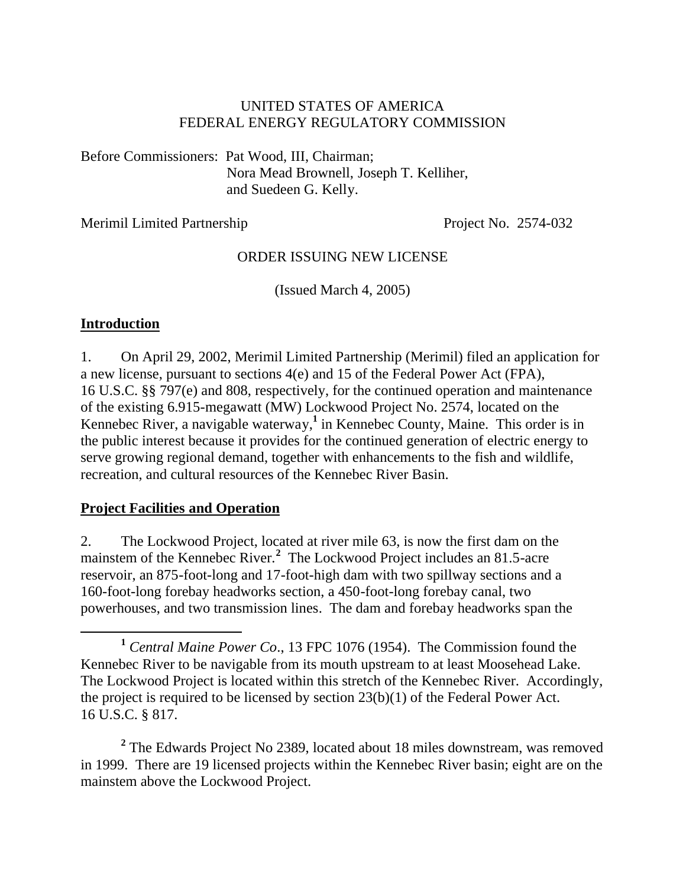### UNITED STATES OF AMERICA FEDERAL ENERGY REGULATORY COMMISSION

Before Commissioners: Pat Wood, III, Chairman; Nora Mead Brownell, Joseph T. Kelliher, and Suedeen G. Kelly.

Merimil Limited Partnership Project No. 2574-032

#### ORDER ISSUING NEW LICENSE

(Issued March 4, 2005)

#### **Introduction**

 $\overline{a}$ 

1. On April 29, 2002, Merimil Limited Partnership (Merimil) filed an application for a new license, pursuant to sections 4(e) and 15 of the Federal Power Act (FPA), 16 U.S.C. §§ 797(e) and 808, respectively, for the continued operation and maintenance of the existing 6.915-megawatt (MW) Lockwood Project No. 2574, located on the Kennebec River, a navigable waterway,<sup>1</sup> in Kennebec County, Maine. This order is in the public interest because it provides for the continued generation of electric energy to serve growing regional demand, together with enhancements to the fish and wildlife, recreation, and cultural resources of the Kennebec River Basin.

#### **Project Facilities and Operation**

2. The Lockwood Project, located at river mile 63, is now the first dam on the mainstem of the Kennebec River.**<sup>2</sup>** The Lockwood Project includes an 81.5-acre reservoir, an 875-foot-long and 17-foot-high dam with two spillway sections and a 160-foot-long forebay headworks section, a 450-foot-long forebay canal, two powerhouses, and two transmission lines. The dam and forebay headworks span the

<sup>2</sup> The Edwards Project No 2389, located about 18 miles downstream, was removed in 1999. There are 19 licensed projects within the Kennebec River basin; eight are on the mainstem above the Lockwood Project.

**<sup>1</sup>** *Central Maine Power Co*., 13 FPC 1076 (1954). The Commission found the Kennebec River to be navigable from its mouth upstream to at least Moosehead Lake. The Lockwood Project is located within this stretch of the Kennebec River. Accordingly, the project is required to be licensed by section 23(b)(1) of the Federal Power Act. 16 U.S.C. § 817.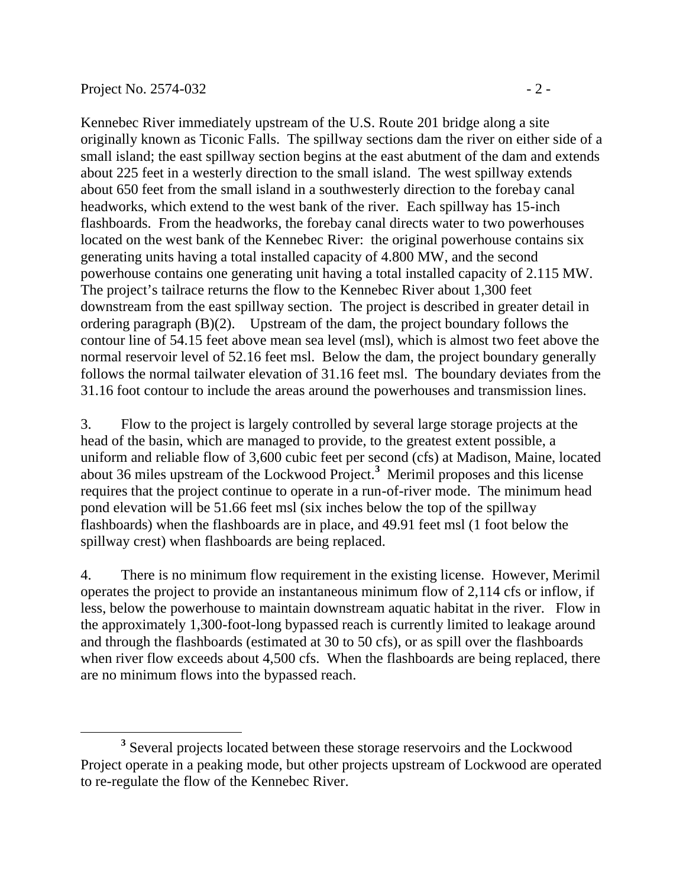$\overline{a}$ 

Kennebec River immediately upstream of the U.S. Route 201 bridge along a site originally known as Ticonic Falls. The spillway sections dam the river on either side of a small island; the east spillway section begins at the east abutment of the dam and extends about 225 feet in a westerly direction to the small island. The west spillway extends about 650 feet from the small island in a southwesterly direction to the forebay canal headworks, which extend to the west bank of the river. Each spillway has 15-inch flashboards. From the headworks, the forebay canal directs water to two powerhouses located on the west bank of the Kennebec River: the original powerhouse contains six generating units having a total installed capacity of 4.800 MW, and the second powerhouse contains one generating unit having a total installed capacity of 2.115 MW. The project's tailrace returns the flow to the Kennebec River about 1,300 feet downstream from the east spillway section. The project is described in greater detail in ordering paragraph (B)(2). Upstream of the dam, the project boundary follows the contour line of 54.15 feet above mean sea level (msl), which is almost two feet above the

normal reservoir level of 52.16 feet msl. Below the dam, the project boundary generally follows the normal tailwater elevation of 31.16 feet msl. The boundary deviates from the 31.16 foot contour to include the areas around the powerhouses and transmission lines.

3. Flow to the project is largely controlled by several large storage projects at the head of the basin, which are managed to provide, to the greatest extent possible, a uniform and reliable flow of 3,600 cubic feet per second (cfs) at Madison, Maine, located about 36 miles upstream of the Lockwood Project.**<sup>3</sup>** Merimil proposes and this license requires that the project continue to operate in a run-of-river mode. The minimum head pond elevation will be 51.66 feet msl (six inches below the top of the spillway flashboards) when the flashboards are in place, and 49.91 feet msl (1 foot below the spillway crest) when flashboards are being replaced.

4. There is no minimum flow requirement in the existing license. However, Merimil operates the project to provide an instantaneous minimum flow of 2,114 cfs or inflow, if less, below the powerhouse to maintain downstream aquatic habitat in the river. Flow in the approximately 1,300-foot-long bypassed reach is currently limited to leakage around and through the flashboards (estimated at 30 to 50 cfs), or as spill over the flashboards when river flow exceeds about 4,500 cfs. When the flashboards are being replaced, there are no minimum flows into the bypassed reach.

<sup>&</sup>lt;sup>3</sup> Several projects located between these storage reservoirs and the Lockwood Project operate in a peaking mode, but other projects upstream of Lockwood are operated to re-regulate the flow of the Kennebec River.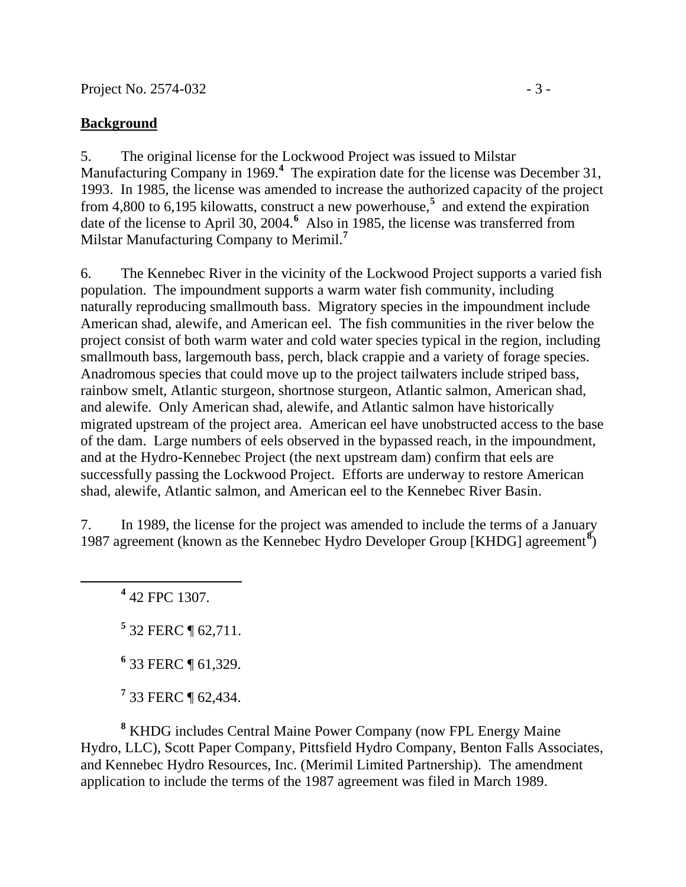### **Background**

5. The original license for the Lockwood Project was issued to Milstar Manufacturing Company in 1969.**<sup>4</sup>** The expiration date for the license was December 31, 1993. In 1985, the license was amended to increase the authorized capacity of the project from 4,800 to 6,195 kilowatts, construct a new powerhouse,**<sup>5</sup>** and extend the expiration date of the license to April 30, 2004.<sup>6</sup> Also in 1985, the license was transferred from Milstar Manufacturing Company to Merimil.**<sup>7</sup>**

6. The Kennebec River in the vicinity of the Lockwood Project supports a varied fish population. The impoundment supports a warm water fish community, including naturally reproducing smallmouth bass. Migratory species in the impoundment include American shad, alewife, and American eel. The fish communities in the river below the project consist of both warm water and cold water species typical in the region, including smallmouth bass, largemouth bass, perch, black crappie and a variety of forage species. Anadromous species that could move up to the project tailwaters include striped bass, rainbow smelt, Atlantic sturgeon, shortnose sturgeon, Atlantic salmon, American shad, and alewife. Only American shad, alewife, and Atlantic salmon have historically migrated upstream of the project area. American eel have unobstructed access to the base of the dam. Large numbers of eels observed in the bypassed reach, in the impoundment, and at the Hydro-Kennebec Project (the next upstream dam) confirm that eels are successfully passing the Lockwood Project. Efforts are underway to restore American shad, alewife, Atlantic salmon, and American eel to the Kennebec River Basin.

7. In 1989, the license for the project was amended to include the terms of a January 1987 agreement (known as the Kennebec Hydro Developer Group [KHDG] agreement**<sup>8</sup>** )

**4** 42 FPC 1307.

 $\overline{a}$ 

- **5** 32 FERC ¶ 62,711.
- **6** 33 FERC ¶ 61,329.
- **7** 33 FERC ¶ 62,434.

**8** KHDG includes Central Maine Power Company (now FPL Energy Maine Hydro, LLC), Scott Paper Company, Pittsfield Hydro Company, Benton Falls Associates, and Kennebec Hydro Resources, Inc. (Merimil Limited Partnership). The amendment application to include the terms of the 1987 agreement was filed in March 1989.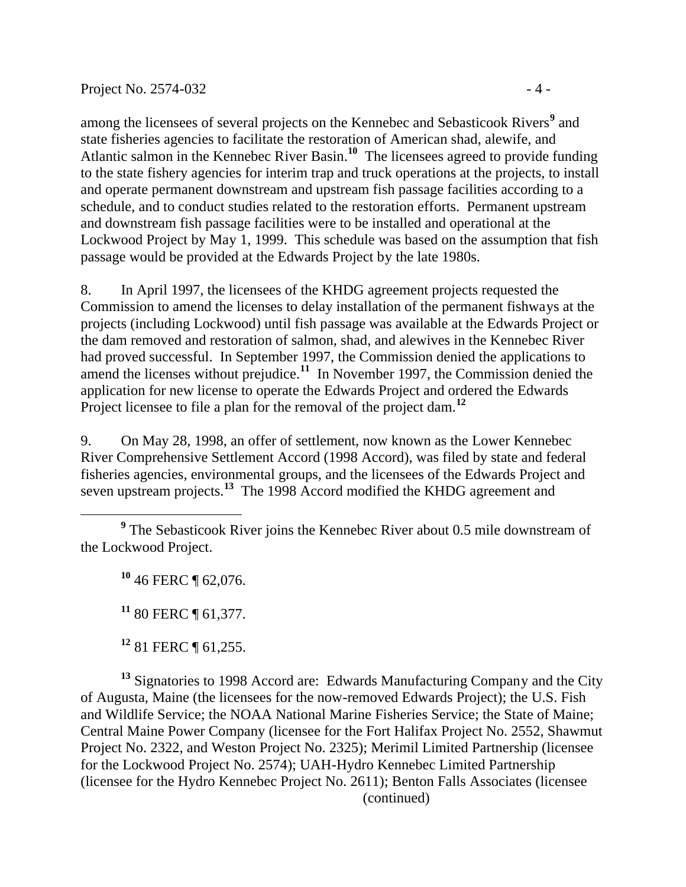among the licensees of several projects on the Kennebec and Sebasticook Rivers<sup>9</sup> and state fisheries agencies to facilitate the restoration of American shad, alewife, and Atlantic salmon in the Kennebec River Basin.**<sup>10</sup>** The licensees agreed to provide funding to the state fishery agencies for interim trap and truck operations at the projects, to install and operate permanent downstream and upstream fish passage facilities according to a schedule, and to conduct studies related to the restoration efforts. Permanent upstream and downstream fish passage facilities were to be installed and operational at the Lockwood Project by May 1, 1999. This schedule was based on the assumption that fish passage would be provided at the Edwards Project by the late 1980s.

8. In April 1997, the licensees of the KHDG agreement projects requested the Commission to amend the licenses to delay installation of the permanent fishways at the projects (including Lockwood) until fish passage was available at the Edwards Project or the dam removed and restoration of salmon, shad, and alewives in the Kennebec River had proved successful. In September 1997, the Commission denied the applications to amend the licenses without prejudice.**<sup>11</sup>** In November 1997, the Commission denied the application for new license to operate the Edwards Project and ordered the Edwards Project licensee to file a plan for the removal of the project dam.<sup>12</sup>

9. On May 28, 1998, an offer of settlement, now known as the Lower Kennebec River Comprehensive Settlement Accord (1998 Accord), was filed by state and federal fisheries agencies, environmental groups, and the licensees of the Edwards Project and seven upstream projects.**<sup>13</sup>** The 1998 Accord modified the KHDG agreement and

**<sup>10</sup>** 46 FERC ¶ 62,076.

**<sup>11</sup>** 80 FERC ¶ 61,377.

**<sup>12</sup>** 81 FERC ¶ 61,255.

**<sup>13</sup>** Signatories to 1998 Accord are: Edwards Manufacturing Company and the City of Augusta, Maine (the licensees for the now-removed Edwards Project); the U.S. Fish and Wildlife Service; the NOAA National Marine Fisheries Service; the State of Maine; Central Maine Power Company (licensee for the Fort Halifax Project No. 2552, Shawmut Project No. 2322, and Weston Project No. 2325); Merimil Limited Partnership (licensee for the Lockwood Project No. 2574); UAH-Hydro Kennebec Limited Partnership (licensee for the Hydro Kennebec Project No. 2611); Benton Falls Associates (licensee (continued)

<sup>&</sup>lt;sup>9</sup> The Sebasticook River joins the Kennebec River about 0.5 mile downstream of the Lockwood Project.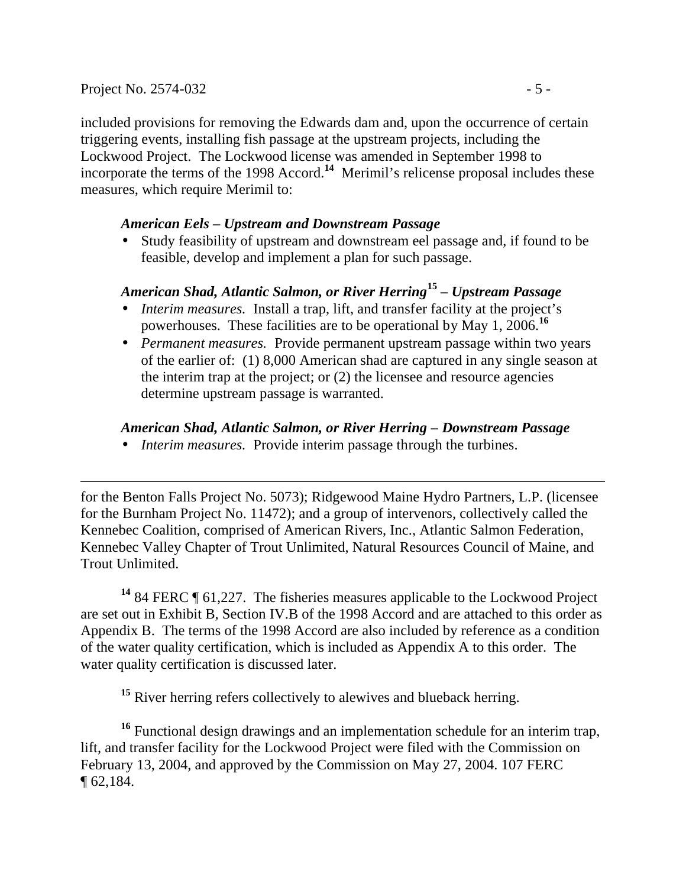$\overline{a}$ 

included provisions for removing the Edwards dam and, upon the occurrence of certain triggering events, installing fish passage at the upstream projects, including the Lockwood Project. The Lockwood license was amended in September 1998 to incorporate the terms of the 1998 Accord.**<sup>14</sup>** Merimil's relicense proposal includes these measures, which require Merimil to:

### *American Eels – Upstream and Downstream Passage*

• Study feasibility of upstream and downstream eel passage and, if found to be feasible, develop and implement a plan for such passage.

# *American Shad, Atlantic Salmon, or River Herring***<sup>15</sup>** *– Upstream Passage*

- *Interim measures.* Install a trap, lift, and transfer facility at the project's powerhouses. These facilities are to be operational by May 1, 2006.**<sup>16</sup>**
- *Permanent measures.* Provide permanent upstream passage within two years of the earlier of: (1) 8,000 American shad are captured in any single season at the interim trap at the project; or (2) the licensee and resource agencies determine upstream passage is warranted.

## *American Shad, Atlantic Salmon, or River Herring – Downstream Passage*

• *Interim measures.* Provide interim passage through the turbines.

for the Benton Falls Project No. 5073); Ridgewood Maine Hydro Partners, L.P. (licensee for the Burnham Project No. 11472); and a group of intervenors, collectively called the Kennebec Coalition, comprised of American Rivers, Inc., Atlantic Salmon Federation, Kennebec Valley Chapter of Trout Unlimited, Natural Resources Council of Maine, and Trout Unlimited.

**<sup>14</sup>** 84 FERC ¶ 61,227. The fisheries measures applicable to the Lockwood Project are set out in Exhibit B, Section IV.B of the 1998 Accord and are attached to this order as Appendix B. The terms of the 1998 Accord are also included by reference as a condition of the water quality certification, which is included as Appendix A to this order. The water quality certification is discussed later.

<sup>15</sup> River herring refers collectively to alewives and blueback herring.

**<sup>16</sup>** Functional design drawings and an implementation schedule for an interim trap, lift, and transfer facility for the Lockwood Project were filed with the Commission on February 13, 2004, and approved by the Commission on May 27, 2004. 107 FERC  $\P 62,184.$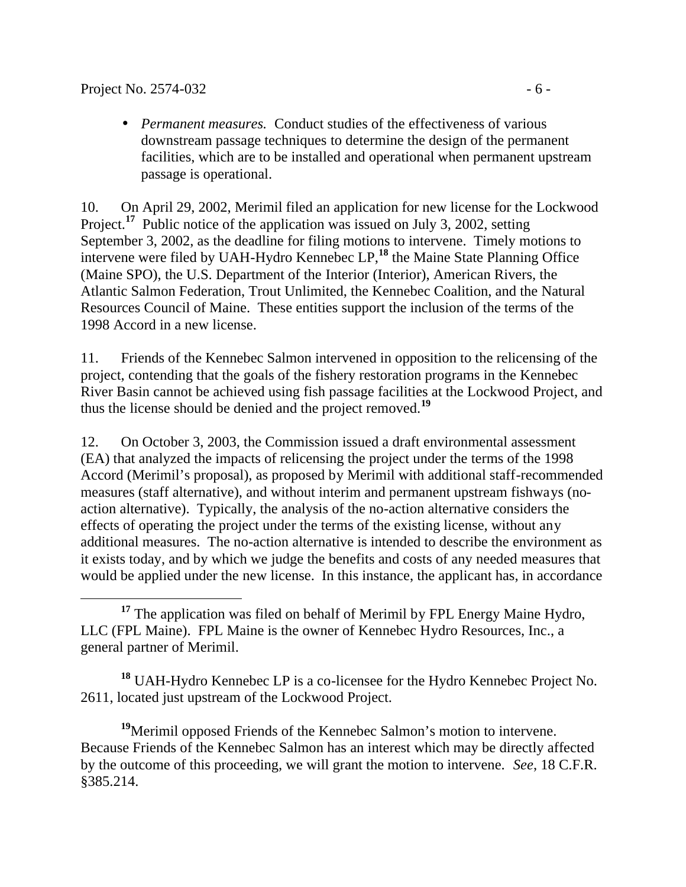• *Permanent measures.* Conduct studies of the effectiveness of various downstream passage techniques to determine the design of the permanent facilities, which are to be installed and operational when permanent upstream passage is operational.

10. On April 29, 2002, Merimil filed an application for new license for the Lockwood Project.<sup>17</sup> Public notice of the application was issued on July 3, 2002, setting September 3, 2002, as the deadline for filing motions to intervene. Timely motions to intervene were filed by UAH-Hydro Kennebec LP,**<sup>18</sup>** the Maine State Planning Office (Maine SPO), the U.S. Department of the Interior (Interior), American Rivers, the Atlantic Salmon Federation, Trout Unlimited, the Kennebec Coalition, and the Natural Resources Council of Maine. These entities support the inclusion of the terms of the 1998 Accord in a new license.

11. Friends of the Kennebec Salmon intervened in opposition to the relicensing of the project, contending that the goals of the fishery restoration programs in the Kennebec River Basin cannot be achieved using fish passage facilities at the Lockwood Project, and thus the license should be denied and the project removed.**<sup>19</sup>**

12. On October 3, 2003, the Commission issued a draft environmental assessment (EA) that analyzed the impacts of relicensing the project under the terms of the 1998 Accord (Merimil's proposal), as proposed by Merimil with additional staff-recommended measures (staff alternative), and without interim and permanent upstream fishways (noaction alternative). Typically, the analysis of the no-action alternative considers the effects of operating the project under the terms of the existing license, without any additional measures. The no-action alternative is intended to describe the environment as it exists today, and by which we judge the benefits and costs of any needed measures that would be applied under the new license. In this instance, the applicant has, in accordance

**<sup>18</sup>** UAH-Hydro Kennebec LP is a co-licensee for the Hydro Kennebec Project No. 2611, located just upstream of the Lockwood Project.

**<sup>19</sup>**Merimil opposed Friends of the Kennebec Salmon's motion to intervene. Because Friends of the Kennebec Salmon has an interest which may be directly affected by the outcome of this proceeding, we will grant the motion to intervene. *See*, 18 C.F.R. §385.214.

 $\overline{a}$ <sup>17</sup> The application was filed on behalf of Merimil by FPL Energy Maine Hydro, LLC (FPL Maine). FPL Maine is the owner of Kennebec Hydro Resources, Inc., a general partner of Merimil.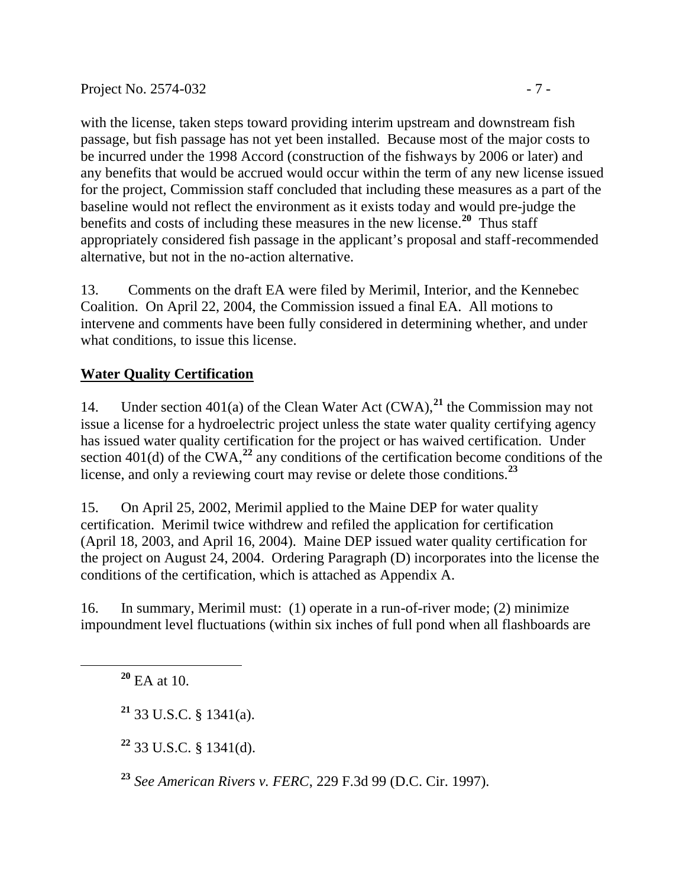with the license, taken steps toward providing interim upstream and downstream fish passage, but fish passage has not yet been installed. Because most of the major costs to be incurred under the 1998 Accord (construction of the fishways by 2006 or later) and any benefits that would be accrued would occur within the term of any new license issued for the project, Commission staff concluded that including these measures as a part of the baseline would not reflect the environment as it exists today and would pre-judge the benefits and costs of including these measures in the new license.**<sup>20</sup>** Thus staff appropriately considered fish passage in the applicant's proposal and staff-recommended alternative, but not in the no-action alternative.

13. Comments on the draft EA were filed by Merimil, Interior, and the Kennebec Coalition. On April 22, 2004, the Commission issued a final EA. All motions to intervene and comments have been fully considered in determining whether, and under what conditions, to issue this license.

# **Water Quality Certification**

14. Under section 401(a) of the Clean Water Act (CWA),**<sup>21</sup>** the Commission may not issue a license for a hydroelectric project unless the state water quality certifying agency has issued water quality certification for the project or has waived certification. Under section 401(d) of the CWA,<sup>22</sup> any conditions of the certification become conditions of the license, and only a reviewing court may revise or delete those conditions.**<sup>23</sup>**

15. On April 25, 2002, Merimil applied to the Maine DEP for water quality certification. Merimil twice withdrew and refiled the application for certification (April 18, 2003, and April 16, 2004). Maine DEP issued water quality certification for the project on August 24, 2004. Ordering Paragraph (D) incorporates into the license the conditions of the certification, which is attached as Appendix A.

16. In summary, Merimil must: (1) operate in a run-of-river mode; (2) minimize impoundment level fluctuations (within six inches of full pond when all flashboards are

**<sup>20</sup>** EA at 10.

**<sup>21</sup>** 33 U.S.C. § 1341(a).

**<sup>22</sup>** 33 U.S.C. § 1341(d).

**<sup>23</sup>** *See American Rivers v. FERC*, 229 F.3d 99 (D.C. Cir. 1997).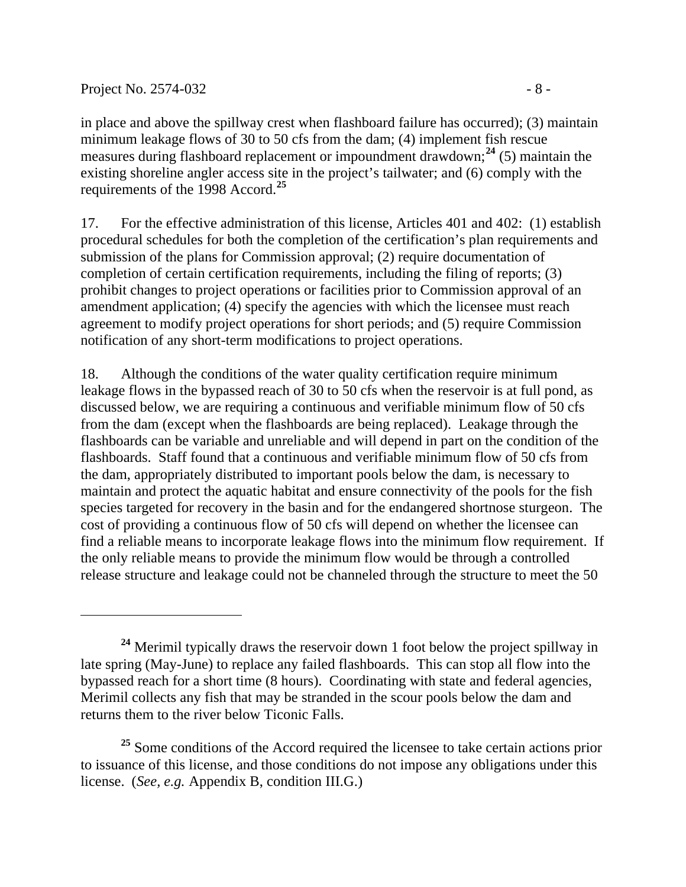$\overline{a}$ 

in place and above the spillway crest when flashboard failure has occurred); (3) maintain minimum leakage flows of 30 to 50 cfs from the dam; (4) implement fish rescue measures during flashboard replacement or impoundment drawdown;**<sup>24</sup>** (5) maintain the existing shoreline angler access site in the project's tailwater; and (6) comply with the requirements of the 1998 Accord.**<sup>25</sup>**

17. For the effective administration of this license, Articles 401 and 402: (1) establish procedural schedules for both the completion of the certification's plan requirements and submission of the plans for Commission approval; (2) require documentation of completion of certain certification requirements, including the filing of reports; (3) prohibit changes to project operations or facilities prior to Commission approval of an amendment application; (4) specify the agencies with which the licensee must reach agreement to modify project operations for short periods; and (5) require Commission notification of any short-term modifications to project operations.

18. Although the conditions of the water quality certification require minimum leakage flows in the bypassed reach of 30 to 50 cfs when the reservoir is at full pond, as discussed below, we are requiring a continuous and verifiable minimum flow of 50 cfs from the dam (except when the flashboards are being replaced). Leakage through the flashboards can be variable and unreliable and will depend in part on the condition of the flashboards. Staff found that a continuous and verifiable minimum flow of 50 cfs from the dam, appropriately distributed to important pools below the dam, is necessary to maintain and protect the aquatic habitat and ensure connectivity of the pools for the fish species targeted for recovery in the basin and for the endangered shortnose sturgeon. The cost of providing a continuous flow of 50 cfs will depend on whether the licensee can find a reliable means to incorporate leakage flows into the minimum flow requirement. If the only reliable means to provide the minimum flow would be through a controlled release structure and leakage could not be channeled through the structure to meet the 50

**<sup>24</sup>** Merimil typically draws the reservoir down 1 foot below the project spillway in late spring (May-June) to replace any failed flashboards. This can stop all flow into the bypassed reach for a short time (8 hours). Coordinating with state and federal agencies, Merimil collects any fish that may be stranded in the scour pools below the dam and returns them to the river below Ticonic Falls.

<sup>&</sup>lt;sup>25</sup> Some conditions of the Accord required the licensee to take certain actions prior to issuance of this license, and those conditions do not impose any obligations under this license. (*See, e.g.* Appendix B, condition III.G.)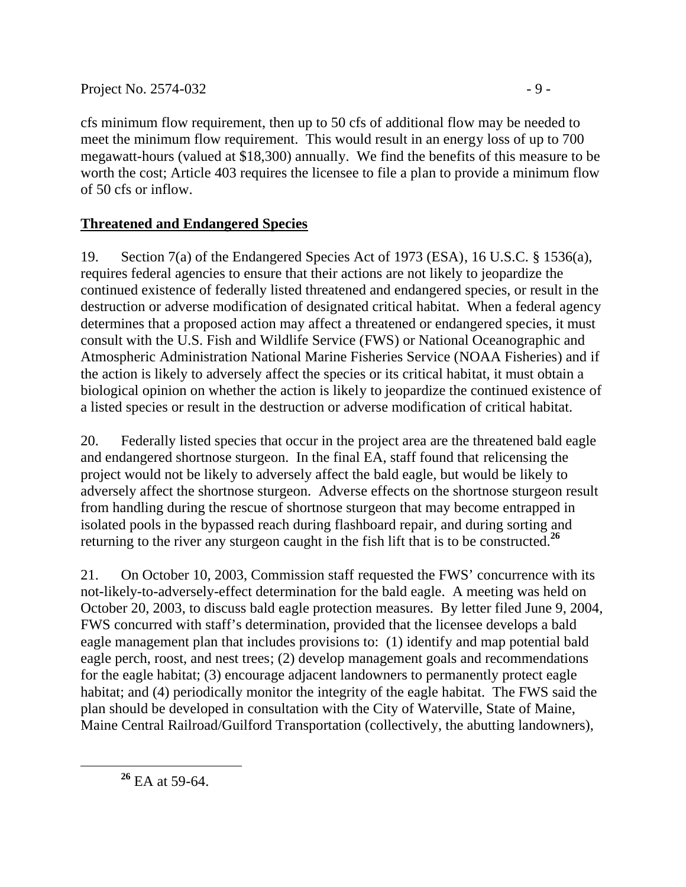cfs minimum flow requirement, then up to 50 cfs of additional flow may be needed to meet the minimum flow requirement. This would result in an energy loss of up to 700 megawatt-hours (valued at \$18,300) annually. We find the benefits of this measure to be worth the cost; Article 403 requires the licensee to file a plan to provide a minimum flow of 50 cfs or inflow.

# **Threatened and Endangered Species**

19. Section 7(a) of the Endangered Species Act of 1973 (ESA), 16 U.S.C. § 1536(a), requires federal agencies to ensure that their actions are not likely to jeopardize the continued existence of federally listed threatened and endangered species, or result in the destruction or adverse modification of designated critical habitat. When a federal agency determines that a proposed action may affect a threatened or endangered species, it must consult with the U.S. Fish and Wildlife Service (FWS) or National Oceanographic and Atmospheric Administration National Marine Fisheries Service (NOAA Fisheries) and if the action is likely to adversely affect the species or its critical habitat, it must obtain a biological opinion on whether the action is likely to jeopardize the continued existence of a listed species or result in the destruction or adverse modification of critical habitat.

20. Federally listed species that occur in the project area are the threatened bald eagle and endangered shortnose sturgeon. In the final EA, staff found that relicensing the project would not be likely to adversely affect the bald eagle, but would be likely to adversely affect the shortnose sturgeon. Adverse effects on the shortnose sturgeon result from handling during the rescue of shortnose sturgeon that may become entrapped in isolated pools in the bypassed reach during flashboard repair, and during sorting and returning to the river any sturgeon caught in the fish lift that is to be constructed.**<sup>26</sup>**

21. On October 10, 2003, Commission staff requested the FWS' concurrence with its not-likely-to-adversely-effect determination for the bald eagle. A meeting was held on October 20, 2003, to discuss bald eagle protection measures. By letter filed June 9, 2004, FWS concurred with staff's determination, provided that the licensee develops a bald eagle management plan that includes provisions to: (1) identify and map potential bald eagle perch, roost, and nest trees; (2) develop management goals and recommendations for the eagle habitat; (3) encourage adjacent landowners to permanently protect eagle habitat; and (4) periodically monitor the integrity of the eagle habitat. The FWS said the plan should be developed in consultation with the City of Waterville, State of Maine, Maine Central Railroad/Guilford Transportation (collectively, the abutting landowners),

**<sup>26</sup>** EA at 59-64.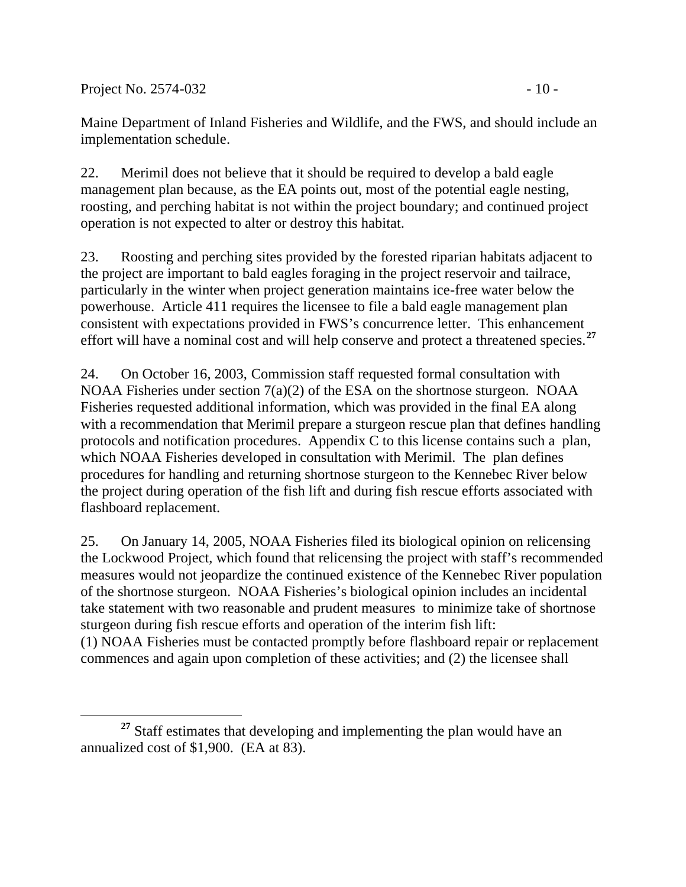Project No. 2574-032 - 10 -

 $\overline{a}$ 

Maine Department of Inland Fisheries and Wildlife, and the FWS, and should include an implementation schedule.

22. Merimil does not believe that it should be required to develop a bald eagle management plan because, as the EA points out, most of the potential eagle nesting, roosting, and perching habitat is not within the project boundary; and continued project operation is not expected to alter or destroy this habitat.

23. Roosting and perching sites provided by the forested riparian habitats adjacent to the project are important to bald eagles foraging in the project reservoir and tailrace, particularly in the winter when project generation maintains ice-free water below the powerhouse. Article 411 requires the licensee to file a bald eagle management plan consistent with expectations provided in FWS's concurrence letter. This enhancement effort will have a nominal cost and will help conserve and protect a threatened species.**<sup>27</sup>**

24. On October 16, 2003, Commission staff requested formal consultation with NOAA Fisheries under section 7(a)(2) of the ESA on the shortnose sturgeon. NOAA Fisheries requested additional information, which was provided in the final EA along with a recommendation that Merimil prepare a sturgeon rescue plan that defines handling protocols and notification procedures. Appendix C to this license contains such a plan, which NOAA Fisheries developed in consultation with Merimil. The plan defines procedures for handling and returning shortnose sturgeon to the Kennebec River below the project during operation of the fish lift and during fish rescue efforts associated with flashboard replacement.

25. On January 14, 2005, NOAA Fisheries filed its biological opinion on relicensing the Lockwood Project, which found that relicensing the project with staff's recommended measures would not jeopardize the continued existence of the Kennebec River population of the shortnose sturgeon. NOAA Fisheries's biological opinion includes an incidental take statement with two reasonable and prudent measures to minimize take of shortnose sturgeon during fish rescue efforts and operation of the interim fish lift: (1) NOAA Fisheries must be contacted promptly before flashboard repair or replacement commences and again upon completion of these activities; and (2) the licensee shall

<sup>&</sup>lt;sup>27</sup> Staff estimates that developing and implementing the plan would have an annualized cost of \$1,900. (EA at 83).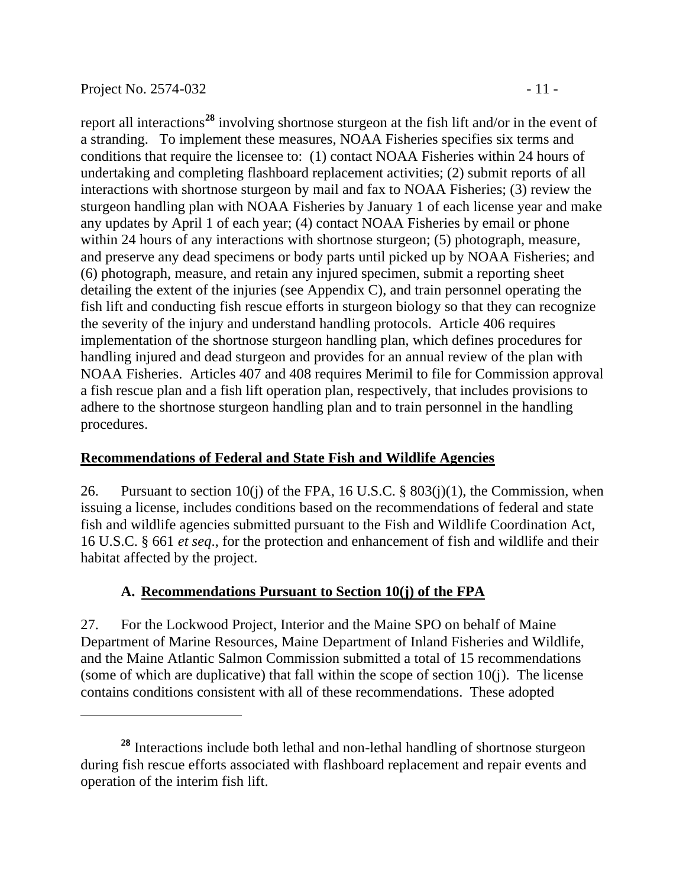$\overline{a}$ 

report all interactions**<sup>28</sup>** involving shortnose sturgeon at the fish lift and/or in the event of a stranding. To implement these measures, NOAA Fisheries specifies six terms and conditions that require the licensee to: (1) contact NOAA Fisheries within 24 hours of undertaking and completing flashboard replacement activities; (2) submit reports of all interactions with shortnose sturgeon by mail and fax to NOAA Fisheries; (3) review the sturgeon handling plan with NOAA Fisheries by January 1 of each license year and make any updates by April 1 of each year; (4) contact NOAA Fisheries by email or phone within 24 hours of any interactions with shortnose sturgeon; (5) photograph, measure, and preserve any dead specimens or body parts until picked up by NOAA Fisheries; and (6) photograph, measure, and retain any injured specimen, submit a reporting sheet detailing the extent of the injuries (see Appendix C), and train personnel operating the fish lift and conducting fish rescue efforts in sturgeon biology so that they can recognize the severity of the injury and understand handling protocols. Article 406 requires implementation of the shortnose sturgeon handling plan, which defines procedures for handling injured and dead sturgeon and provides for an annual review of the plan with NOAA Fisheries. Articles 407 and 408 requires Merimil to file for Commission approval a fish rescue plan and a fish lift operation plan, respectively, that includes provisions to adhere to the shortnose sturgeon handling plan and to train personnel in the handling procedures.

## **Recommendations of Federal and State Fish and Wildlife Agencies**

26. Pursuant to section 10(j) of the FPA, 16 U.S.C.  $\S$  803(j)(1), the Commission, when issuing a license, includes conditions based on the recommendations of federal and state fish and wildlife agencies submitted pursuant to the Fish and Wildlife Coordination Act, 16 U.S.C. § 661 *et seq*., for the protection and enhancement of fish and wildlife and their habitat affected by the project.

## **A. Recommendations Pursuant to Section 10(j) of the FPA**

27. For the Lockwood Project, Interior and the Maine SPO on behalf of Maine Department of Marine Resources, Maine Department of Inland Fisheries and Wildlife, and the Maine Atlantic Salmon Commission submitted a total of 15 recommendations (some of which are duplicative) that fall within the scope of section 10(j). The license contains conditions consistent with all of these recommendations. These adopted

**<sup>28</sup>** Interactions include both lethal and non-lethal handling of shortnose sturgeon during fish rescue efforts associated with flashboard replacement and repair events and operation of the interim fish lift.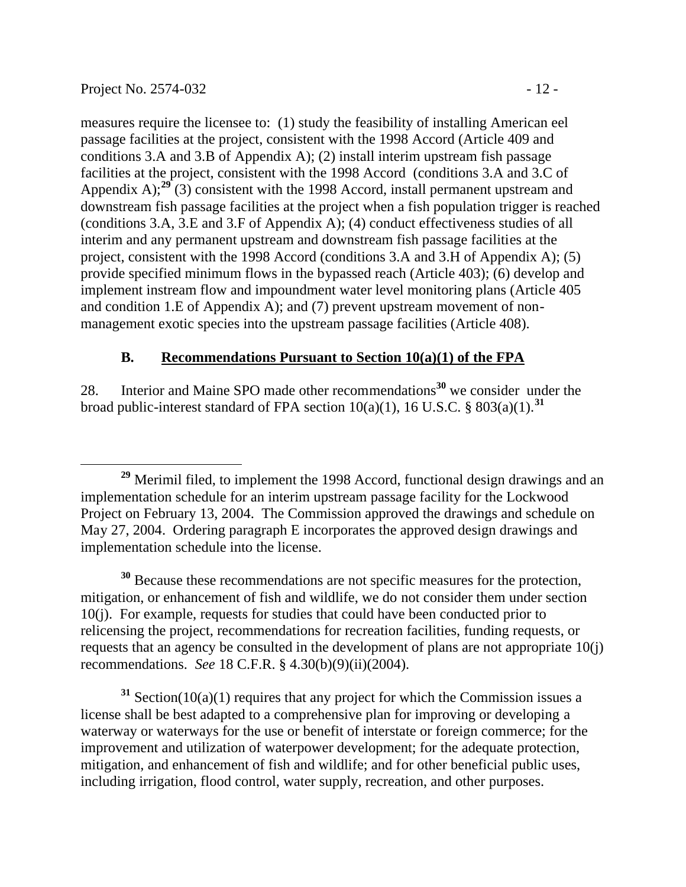measures require the licensee to: (1) study the feasibility of installing American eel passage facilities at the project, consistent with the 1998 Accord (Article 409 and conditions 3.A and 3.B of Appendix A); (2) install interim upstream fish passage facilities at the project, consistent with the 1998 Accord (conditions 3.A and 3.C of Appendix A);<sup>29</sup> (3) consistent with the 1998 Accord, install permanent upstream and downstream fish passage facilities at the project when a fish population trigger is reached (conditions 3.A, 3.E and 3.F of Appendix A); (4) conduct effectiveness studies of all interim and any permanent upstream and downstream fish passage facilities at the project, consistent with the 1998 Accord (conditions 3.A and 3.H of Appendix A); (5) provide specified minimum flows in the bypassed reach (Article 403); (6) develop and implement instream flow and impoundment water level monitoring plans (Article 405 and condition 1.E of Appendix A); and (7) prevent upstream movement of nonmanagement exotic species into the upstream passage facilities (Article 408).

### **B. Recommendations Pursuant to Section 10(a)(1) of the FPA**

28. Interior and Maine SPO made other recommendations**<sup>30</sup>** we consider under the broad public-interest standard of FPA section  $10(a)(1)$ ,  $16$  U.S.C. §  $803(a)(1)$ .<sup>31</sup>

**<sup>30</sup>** Because these recommendations are not specific measures for the protection, mitigation, or enhancement of fish and wildlife, we do not consider them under section 10(j). For example, requests for studies that could have been conducted prior to relicensing the project, recommendations for recreation facilities, funding requests, or requests that an agency be consulted in the development of plans are not appropriate 10(j) recommendations. *See* 18 C.F.R. § 4.30(b)(9)(ii)(2004).

**<sup>31</sup>** Section(10(a)(1) requires that any project for which the Commission issues a license shall be best adapted to a comprehensive plan for improving or developing a waterway or waterways for the use or benefit of interstate or foreign commerce; for the improvement and utilization of waterpower development; for the adequate protection, mitigation, and enhancement of fish and wildlife; and for other beneficial public uses, including irrigation, flood control, water supply, recreation, and other purposes.

 $\overline{a}$ **<sup>29</sup>** Merimil filed, to implement the 1998 Accord, functional design drawings and an implementation schedule for an interim upstream passage facility for the Lockwood Project on February 13, 2004. The Commission approved the drawings and schedule on May 27, 2004. Ordering paragraph E incorporates the approved design drawings and implementation schedule into the license.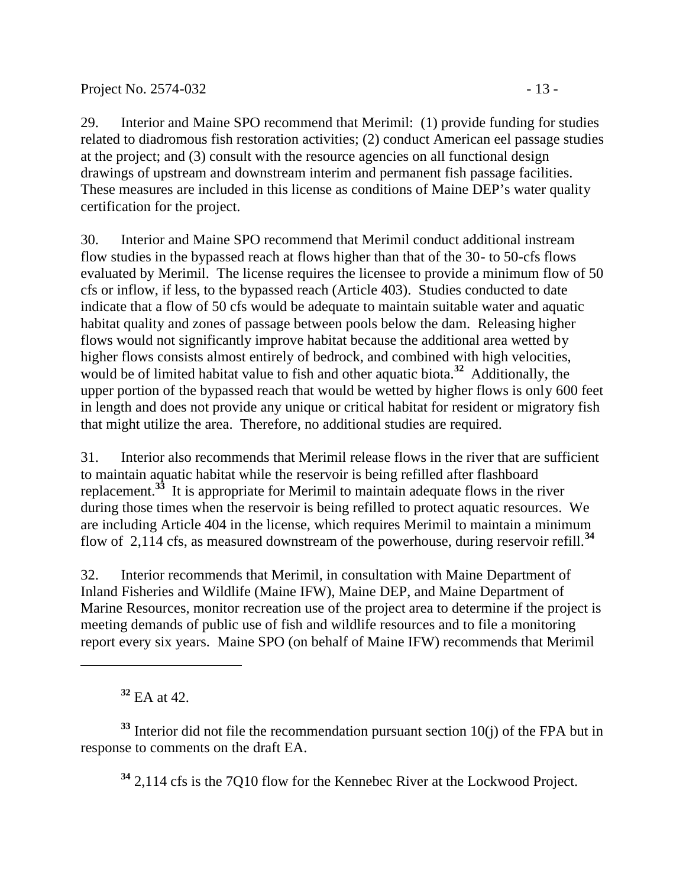29. Interior and Maine SPO recommend that Merimil: (1) provide funding for studies related to diadromous fish restoration activities; (2) conduct American eel passage studies at the project; and (3) consult with the resource agencies on all functional design drawings of upstream and downstream interim and permanent fish passage facilities. These measures are included in this license as conditions of Maine DEP's water quality certification for the project.

30. Interior and Maine SPO recommend that Merimil conduct additional instream flow studies in the bypassed reach at flows higher than that of the 30- to 50-cfs flows evaluated by Merimil. The license requires the licensee to provide a minimum flow of 50 cfs or inflow, if less, to the bypassed reach (Article 403). Studies conducted to date indicate that a flow of 50 cfs would be adequate to maintain suitable water and aquatic habitat quality and zones of passage between pools below the dam. Releasing higher flows would not significantly improve habitat because the additional area wetted by higher flows consists almost entirely of bedrock, and combined with high velocities, would be of limited habitat value to fish and other aquatic biota.<sup>32</sup> Additionally, the upper portion of the bypassed reach that would be wetted by higher flows is only 600 feet in length and does not provide any unique or critical habitat for resident or migratory fish that might utilize the area. Therefore, no additional studies are required.

31. Interior also recommends that Merimil release flows in the river that are sufficient to maintain aquatic habitat while the reservoir is being refilled after flashboard replacement.**<sup>33</sup>** It is appropriate for Merimil to maintain adequate flows in the river during those times when the reservoir is being refilled to protect aquatic resources. We are including Article 404 in the license, which requires Merimil to maintain a minimum flow of 2,114 cfs, as measured downstream of the powerhouse, during reservoir refill.**<sup>34</sup>**

32. Interior recommends that Merimil, in consultation with Maine Department of Inland Fisheries and Wildlife (Maine IFW), Maine DEP, and Maine Department of Marine Resources, monitor recreation use of the project area to determine if the project is meeting demands of public use of fish and wildlife resources and to file a monitoring report every six years. Maine SPO (on behalf of Maine IFW) recommends that Merimil

**<sup>32</sup>** EA at 42.

**<sup>33</sup>** Interior did not file the recommendation pursuant section 10(j) of the FPA but in response to comments on the draft EA.

**<sup>34</sup>** 2,114 cfs is the 7Q10 flow for the Kennebec River at the Lockwood Project.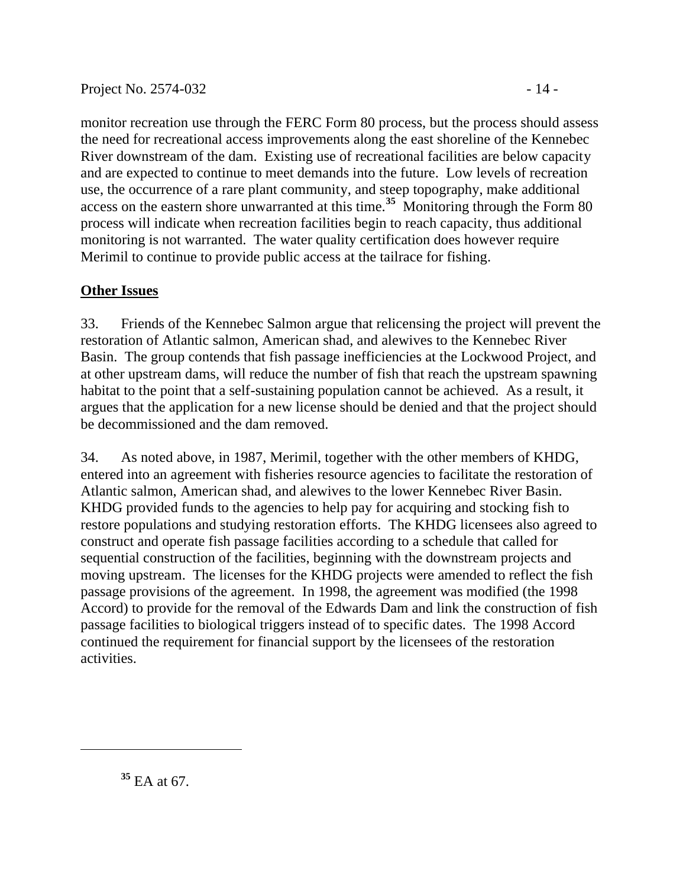monitor recreation use through the FERC Form 80 process, but the process should assess the need for recreational access improvements along the east shoreline of the Kennebec River downstream of the dam. Existing use of recreational facilities are below capacity and are expected to continue to meet demands into the future. Low levels of recreation use, the occurrence of a rare plant community, and steep topography, make additional

access on the eastern shore unwarranted at this time.**<sup>35</sup>** Monitoring through the Form 80 process will indicate when recreation facilities begin to reach capacity, thus additional monitoring is not warranted. The water quality certification does however require Merimil to continue to provide public access at the tailrace for fishing.

# **Other Issues**

33. Friends of the Kennebec Salmon argue that relicensing the project will prevent the restoration of Atlantic salmon, American shad, and alewives to the Kennebec River Basin. The group contends that fish passage inefficiencies at the Lockwood Project, and at other upstream dams, will reduce the number of fish that reach the upstream spawning habitat to the point that a self-sustaining population cannot be achieved. As a result, it argues that the application for a new license should be denied and that the project should be decommissioned and the dam removed.

34. As noted above, in 1987, Merimil, together with the other members of KHDG, entered into an agreement with fisheries resource agencies to facilitate the restoration of Atlantic salmon, American shad, and alewives to the lower Kennebec River Basin. KHDG provided funds to the agencies to help pay for acquiring and stocking fish to restore populations and studying restoration efforts. The KHDG licensees also agreed to construct and operate fish passage facilities according to a schedule that called for sequential construction of the facilities, beginning with the downstream projects and moving upstream. The licenses for the KHDG projects were amended to reflect the fish passage provisions of the agreement. In 1998, the agreement was modified (the 1998 Accord) to provide for the removal of the Edwards Dam and link the construction of fish passage facilities to biological triggers instead of to specific dates. The 1998 Accord continued the requirement for financial support by the licensees of the restoration activities.

 $\overline{a}$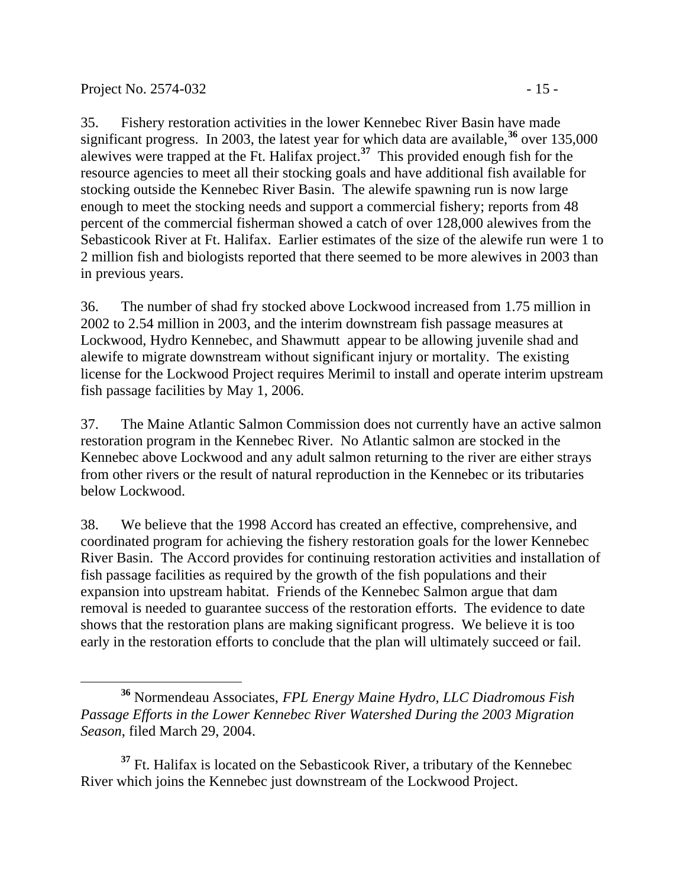$\overline{a}$ 

35. Fishery restoration activities in the lower Kennebec River Basin have made significant progress. In 2003, the latest year for which data are available,**<sup>36</sup>** over 135,000 alewives were trapped at the Ft. Halifax project.**<sup>37</sup>** This provided enough fish for the resource agencies to meet all their stocking goals and have additional fish available for stocking outside the Kennebec River Basin. The alewife spawning run is now large enough to meet the stocking needs and support a commercial fishery; reports from 48 percent of the commercial fisherman showed a catch of over 128,000 alewives from the Sebasticook River at Ft. Halifax. Earlier estimates of the size of the alewife run were 1 to 2 million fish and biologists reported that there seemed to be more alewives in 2003 than in previous years.

36. The number of shad fry stocked above Lockwood increased from 1.75 million in 2002 to 2.54 million in 2003, and the interim downstream fish passage measures at Lockwood, Hydro Kennebec, and Shawmutt appear to be allowing juvenile shad and alewife to migrate downstream without significant injury or mortality. The existing license for the Lockwood Project requires Merimil to install and operate interim upstream fish passage facilities by May 1, 2006.

37. The Maine Atlantic Salmon Commission does not currently have an active salmon restoration program in the Kennebec River. No Atlantic salmon are stocked in the Kennebec above Lockwood and any adult salmon returning to the river are either strays from other rivers or the result of natural reproduction in the Kennebec or its tributaries below Lockwood.

38. We believe that the 1998 Accord has created an effective, comprehensive, and coordinated program for achieving the fishery restoration goals for the lower Kennebec River Basin. The Accord provides for continuing restoration activities and installation of fish passage facilities as required by the growth of the fish populations and their expansion into upstream habitat. Friends of the Kennebec Salmon argue that dam removal is needed to guarantee success of the restoration efforts. The evidence to date shows that the restoration plans are making significant progress. We believe it is too early in the restoration efforts to conclude that the plan will ultimately succeed or fail.

<sup>37</sup> Ft. Halifax is located on the Sebasticook River, a tributary of the Kennebec River which joins the Kennebec just downstream of the Lockwood Project.

**<sup>36</sup>** Normendeau Associates, *FPL Energy Maine Hydro, LLC Diadromous Fish Passage Efforts in the Lower Kennebec River Watershed During the 2003 Migration Season*, filed March 29, 2004.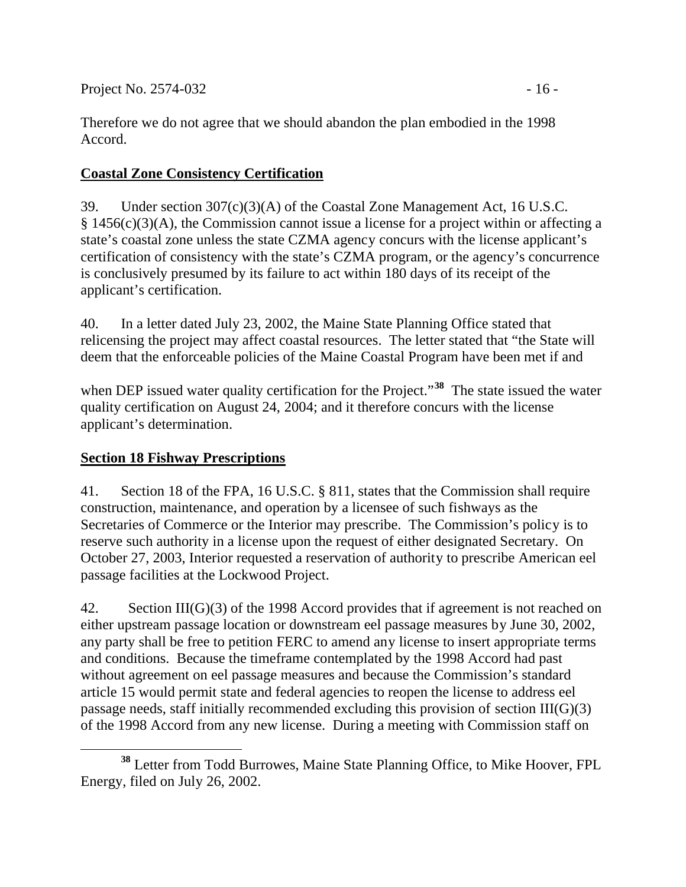Therefore we do not agree that we should abandon the plan embodied in the 1998 Accord.

# **Coastal Zone Consistency Certification**

39. Under section 307(c)(3)(A) of the Coastal Zone Management Act, 16 U.S.C. § 1456(c)(3)(A), the Commission cannot issue a license for a project within or affecting a state's coastal zone unless the state CZMA agency concurs with the license applicant's certification of consistency with the state's CZMA program, or the agency's concurrence is conclusively presumed by its failure to act within 180 days of its receipt of the applicant's certification.

40. In a letter dated July 23, 2002, the Maine State Planning Office stated that relicensing the project may affect coastal resources. The letter stated that "the State will deem that the enforceable policies of the Maine Coastal Program have been met if and

when DEP issued water quality certification for the Project.<sup>"38</sup> The state issued the water quality certification on August 24, 2004; and it therefore concurs with the license applicant's determination.

## **Section 18 Fishway Prescriptions**

41. Section 18 of the FPA, 16 U.S.C. § 811, states that the Commission shall require construction, maintenance, and operation by a licensee of such fishways as the Secretaries of Commerce or the Interior may prescribe. The Commission's policy is to reserve such authority in a license upon the request of either designated Secretary. On October 27, 2003, Interior requested a reservation of authority to prescribe American eel passage facilities at the Lockwood Project.

42. Section III(G)(3) of the 1998 Accord provides that if agreement is not reached on either upstream passage location or downstream eel passage measures by June 30, 2002, any party shall be free to petition FERC to amend any license to insert appropriate terms and conditions. Because the timeframe contemplated by the 1998 Accord had past without agreement on eel passage measures and because the Commission's standard article 15 would permit state and federal agencies to reopen the license to address eel passage needs, staff initially recommended excluding this provision of section III(G)(3) of the 1998 Accord from any new license. During a meeting with Commission staff on

 $\overline{a}$ **<sup>38</sup>** Letter from Todd Burrowes, Maine State Planning Office, to Mike Hoover, FPL Energy, filed on July 26, 2002.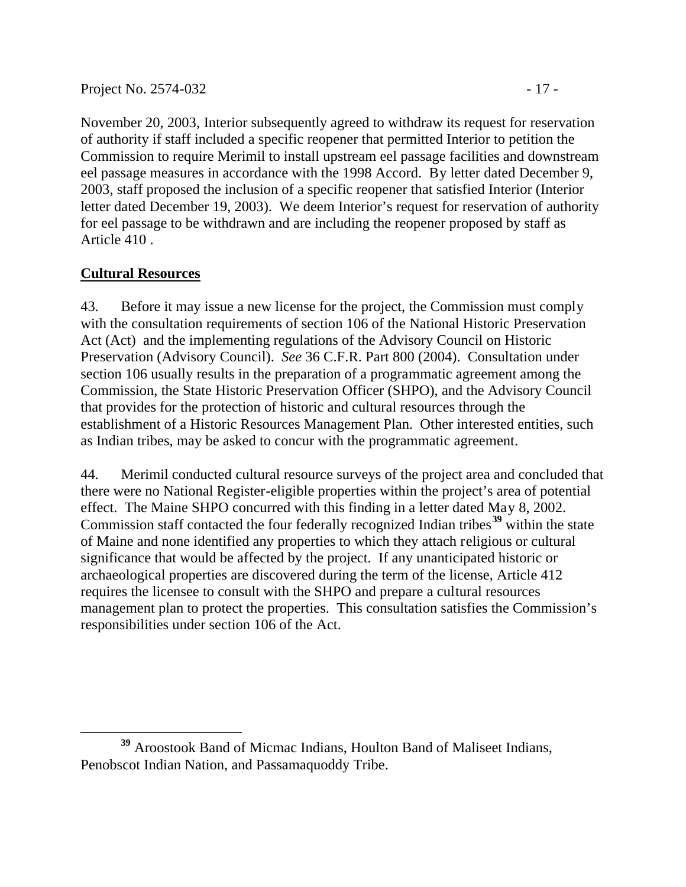November 20, 2003, Interior subsequently agreed to withdraw its request for reservation of authority if staff included a specific reopener that permitted Interior to petition the Commission to require Merimil to install upstream eel passage facilities and downstream eel passage measures in accordance with the 1998 Accord. By letter dated December 9, 2003, staff proposed the inclusion of a specific reopener that satisfied Interior (Interior letter dated December 19, 2003). We deem Interior's request for reservation of authority for eel passage to be withdrawn and are including the reopener proposed by staff as Article 410 .

## **Cultural Resources**

43. Before it may issue a new license for the project, the Commission must comply with the consultation requirements of section 106 of the National Historic Preservation Act (Act) and the implementing regulations of the Advisory Council on Historic Preservation (Advisory Council). *See* 36 C.F.R. Part 800 (2004). Consultation under section 106 usually results in the preparation of a programmatic agreement among the Commission, the State Historic Preservation Officer (SHPO), and the Advisory Council that provides for the protection of historic and cultural resources through the establishment of a Historic Resources Management Plan. Other interested entities, such as Indian tribes, may be asked to concur with the programmatic agreement.

44. Merimil conducted cultural resource surveys of the project area and concluded that there were no National Register-eligible properties within the project's area of potential effect. The Maine SHPO concurred with this finding in a letter dated May 8, 2002. Commission staff contacted the four federally recognized Indian tribes**<sup>39</sup>** within the state of Maine and none identified any properties to which they attach religious or cultural significance that would be affected by the project. If any unanticipated historic or archaeological properties are discovered during the term of the license, Article 412 requires the licensee to consult with the SHPO and prepare a cultural resources management plan to protect the properties. This consultation satisfies the Commission's responsibilities under section 106 of the Act.

 $\overline{a}$ **<sup>39</sup>** Aroostook Band of Micmac Indians, Houlton Band of Maliseet Indians, Penobscot Indian Nation, and Passamaquoddy Tribe.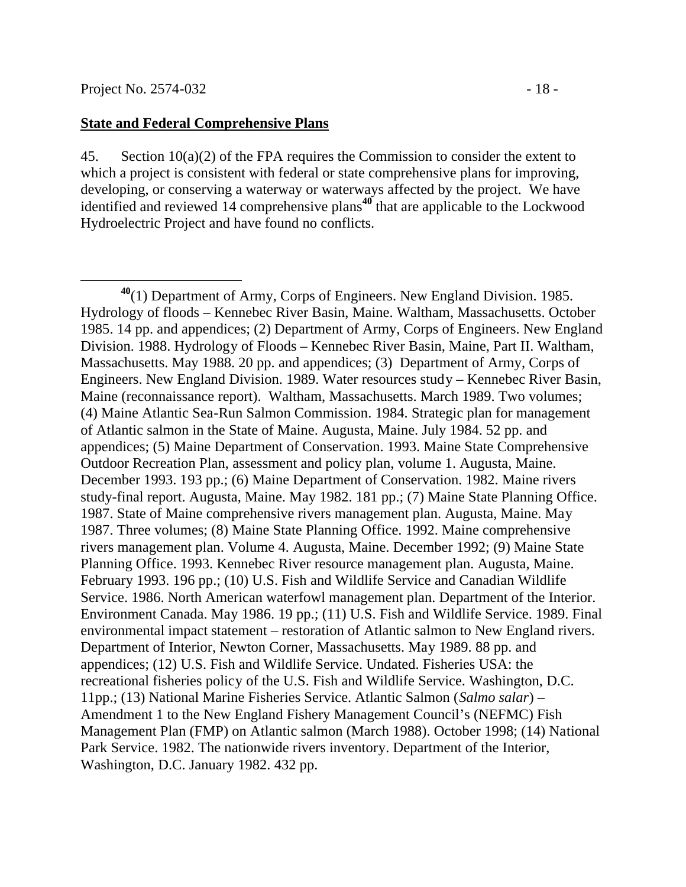#### **State and Federal Comprehensive Plans**

45. Section  $10(a)(2)$  of the FPA requires the Commission to consider the extent to which a project is consistent with federal or state comprehensive plans for improving, developing, or conserving a waterway or waterways affected by the project. We have identified and reviewed 14 comprehensive plans**<sup>40</sup>** that are applicable to the Lockwood Hydroelectric Project and have found no conflicts.

**<sup>40</sup>**(1) Department of Army, Corps of Engineers. New England Division. 1985. Hydrology of floods – Kennebec River Basin, Maine. Waltham, Massachusetts. October 1985. 14 pp. and appendices; (2) Department of Army, Corps of Engineers. New England Division. 1988. Hydrology of Floods – Kennebec River Basin, Maine, Part II. Waltham, Massachusetts. May 1988. 20 pp. and appendices; (3) Department of Army, Corps of Engineers. New England Division. 1989. Water resources study – Kennebec River Basin, Maine (reconnaissance report). Waltham, Massachusetts. March 1989. Two volumes; (4) Maine Atlantic Sea-Run Salmon Commission. 1984. Strategic plan for management of Atlantic salmon in the State of Maine. Augusta, Maine. July 1984. 52 pp. and appendices; (5) Maine Department of Conservation. 1993. Maine State Comprehensive Outdoor Recreation Plan, assessment and policy plan, volume 1. Augusta, Maine. December 1993. 193 pp.; (6) Maine Department of Conservation. 1982. Maine rivers study-final report. Augusta, Maine. May 1982. 181 pp.; (7) Maine State Planning Office. 1987. State of Maine comprehensive rivers management plan. Augusta, Maine. May 1987. Three volumes; (8) Maine State Planning Office. 1992. Maine comprehensive rivers management plan. Volume 4. Augusta, Maine. December 1992; (9) Maine State Planning Office. 1993. Kennebec River resource management plan. Augusta, Maine. February 1993. 196 pp.; (10) U.S. Fish and Wildlife Service and Canadian Wildlife Service. 1986. North American waterfowl management plan. Department of the Interior. Environment Canada. May 1986. 19 pp.; (11) U.S. Fish and Wildlife Service. 1989. Final environmental impact statement – restoration of Atlantic salmon to New England rivers. Department of Interior, Newton Corner, Massachusetts. May 1989. 88 pp. and appendices; (12) U.S. Fish and Wildlife Service. Undated. Fisheries USA: the recreational fisheries policy of the U.S. Fish and Wildlife Service. Washington, D.C. 11pp.; (13) National Marine Fisheries Service. Atlantic Salmon (*Salmo salar*) – Amendment 1 to the New England Fishery Management Council's (NEFMC) Fish Management Plan (FMP) on Atlantic salmon (March 1988). October 1998; (14) National Park Service. 1982. The nationwide rivers inventory. Department of the Interior, Washington, D.C. January 1982. 432 pp.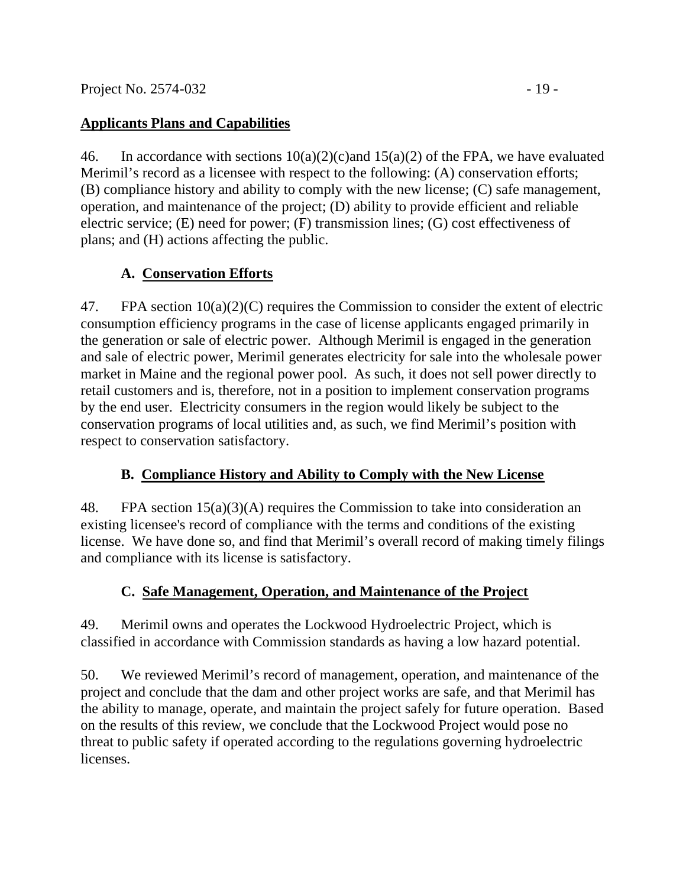# **Applicants Plans and Capabilities**

46. In accordance with sections  $10(a)(2)(c)$  and  $15(a)(2)$  of the FPA, we have evaluated Merimil's record as a licensee with respect to the following: (A) conservation efforts; (B) compliance history and ability to comply with the new license; (C) safe management, operation, and maintenance of the project; (D) ability to provide efficient and reliable electric service; (E) need for power; (F) transmission lines; (G) cost effectiveness of plans; and (H) actions affecting the public.

# **A. Conservation Efforts**

47. FPA section 10(a)(2)(C) requires the Commission to consider the extent of electric consumption efficiency programs in the case of license applicants engaged primarily in the generation or sale of electric power. Although Merimil is engaged in the generation and sale of electric power, Merimil generates electricity for sale into the wholesale power market in Maine and the regional power pool. As such, it does not sell power directly to retail customers and is, therefore, not in a position to implement conservation programs by the end user. Electricity consumers in the region would likely be subject to the conservation programs of local utilities and, as such, we find Merimil's position with respect to conservation satisfactory.

# **B. Compliance History and Ability to Comply with the New License**

48. FPA section 15(a)(3)(A) requires the Commission to take into consideration an existing licensee's record of compliance with the terms and conditions of the existing license. We have done so, and find that Merimil's overall record of making timely filings and compliance with its license is satisfactory.

# **C. Safe Management, Operation, and Maintenance of the Project**

49. Merimil owns and operates the Lockwood Hydroelectric Project, which is classified in accordance with Commission standards as having a low hazard potential.

50. We reviewed Merimil's record of management, operation, and maintenance of the project and conclude that the dam and other project works are safe, and that Merimil has the ability to manage, operate, and maintain the project safely for future operation. Based on the results of this review, we conclude that the Lockwood Project would pose no threat to public safety if operated according to the regulations governing hydroelectric licenses.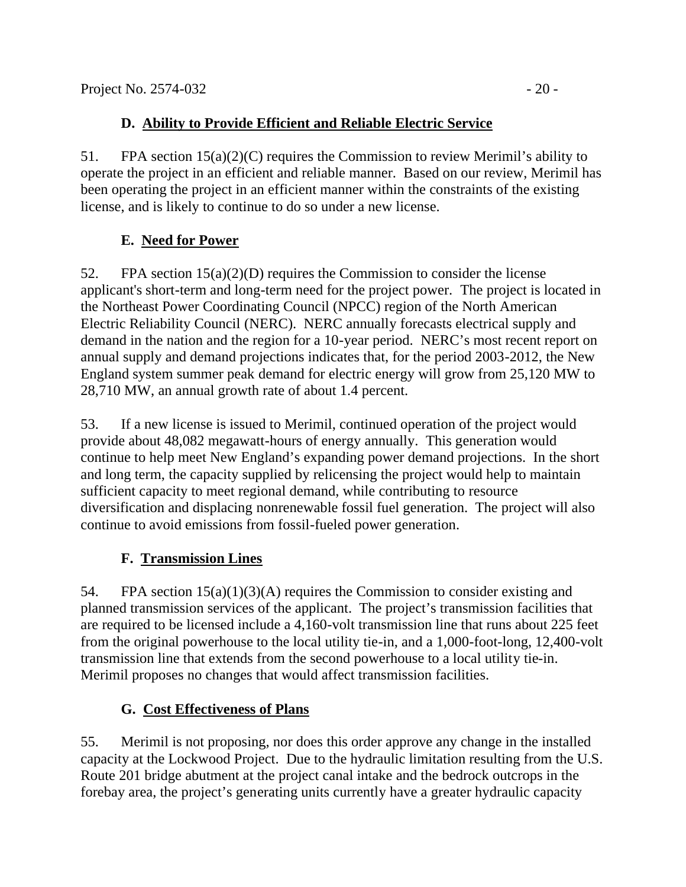# **D. Ability to Provide Efficient and Reliable Electric Service**

51. FPA section 15(a)(2)(C) requires the Commission to review Merimil's ability to operate the project in an efficient and reliable manner. Based on our review, Merimil has been operating the project in an efficient manner within the constraints of the existing license, and is likely to continue to do so under a new license.

# **E. Need for Power**

52. FPA section 15(a)(2)(D) requires the Commission to consider the license applicant's short-term and long-term need for the project power. The project is located in the Northeast Power Coordinating Council (NPCC) region of the North American Electric Reliability Council (NERC). NERC annually forecasts electrical supply and demand in the nation and the region for a 10-year period. NERC's most recent report on annual supply and demand projections indicates that, for the period 2003-2012, the New England system summer peak demand for electric energy will grow from 25,120 MW to 28,710 MW, an annual growth rate of about 1.4 percent.

53. If a new license is issued to Merimil, continued operation of the project would provide about 48,082 megawatt-hours of energy annually. This generation would continue to help meet New England's expanding power demand projections. In the short and long term, the capacity supplied by relicensing the project would help to maintain sufficient capacity to meet regional demand, while contributing to resource diversification and displacing nonrenewable fossil fuel generation. The project will also continue to avoid emissions from fossil-fueled power generation.

# **F. Transmission Lines**

54. FPA section 15(a)(1)(3)(A) requires the Commission to consider existing and planned transmission services of the applicant. The project's transmission facilities that are required to be licensed include a 4,160-volt transmission line that runs about 225 feet from the original powerhouse to the local utility tie-in, and a 1,000-foot-long, 12,400-volt transmission line that extends from the second powerhouse to a local utility tie-in. Merimil proposes no changes that would affect transmission facilities.

# **G. Cost Effectiveness of Plans**

55. Merimil is not proposing, nor does this order approve any change in the installed capacity at the Lockwood Project. Due to the hydraulic limitation resulting from the U.S. Route 201 bridge abutment at the project canal intake and the bedrock outcrops in the forebay area, the project's generating units currently have a greater hydraulic capacity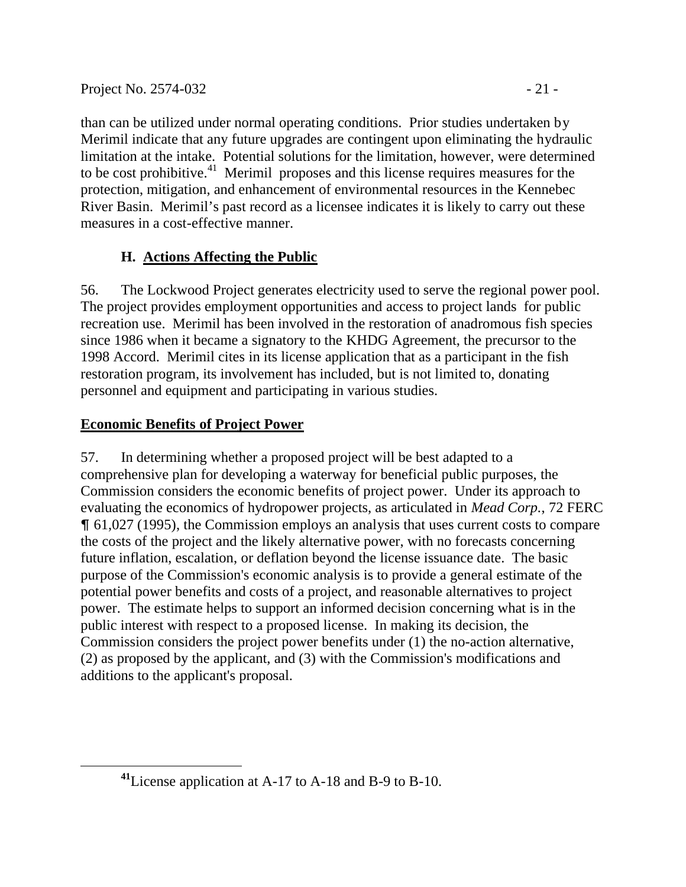than can be utilized under normal operating conditions. Prior studies undertaken by Merimil indicate that any future upgrades are contingent upon eliminating the hydraulic limitation at the intake. Potential solutions for the limitation, however, were determined to be cost prohibitive.<sup>41</sup> Merimil proposes and this license requires measures for the protection, mitigation, and enhancement of environmental resources in the Kennebec River Basin. Merimil's past record as a licensee indicates it is likely to carry out these measures in a cost-effective manner.

# **H. Actions Affecting the Public**

56. The Lockwood Project generates electricity used to serve the regional power pool. The project provides employment opportunities and access to project lands for public recreation use. Merimil has been involved in the restoration of anadromous fish species since 1986 when it became a signatory to the KHDG Agreement, the precursor to the 1998 Accord. Merimil cites in its license application that as a participant in the fish restoration program, its involvement has included, but is not limited to, donating personnel and equipment and participating in various studies.

# **Economic Benefits of Project Power**

57. In determining whether a proposed project will be best adapted to a comprehensive plan for developing a waterway for beneficial public purposes, the Commission considers the economic benefits of project power. Under its approach to evaluating the economics of hydropower projects, as articulated in *Mead Corp.*, 72 FERC & 61,027 (1995), the Commission employs an analysis that uses current costs to compare the costs of the project and the likely alternative power, with no forecasts concerning future inflation, escalation, or deflation beyond the license issuance date. The basic purpose of the Commission's economic analysis is to provide a general estimate of the potential power benefits and costs of a project, and reasonable alternatives to project power. The estimate helps to support an informed decision concerning what is in the public interest with respect to a proposed license. In making its decision, the Commission considers the project power benefits under (1) the no-action alternative, (2) as proposed by the applicant, and (3) with the Commission's modifications and additions to the applicant's proposal.

**<sup>41</sup>**License application at A-17 to A-18 and B-9 to B-10.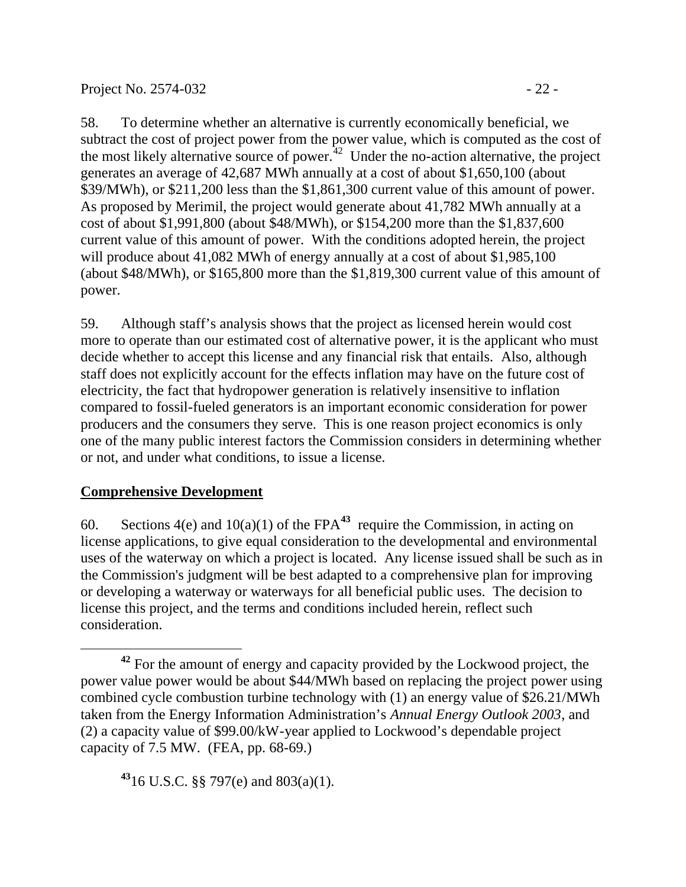58. To determine whether an alternative is currently economically beneficial, we subtract the cost of project power from the power value, which is computed as the cost of the most likely alternative source of power. $^{42}$  Under the no-action alternative, the project generates an average of 42,687 MWh annually at a cost of about \$1,650,100 (about \$39/MWh), or \$211,200 less than the \$1,861,300 current value of this amount of power. As proposed by Merimil, the project would generate about 41,782 MWh annually at a cost of about \$1,991,800 (about \$48/MWh), or \$154,200 more than the \$1,837,600 current value of this amount of power. With the conditions adopted herein, the project will produce about 41,082 MWh of energy annually at a cost of about \$1,985,100 (about \$48/MWh), or \$165,800 more than the \$1,819,300 current value of this amount of power.

59. Although staff's analysis shows that the project as licensed herein would cost more to operate than our estimated cost of alternative power, it is the applicant who must decide whether to accept this license and any financial risk that entails. Also, although staff does not explicitly account for the effects inflation may have on the future cost of electricity, the fact that hydropower generation is relatively insensitive to inflation compared to fossil-fueled generators is an important economic consideration for power producers and the consumers they serve. This is one reason project economics is only one of the many public interest factors the Commission considers in determining whether or not, and under what conditions, to issue a license.

## **Comprehensive Development**

60. Sections  $4(e)$  and  $10(a)(1)$  of the FPA<sup>43</sup> require the Commission, in acting on license applications, to give equal consideration to the developmental and environmental uses of the waterway on which a project is located. Any license issued shall be such as in the Commission's judgment will be best adapted to a comprehensive plan for improving or developing a waterway or waterways for all beneficial public uses. The decision to license this project, and the terms and conditions included herein, reflect such consideration.

**<sup>43</sup>**16 U.S.C. §§ 797(e) and 803(a)(1).

 **<sup>42</sup>** For the amount of energy and capacity provided by the Lockwood project, the power value power would be about \$44/MWh based on replacing the project power using combined cycle combustion turbine technology with (1) an energy value of \$26.21/MWh taken from the Energy Information Administration's *Annual Energy Outlook 2003*, and (2) a capacity value of \$99.00/kW-year applied to Lockwood's dependable project capacity of 7.5 MW. (FEA, pp. 68-69.)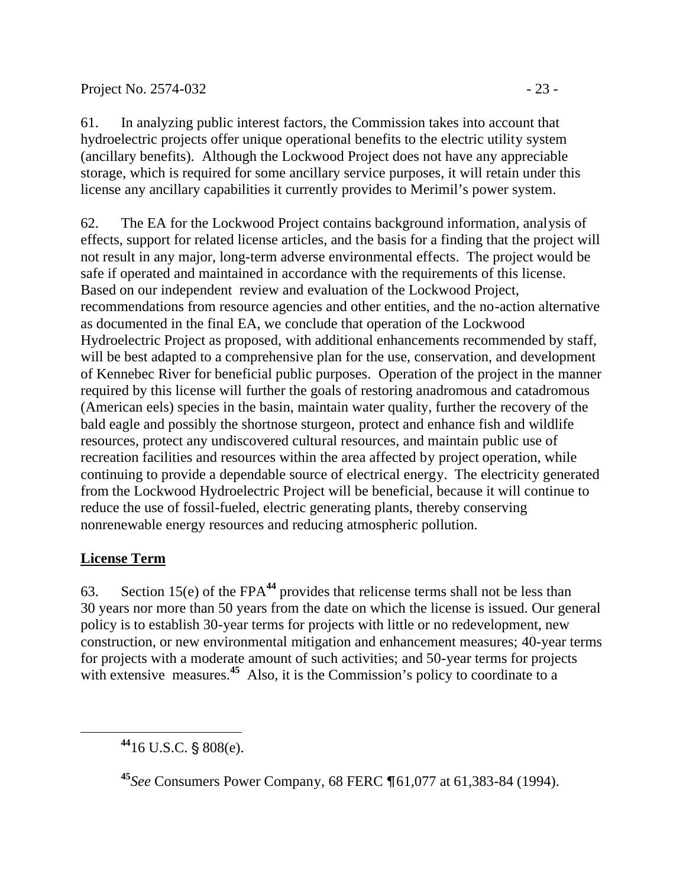61. In analyzing public interest factors, the Commission takes into account that hydroelectric projects offer unique operational benefits to the electric utility system (ancillary benefits). Although the Lockwood Project does not have any appreciable storage, which is required for some ancillary service purposes, it will retain under this license any ancillary capabilities it currently provides to Merimil's power system.

62. The EA for the Lockwood Project contains background information, analysis of effects, support for related license articles, and the basis for a finding that the project will not result in any major, long-term adverse environmental effects. The project would be safe if operated and maintained in accordance with the requirements of this license. Based on our independent review and evaluation of the Lockwood Project, recommendations from resource agencies and other entities, and the no-action alternative as documented in the final EA, we conclude that operation of the Lockwood Hydroelectric Project as proposed, with additional enhancements recommended by staff, will be best adapted to a comprehensive plan for the use, conservation, and development of Kennebec River for beneficial public purposes. Operation of the project in the manner required by this license will further the goals of restoring anadromous and catadromous (American eels) species in the basin, maintain water quality, further the recovery of the bald eagle and possibly the shortnose sturgeon, protect and enhance fish and wildlife resources, protect any undiscovered cultural resources, and maintain public use of recreation facilities and resources within the area affected by project operation, while continuing to provide a dependable source of electrical energy. The electricity generated from the Lockwood Hydroelectric Project will be beneficial, because it will continue to reduce the use of fossil-fueled, electric generating plants, thereby conserving nonrenewable energy resources and reducing atmospheric pollution.

# **License Term**

 $\overline{a}$ 

63. Section 15(e) of the FPA<sup>44</sup> provides that relicense terms shall not be less than 30 years nor more than 50 years from the date on which the license is issued. Our general policy is to establish 30-year terms for projects with little or no redevelopment, new construction, or new environmental mitigation and enhancement measures; 40-year terms for projects with a moderate amount of such activities; and 50-year terms for projects with extensive measures.<sup>45</sup> Also, it is the Commission's policy to coordinate to a

 $44$ <sub>16</sub> U.S.C. § 808(e).

<sup>45</sup>*See* Consumers Power Company, 68 FERC ¶61,077 at 61,383-84 (1994).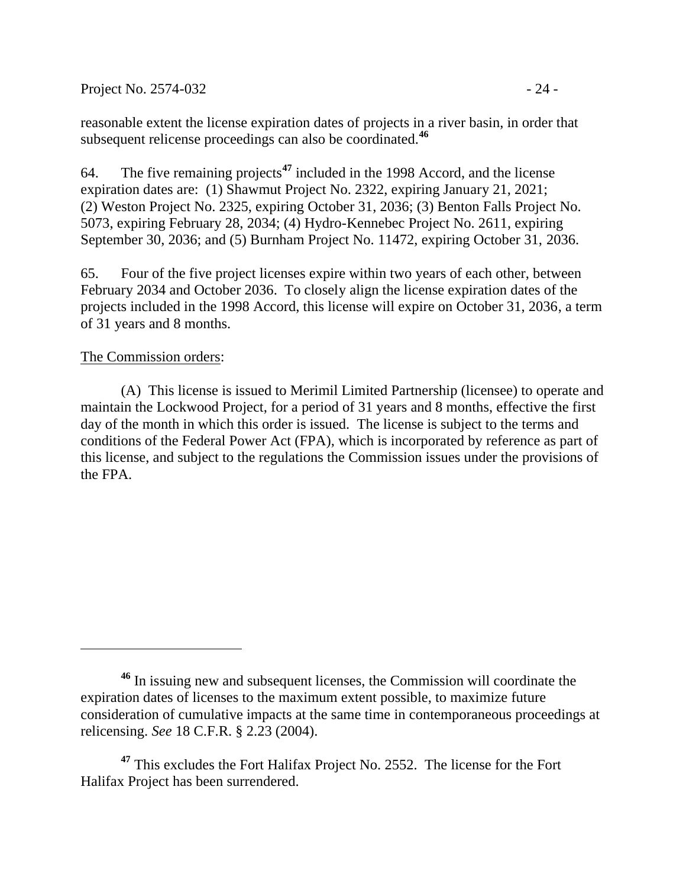Project No. 2574-032 - 24 -

reasonable extent the license expiration dates of projects in a river basin, in order that subsequent relicense proceedings can also be coordinated.**<sup>46</sup>**

64. The five remaining projects**<sup>47</sup>** included in the 1998 Accord, and the license expiration dates are: (1) Shawmut Project No. 2322, expiring January 21, 2021; (2) Weston Project No. 2325, expiring October 31, 2036; (3) Benton Falls Project No. 5073, expiring February 28, 2034; (4) Hydro-Kennebec Project No. 2611, expiring September 30, 2036; and (5) Burnham Project No. 11472, expiring October 31, 2036.

65. Four of the five project licenses expire within two years of each other, between February 2034 and October 2036. To closely align the license expiration dates of the projects included in the 1998 Accord, this license will expire on October 31, 2036, a term of 31 years and 8 months.

#### The Commission orders:

(A) This license is issued to Merimil Limited Partnership (licensee) to operate and maintain the Lockwood Project, for a period of 31 years and 8 months, effective the first day of the month in which this order is issued. The license is subject to the terms and conditions of the Federal Power Act (FPA), which is incorporated by reference as part of this license, and subject to the regulations the Commission issues under the provisions of the FPA.

**<sup>47</sup>** This excludes the Fort Halifax Project No. 2552. The license for the Fort Halifax Project has been surrendered.

**<sup>46</sup>** In issuing new and subsequent licenses, the Commission will coordinate the expiration dates of licenses to the maximum extent possible, to maximize future consideration of cumulative impacts at the same time in contemporaneous proceedings at relicensing. *See* 18 C.F.R. § 2.23 (2004).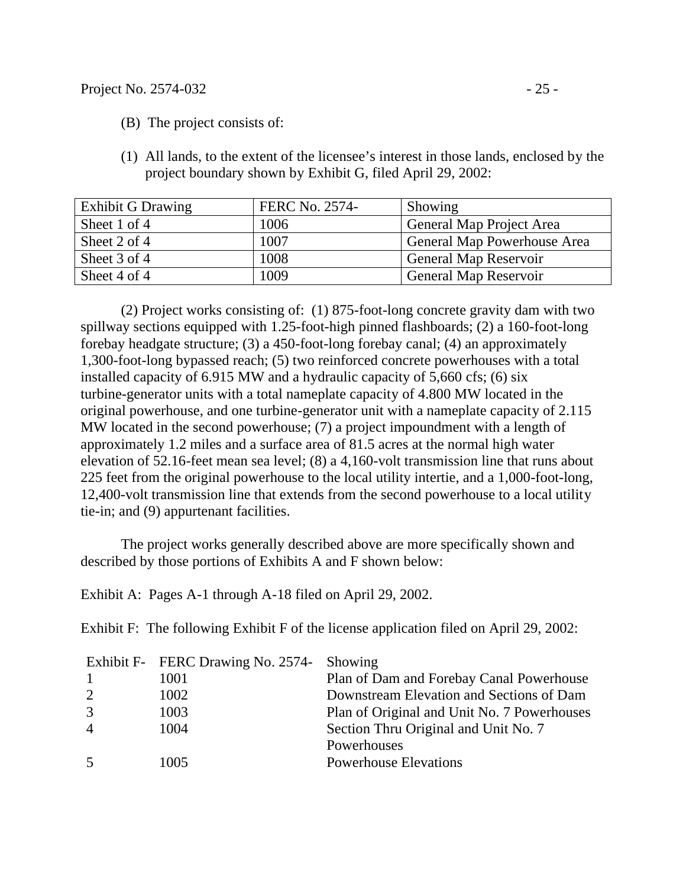- (B) The project consists of:
- (1) All lands, to the extent of the licensee's interest in those lands, enclosed by the project boundary shown by Exhibit G, filed April 29, 2002:

| <b>Exhibit G Drawing</b> | <b>FERC No. 2574-</b> | Showing                      |
|--------------------------|-----------------------|------------------------------|
| Sheet 1 of 4             | 1006                  | General Map Project Area     |
| Sheet 2 of 4             | 1007                  | General Map Powerhouse Area  |
| Sheet 3 of 4             | 1008                  | <b>General Map Reservoir</b> |
| Sheet 4 of 4             | 1009                  | <b>General Map Reservoir</b> |

(2) Project works consisting of: (1) 875-foot-long concrete gravity dam with two spillway sections equipped with 1.25-foot-high pinned flashboards; (2) a 160-foot-long forebay headgate structure; (3) a 450-foot-long forebay canal; (4) an approximately 1,300-foot-long bypassed reach; (5) two reinforced concrete powerhouses with a total installed capacity of 6.915 MW and a hydraulic capacity of 5,660 cfs; (6) six turbine-generator units with a total nameplate capacity of 4.800 MW located in the original powerhouse, and one turbine-generator unit with a nameplate capacity of 2.115 MW located in the second powerhouse; (7) a project impoundment with a length of approximately 1.2 miles and a surface area of 81.5 acres at the normal high water elevation of 52.16-feet mean sea level; (8) a 4,160-volt transmission line that runs about 225 feet from the original powerhouse to the local utility intertie, and a 1,000-foot-long, 12,400-volt transmission line that extends from the second powerhouse to a local utility tie-in; and (9) appurtenant facilities.

The project works generally described above are more specifically shown and described by those portions of Exhibits A and F shown below:

Exhibit A: Pages A-1 through A-18 filed on April 29, 2002.

Exhibit F: The following Exhibit F of the license application filed on April 29, 2002:

|                | Exhibit F- FERC Drawing No. 2574- Showing |                                             |
|----------------|-------------------------------------------|---------------------------------------------|
| $\overline{1}$ | 1001                                      | Plan of Dam and Forebay Canal Powerhouse    |
| 2              | 1002                                      | Downstream Elevation and Sections of Dam    |
| 3              | 1003                                      | Plan of Original and Unit No. 7 Powerhouses |
| $\overline{4}$ | 1004                                      | Section Thru Original and Unit No. 7        |
|                |                                           | Powerhouses                                 |
| -5             | 1005                                      | <b>Powerhouse Elevations</b>                |
|                |                                           |                                             |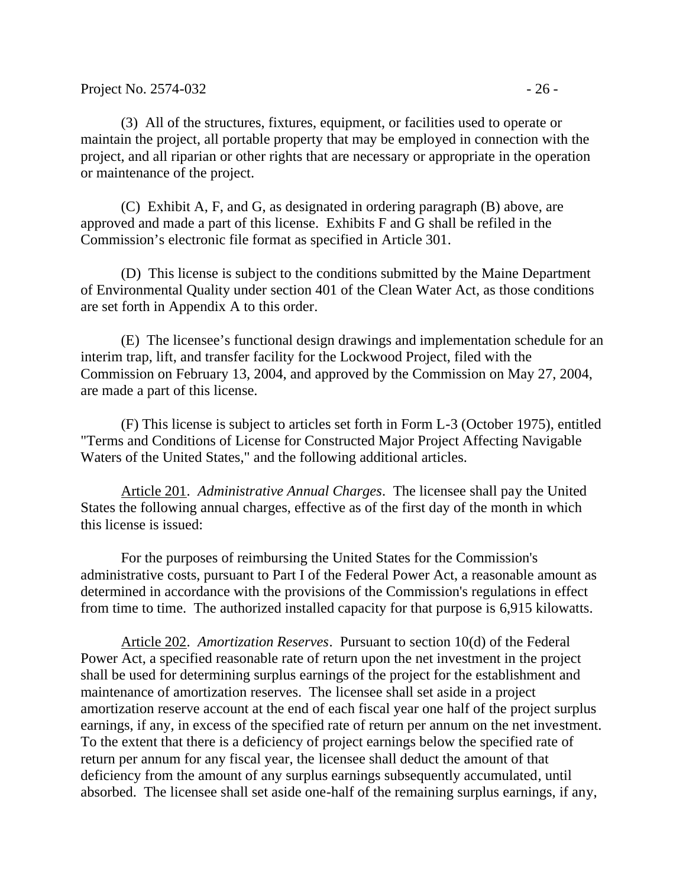(3) All of the structures, fixtures, equipment, or facilities used to operate or maintain the project, all portable property that may be employed in connection with the project, and all riparian or other rights that are necessary or appropriate in the operation or maintenance of the project.

(C) Exhibit A, F, and G, as designated in ordering paragraph (B) above, are approved and made a part of this license. Exhibits F and G shall be refiled in the Commission's electronic file format as specified in Article 301.

(D) This license is subject to the conditions submitted by the Maine Department of Environmental Quality under section 401 of the Clean Water Act, as those conditions are set forth in Appendix A to this order.

(E) The licensee's functional design drawings and implementation schedule for an interim trap, lift, and transfer facility for the Lockwood Project, filed with the Commission on February 13, 2004, and approved by the Commission on May 27, 2004, are made a part of this license.

(F) This license is subject to articles set forth in Form L-3 (October 1975), entitled "Terms and Conditions of License for Constructed Major Project Affecting Navigable Waters of the United States," and the following additional articles.

Article 201. *Administrative Annual Charges*. The licensee shall pay the United States the following annual charges, effective as of the first day of the month in which this license is issued:

For the purposes of reimbursing the United States for the Commission's administrative costs, pursuant to Part I of the Federal Power Act, a reasonable amount as determined in accordance with the provisions of the Commission's regulations in effect from time to time. The authorized installed capacity for that purpose is 6,915 kilowatts.

Article 202. *Amortization Reserves*. Pursuant to section 10(d) of the Federal Power Act, a specified reasonable rate of return upon the net investment in the project shall be used for determining surplus earnings of the project for the establishment and maintenance of amortization reserves. The licensee shall set aside in a project amortization reserve account at the end of each fiscal year one half of the project surplus earnings, if any, in excess of the specified rate of return per annum on the net investment. To the extent that there is a deficiency of project earnings below the specified rate of return per annum for any fiscal year, the licensee shall deduct the amount of that deficiency from the amount of any surplus earnings subsequently accumulated, until absorbed. The licensee shall set aside one-half of the remaining surplus earnings, if any,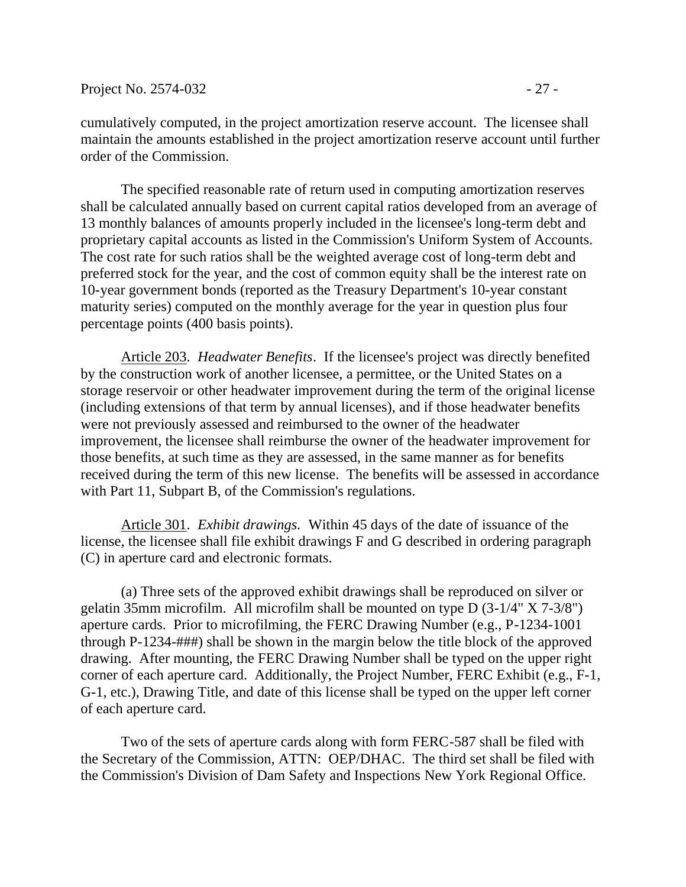cumulatively computed, in the project amortization reserve account. The licensee shall maintain the amounts established in the project amortization reserve account until further order of the Commission.

The specified reasonable rate of return used in computing amortization reserves shall be calculated annually based on current capital ratios developed from an average of 13 monthly balances of amounts properly included in the licensee's long-term debt and proprietary capital accounts as listed in the Commission's Uniform System of Accounts. The cost rate for such ratios shall be the weighted average cost of long-term debt and preferred stock for the year, and the cost of common equity shall be the interest rate on 10-year government bonds (reported as the Treasury Department's 10-year constant maturity series) computed on the monthly average for the year in question plus four percentage points (400 basis points).

Article 203. *Headwater Benefits*. If the licensee's project was directly benefited by the construction work of another licensee, a permittee, or the United States on a storage reservoir or other headwater improvement during the term of the original license (including extensions of that term by annual licenses), and if those headwater benefits were not previously assessed and reimbursed to the owner of the headwater improvement, the licensee shall reimburse the owner of the headwater improvement for those benefits, at such time as they are assessed, in the same manner as for benefits received during the term of this new license. The benefits will be assessed in accordance with Part 11, Subpart B, of the Commission's regulations.

Article 301. *Exhibit drawings.* Within 45 days of the date of issuance of the license, the licensee shall file exhibit drawings F and G described in ordering paragraph (C) in aperture card and electronic formats.

(a) Three sets of the approved exhibit drawings shall be reproduced on silver or gelatin 35mm microfilm. All microfilm shall be mounted on type D (3-1/4" X 7-3/8") aperture cards. Prior to microfilming, the FERC Drawing Number (e.g., P-1234-1001 through P-1234-###) shall be shown in the margin below the title block of the approved drawing. After mounting, the FERC Drawing Number shall be typed on the upper right corner of each aperture card. Additionally, the Project Number, FERC Exhibit (e.g., F-1, G-1, etc.), Drawing Title, and date of this license shall be typed on the upper left corner of each aperture card.

Two of the sets of aperture cards along with form FERC-587 shall be filed with the Secretary of the Commission, ATTN: OEP/DHAC. The third set shall be filed with the Commission's Division of Dam Safety and Inspections New York Regional Office.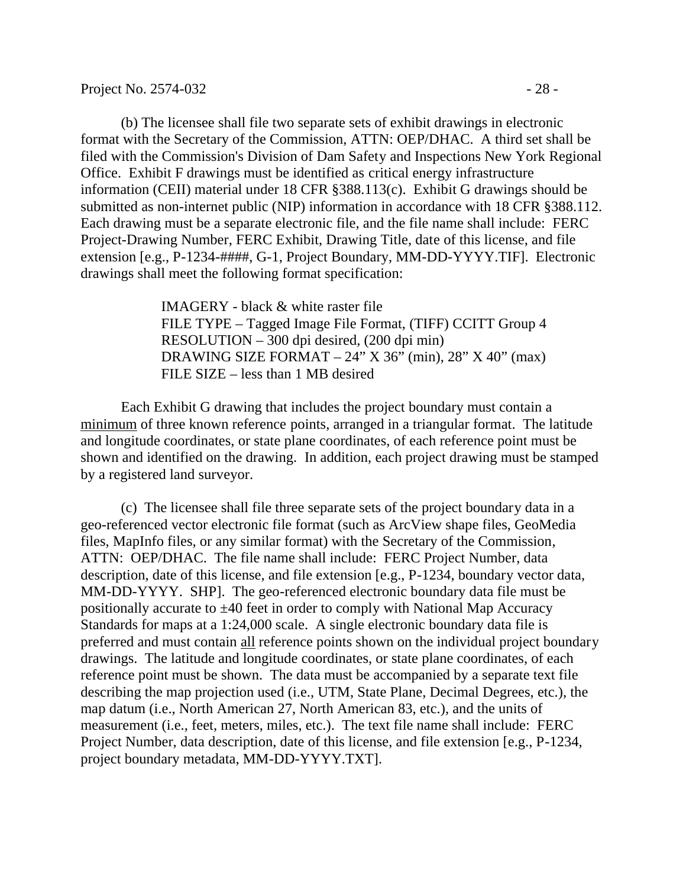(b) The licensee shall file two separate sets of exhibit drawings in electronic format with the Secretary of the Commission, ATTN: OEP/DHAC. A third set shall be filed with the Commission's Division of Dam Safety and Inspections New York Regional Office. Exhibit F drawings must be identified as critical energy infrastructure information (CEII) material under 18 CFR §388.113(c). Exhibit G drawings should be submitted as non-internet public (NIP) information in accordance with 18 CFR §388.112. Each drawing must be a separate electronic file, and the file name shall include: FERC Project-Drawing Number, FERC Exhibit, Drawing Title, date of this license, and file extension [e.g., P-1234-####, G-1, Project Boundary, MM-DD-YYYY.TIF]. Electronic drawings shall meet the following format specification:

> IMAGERY - black & white raster file FILE TYPE – Tagged Image File Format, (TIFF) CCITT Group 4 RESOLUTION – 300 dpi desired, (200 dpi min) DRAWING SIZE FORMAT –  $24$ " X 36" (min),  $28$ " X 40" (max) FILE SIZE – less than 1 MB desired

Each Exhibit G drawing that includes the project boundary must contain a minimum of three known reference points, arranged in a triangular format. The latitude and longitude coordinates, or state plane coordinates, of each reference point must be shown and identified on the drawing. In addition, each project drawing must be stamped by a registered land surveyor.

(c) The licensee shall file three separate sets of the project boundary data in a geo-referenced vector electronic file format (such as ArcView shape files, GeoMedia files, MapInfo files, or any similar format) with the Secretary of the Commission, ATTN: OEP/DHAC. The file name shall include: FERC Project Number, data description, date of this license, and file extension [e.g., P-1234, boundary vector data, MM-DD-YYYY. SHP]. The geo-referenced electronic boundary data file must be positionally accurate to ±40 feet in order to comply with National Map Accuracy Standards for maps at a 1:24,000 scale. A single electronic boundary data file is preferred and must contain all reference points shown on the individual project boundary drawings. The latitude and longitude coordinates, or state plane coordinates, of each reference point must be shown. The data must be accompanied by a separate text file describing the map projection used (i.e., UTM, State Plane, Decimal Degrees, etc.), the map datum (i.e., North American 27, North American 83, etc.), and the units of measurement (i.e., feet, meters, miles, etc.). The text file name shall include: FERC Project Number, data description, date of this license, and file extension [e.g., P-1234, project boundary metadata, MM-DD-YYYY.TXT].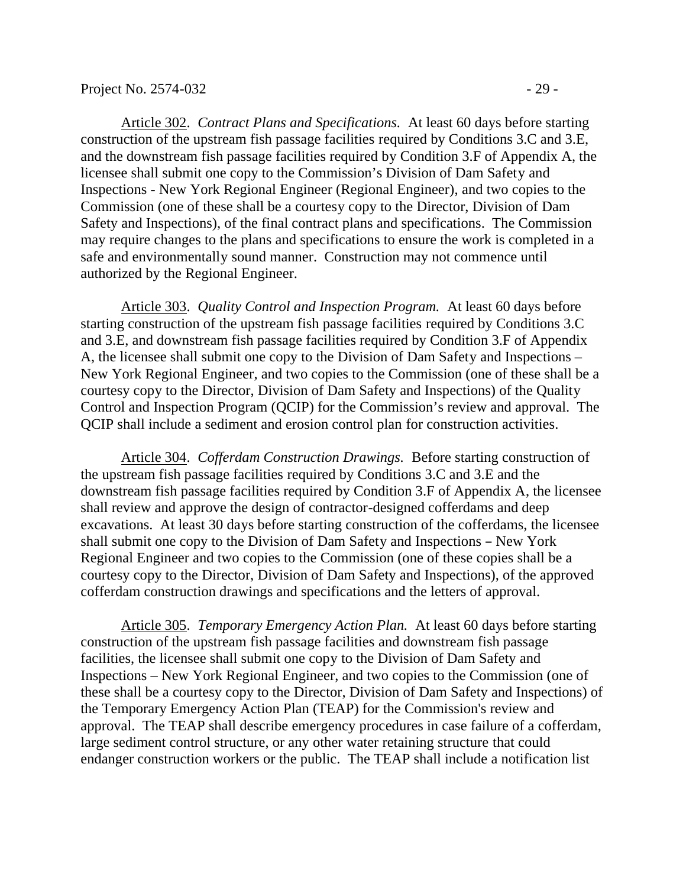Article 302. *Contract Plans and Specifications.* At least 60 days before starting construction of the upstream fish passage facilities required by Conditions 3.C and 3.E, and the downstream fish passage facilities required by Condition 3.F of Appendix A, the licensee shall submit one copy to the Commission's Division of Dam Safety and Inspections - New York Regional Engineer (Regional Engineer), and two copies to the Commission (one of these shall be a courtesy copy to the Director, Division of Dam Safety and Inspections), of the final contract plans and specifications. The Commission may require changes to the plans and specifications to ensure the work is completed in a safe and environmentally sound manner. Construction may not commence until authorized by the Regional Engineer.

Article 303. *Quality Control and Inspection Program.* At least 60 days before starting construction of the upstream fish passage facilities required by Conditions 3.C and 3.E, and downstream fish passage facilities required by Condition 3.F of Appendix A, the licensee shall submit one copy to the Division of Dam Safety and Inspections – New York Regional Engineer, and two copies to the Commission (one of these shall be a courtesy copy to the Director, Division of Dam Safety and Inspections) of the Quality Control and Inspection Program (QCIP) for the Commission's review and approval. The QCIP shall include a sediment and erosion control plan for construction activities.

Article 304. *Cofferdam Construction Drawings.* Before starting construction of the upstream fish passage facilities required by Conditions 3.C and 3.E and the downstream fish passage facilities required by Condition 3.F of Appendix A, the licensee shall review and approve the design of contractor-designed cofferdams and deep excavations. At least 30 days before starting construction of the cofferdams, the licensee shall submit one copy to the Division of Dam Safety and Inspections - New York Regional Engineer and two copies to the Commission (one of these copies shall be a courtesy copy to the Director, Division of Dam Safety and Inspections), of the approved cofferdam construction drawings and specifications and the letters of approval.

Article 305. *Temporary Emergency Action Plan.* At least 60 days before starting construction of the upstream fish passage facilities and downstream fish passage facilities, the licensee shall submit one copy to the Division of Dam Safety and Inspections – New York Regional Engineer, and two copies to the Commission (one of these shall be a courtesy copy to the Director, Division of Dam Safety and Inspections) of the Temporary Emergency Action Plan (TEAP) for the Commission's review and approval. The TEAP shall describe emergency procedures in case failure of a cofferdam, large sediment control structure, or any other water retaining structure that could endanger construction workers or the public. The TEAP shall include a notification list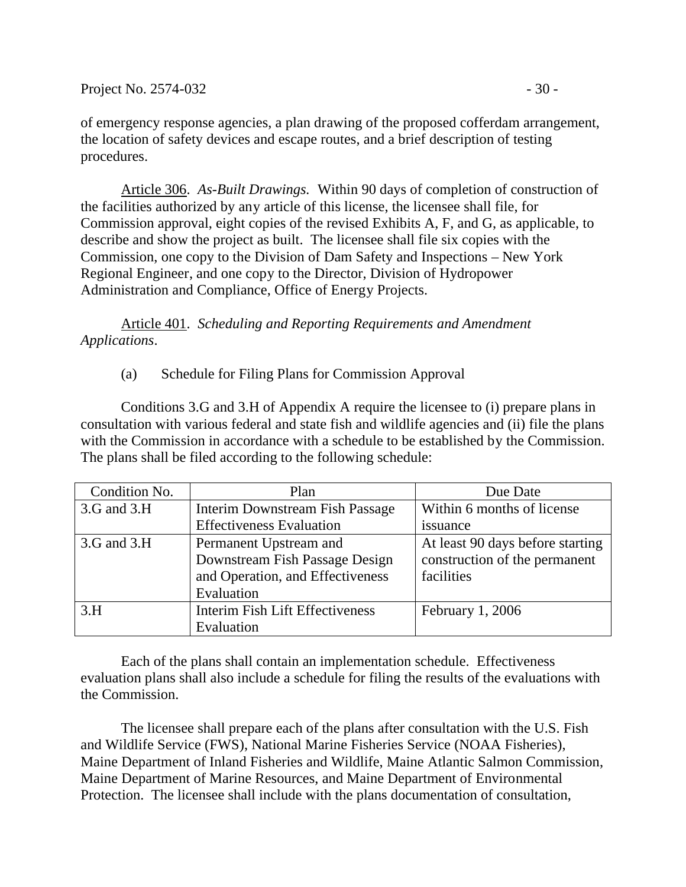of emergency response agencies, a plan drawing of the proposed cofferdam arrangement, the location of safety devices and escape routes, and a brief description of testing procedures.

Article 306. *As-Built Drawings.* Within 90 days of completion of construction of the facilities authorized by any article of this license, the licensee shall file, for Commission approval, eight copies of the revised Exhibits A, F, and G, as applicable, to describe and show the project as built. The licensee shall file six copies with the Commission, one copy to the Division of Dam Safety and Inspections – New York Regional Engineer, and one copy to the Director, Division of Hydropower Administration and Compliance, Office of Energy Projects.

Article 401. *Scheduling and Reporting Requirements and Amendment Applications*.

### (a) Schedule for Filing Plans for Commission Approval

Conditions 3.G and 3.H of Appendix A require the licensee to (i) prepare plans in consultation with various federal and state fish and wildlife agencies and (ii) file the plans with the Commission in accordance with a schedule to be established by the Commission. The plans shall be filed according to the following schedule:

| Condition No. | Plan                             | Due Date                         |
|---------------|----------------------------------|----------------------------------|
| 3.G and 3.H   | Interim Downstream Fish Passage  | Within 6 months of license       |
|               | <b>Effectiveness Evaluation</b>  | issuance                         |
| 3.G and 3.H   | Permanent Upstream and           | At least 90 days before starting |
|               | Downstream Fish Passage Design   | construction of the permanent    |
|               | and Operation, and Effectiveness | facilities                       |
|               | Evaluation                       |                                  |
| 3.H           | Interim Fish Lift Effectiveness  | February 1, 2006                 |
|               | Evaluation                       |                                  |

Each of the plans shall contain an implementation schedule. Effectiveness evaluation plans shall also include a schedule for filing the results of the evaluations with the Commission.

The licensee shall prepare each of the plans after consultation with the U.S. Fish and Wildlife Service (FWS), National Marine Fisheries Service (NOAA Fisheries), Maine Department of Inland Fisheries and Wildlife, Maine Atlantic Salmon Commission, Maine Department of Marine Resources, and Maine Department of Environmental Protection. The licensee shall include with the plans documentation of consultation,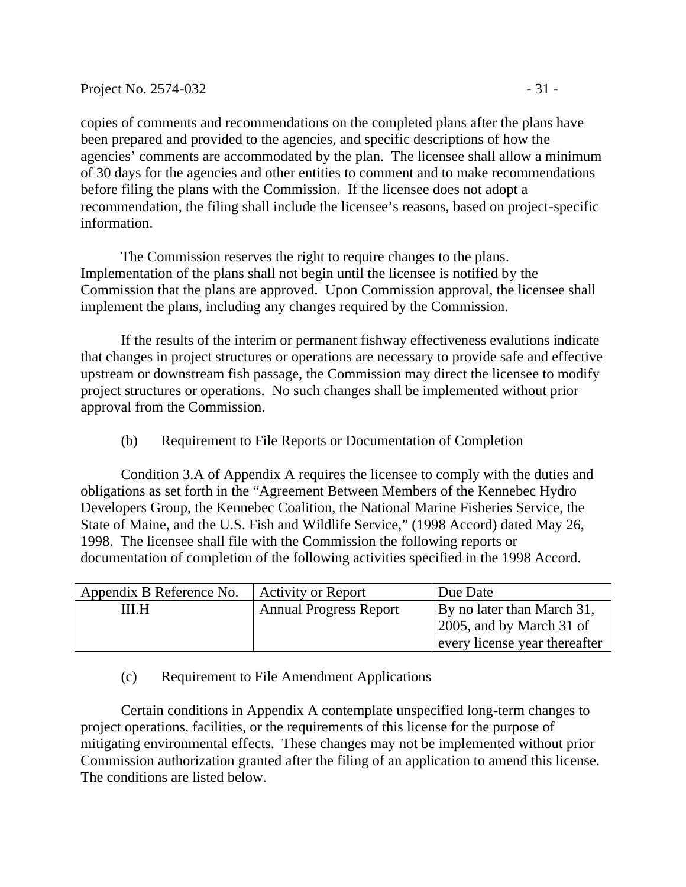copies of comments and recommendations on the completed plans after the plans have been prepared and provided to the agencies, and specific descriptions of how the agencies' comments are accommodated by the plan. The licensee shall allow a minimum of 30 days for the agencies and other entities to comment and to make recommendations before filing the plans with the Commission. If the licensee does not adopt a recommendation, the filing shall include the licensee's reasons, based on project-specific information.

The Commission reserves the right to require changes to the plans. Implementation of the plans shall not begin until the licensee is notified by the Commission that the plans are approved. Upon Commission approval, the licensee shall implement the plans, including any changes required by the Commission.

If the results of the interim or permanent fishway effectiveness evalutions indicate that changes in project structures or operations are necessary to provide safe and effective upstream or downstream fish passage, the Commission may direct the licensee to modify project structures or operations. No such changes shall be implemented without prior approval from the Commission.

(b) Requirement to File Reports or Documentation of Completion

Condition 3.A of Appendix A requires the licensee to comply with the duties and obligations as set forth in the "Agreement Between Members of the Kennebec Hydro Developers Group, the Kennebec Coalition, the National Marine Fisheries Service, the State of Maine, and the U.S. Fish and Wildlife Service," (1998 Accord) dated May 26, 1998. The licensee shall file with the Commission the following reports or documentation of completion of the following activities specified in the 1998 Accord.

| Appendix B Reference No. | <b>Activity or Report</b>     | Due Date                         |
|--------------------------|-------------------------------|----------------------------------|
| III.H                    | <b>Annual Progress Report</b> | By no later than March 31,       |
|                          |                               | $\vert$ 2005, and by March 31 of |
|                          |                               | every license year thereafter    |

(c) Requirement to File Amendment Applications

Certain conditions in Appendix A contemplate unspecified long-term changes to project operations, facilities, or the requirements of this license for the purpose of mitigating environmental effects. These changes may not be implemented without prior Commission authorization granted after the filing of an application to amend this license. The conditions are listed below.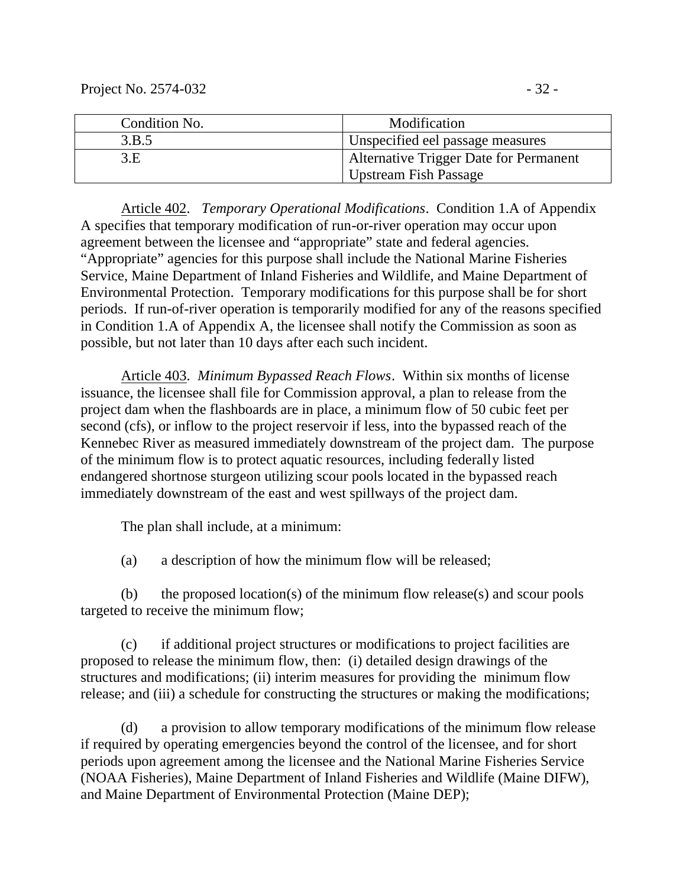Project No. 2574-032 - 32 -

| Condition No. | Modification                           |
|---------------|----------------------------------------|
| 3.B.5         | Unspecified eel passage measures       |
| 3.E           | Alternative Trigger Date for Permanent |
|               | Upstream Fish Passage                  |

Article 402. *Temporary Operational Modifications*. Condition 1.A of Appendix A specifies that temporary modification of run-or-river operation may occur upon agreement between the licensee and "appropriate" state and federal agencies. "Appropriate" agencies for this purpose shall include the National Marine Fisheries Service, Maine Department of Inland Fisheries and Wildlife, and Maine Department of Environmental Protection. Temporary modifications for this purpose shall be for short periods. If run-of-river operation is temporarily modified for any of the reasons specified in Condition 1.A of Appendix A, the licensee shall notify the Commission as soon as possible, but not later than 10 days after each such incident.

Article 403. *Minimum Bypassed Reach Flows*. Within six months of license issuance, the licensee shall file for Commission approval, a plan to release from the project dam when the flashboards are in place, a minimum flow of 50 cubic feet per second (cfs), or inflow to the project reservoir if less, into the bypassed reach of the Kennebec River as measured immediately downstream of the project dam. The purpose of the minimum flow is to protect aquatic resources, including federally listed endangered shortnose sturgeon utilizing scour pools located in the bypassed reach immediately downstream of the east and west spillways of the project dam.

The plan shall include, at a minimum:

(a) a description of how the minimum flow will be released;

(b) the proposed location(s) of the minimum flow release(s) and scour pools targeted to receive the minimum flow;

(c) if additional project structures or modifications to project facilities are proposed to release the minimum flow, then: (i) detailed design drawings of the structures and modifications; (ii) interim measures for providing the minimum flow release; and (iii) a schedule for constructing the structures or making the modifications;

(d) a provision to allow temporary modifications of the minimum flow release if required by operating emergencies beyond the control of the licensee, and for short periods upon agreement among the licensee and the National Marine Fisheries Service (NOAA Fisheries), Maine Department of Inland Fisheries and Wildlife (Maine DIFW), and Maine Department of Environmental Protection (Maine DEP);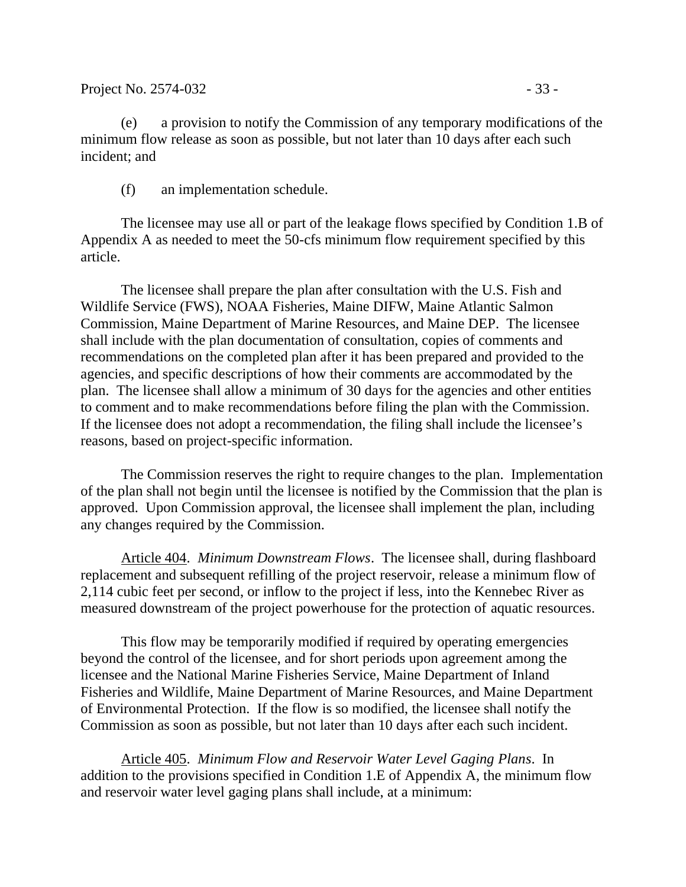(e) a provision to notify the Commission of any temporary modifications of the minimum flow release as soon as possible, but not later than 10 days after each such incident; and

(f) an implementation schedule.

The licensee may use all or part of the leakage flows specified by Condition 1.B of Appendix A as needed to meet the 50-cfs minimum flow requirement specified by this article.

The licensee shall prepare the plan after consultation with the U.S. Fish and Wildlife Service (FWS), NOAA Fisheries, Maine DIFW, Maine Atlantic Salmon Commission, Maine Department of Marine Resources, and Maine DEP. The licensee shall include with the plan documentation of consultation, copies of comments and recommendations on the completed plan after it has been prepared and provided to the agencies, and specific descriptions of how their comments are accommodated by the plan. The licensee shall allow a minimum of 30 days for the agencies and other entities to comment and to make recommendations before filing the plan with the Commission. If the licensee does not adopt a recommendation, the filing shall include the licensee's reasons, based on project-specific information.

The Commission reserves the right to require changes to the plan. Implementation of the plan shall not begin until the licensee is notified by the Commission that the plan is approved. Upon Commission approval, the licensee shall implement the plan, including any changes required by the Commission.

Article 404. *Minimum Downstream Flows*. The licensee shall, during flashboard replacement and subsequent refilling of the project reservoir, release a minimum flow of 2,114 cubic feet per second, or inflow to the project if less, into the Kennebec River as measured downstream of the project powerhouse for the protection of aquatic resources.

This flow may be temporarily modified if required by operating emergencies beyond the control of the licensee, and for short periods upon agreement among the licensee and the National Marine Fisheries Service, Maine Department of Inland Fisheries and Wildlife, Maine Department of Marine Resources, and Maine Department of Environmental Protection. If the flow is so modified, the licensee shall notify the Commission as soon as possible, but not later than 10 days after each such incident.

Article 405. *Minimum Flow and Reservoir Water Level Gaging Plans*. In addition to the provisions specified in Condition 1.E of Appendix A, the minimum flow and reservoir water level gaging plans shall include, at a minimum: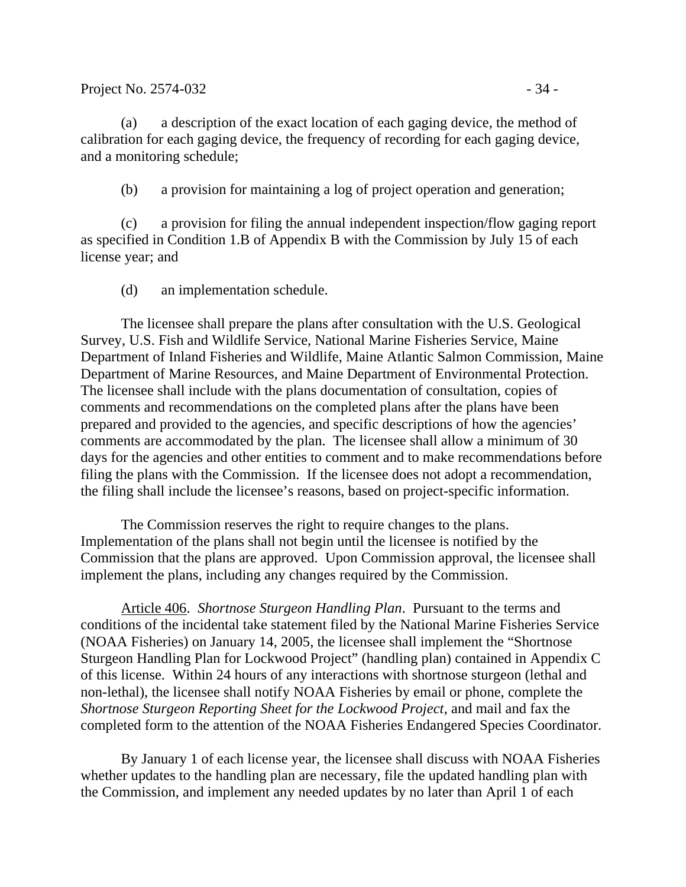#### Project No. 2574-032 - 34 -

(a) a description of the exact location of each gaging device, the method of calibration for each gaging device, the frequency of recording for each gaging device, and a monitoring schedule;

(b) a provision for maintaining a log of project operation and generation;

(c) a provision for filing the annual independent inspection/flow gaging report as specified in Condition 1.B of Appendix B with the Commission by July 15 of each license year; and

(d) an implementation schedule.

The licensee shall prepare the plans after consultation with the U.S. Geological Survey, U.S. Fish and Wildlife Service, National Marine Fisheries Service, Maine Department of Inland Fisheries and Wildlife, Maine Atlantic Salmon Commission, Maine Department of Marine Resources, and Maine Department of Environmental Protection. The licensee shall include with the plans documentation of consultation, copies of comments and recommendations on the completed plans after the plans have been prepared and provided to the agencies, and specific descriptions of how the agencies' comments are accommodated by the plan. The licensee shall allow a minimum of 30 days for the agencies and other entities to comment and to make recommendations before filing the plans with the Commission. If the licensee does not adopt a recommendation, the filing shall include the licensee's reasons, based on project-specific information.

The Commission reserves the right to require changes to the plans. Implementation of the plans shall not begin until the licensee is notified by the Commission that the plans are approved. Upon Commission approval, the licensee shall implement the plans, including any changes required by the Commission.

Article 406. *Shortnose Sturgeon Handling Plan*. Pursuant to the terms and conditions of the incidental take statement filed by the National Marine Fisheries Service (NOAA Fisheries) on January 14, 2005, the licensee shall implement the "Shortnose Sturgeon Handling Plan for Lockwood Project" (handling plan) contained in Appendix C of this license. Within 24 hours of any interactions with shortnose sturgeon (lethal and non-lethal), the licensee shall notify NOAA Fisheries by email or phone, complete the *Shortnose Sturgeon Reporting Sheet for the Lockwood Project*, and mail and fax the completed form to the attention of the NOAA Fisheries Endangered Species Coordinator.

By January 1 of each license year, the licensee shall discuss with NOAA Fisheries whether updates to the handling plan are necessary, file the updated handling plan with the Commission, and implement any needed updates by no later than April 1 of each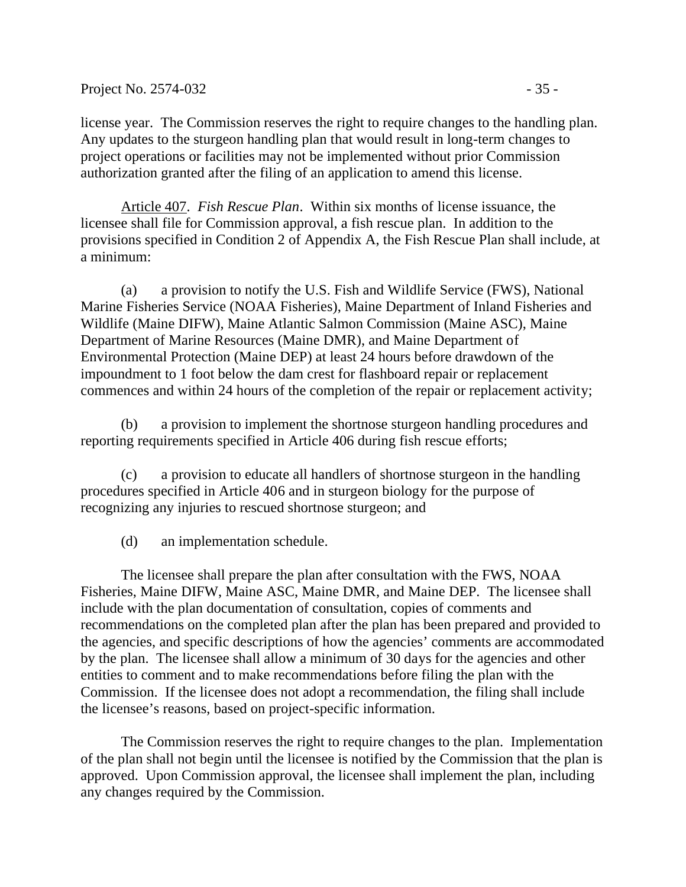license year. The Commission reserves the right to require changes to the handling plan. Any updates to the sturgeon handling plan that would result in long-term changes to project operations or facilities may not be implemented without prior Commission authorization granted after the filing of an application to amend this license.

Article 407. *Fish Rescue Plan*. Within six months of license issuance, the licensee shall file for Commission approval, a fish rescue plan. In addition to the provisions specified in Condition 2 of Appendix A, the Fish Rescue Plan shall include, at a minimum:

(a) a provision to notify the U.S. Fish and Wildlife Service (FWS), National Marine Fisheries Service (NOAA Fisheries), Maine Department of Inland Fisheries and Wildlife (Maine DIFW), Maine Atlantic Salmon Commission (Maine ASC), Maine Department of Marine Resources (Maine DMR), and Maine Department of Environmental Protection (Maine DEP) at least 24 hours before drawdown of the impoundment to 1 foot below the dam crest for flashboard repair or replacement commences and within 24 hours of the completion of the repair or replacement activity;

(b) a provision to implement the shortnose sturgeon handling procedures and reporting requirements specified in Article 406 during fish rescue efforts;

(c) a provision to educate all handlers of shortnose sturgeon in the handling procedures specified in Article 406 and in sturgeon biology for the purpose of recognizing any injuries to rescued shortnose sturgeon; and

(d) an implementation schedule.

The licensee shall prepare the plan after consultation with the FWS, NOAA Fisheries, Maine DIFW, Maine ASC, Maine DMR, and Maine DEP. The licensee shall include with the plan documentation of consultation, copies of comments and recommendations on the completed plan after the plan has been prepared and provided to the agencies, and specific descriptions of how the agencies' comments are accommodated by the plan. The licensee shall allow a minimum of 30 days for the agencies and other entities to comment and to make recommendations before filing the plan with the Commission. If the licensee does not adopt a recommendation, the filing shall include the licensee's reasons, based on project-specific information.

The Commission reserves the right to require changes to the plan. Implementation of the plan shall not begin until the licensee is notified by the Commission that the plan is approved. Upon Commission approval, the licensee shall implement the plan, including any changes required by the Commission.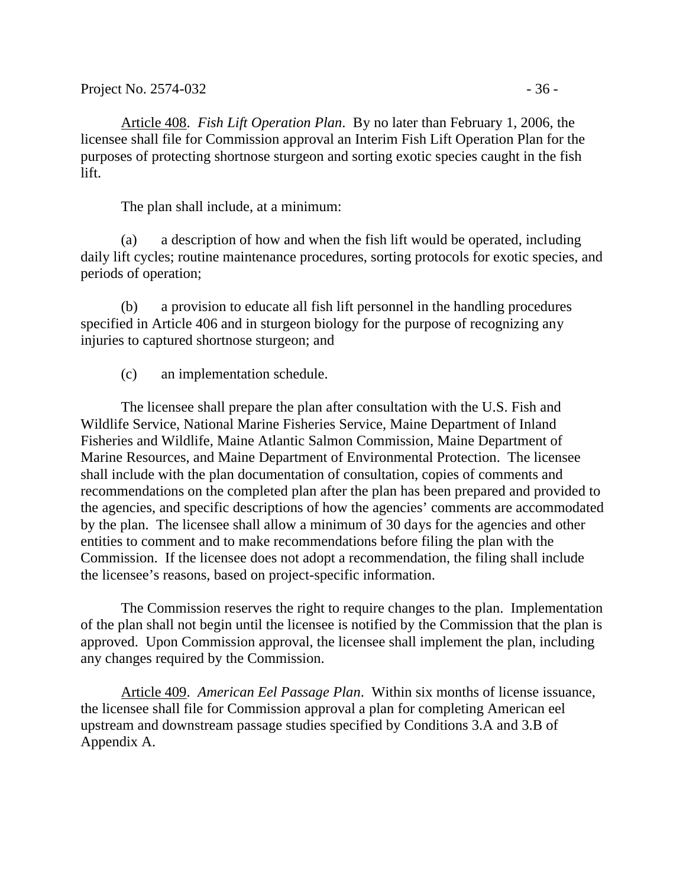Article 408. *Fish Lift Operation Plan*. By no later than February 1, 2006, the licensee shall file for Commission approval an Interim Fish Lift Operation Plan for the purposes of protecting shortnose sturgeon and sorting exotic species caught in the fish lift.

The plan shall include, at a minimum:

(a) a description of how and when the fish lift would be operated, including daily lift cycles; routine maintenance procedures, sorting protocols for exotic species, and periods of operation;

(b) a provision to educate all fish lift personnel in the handling procedures specified in Article 406 and in sturgeon biology for the purpose of recognizing any injuries to captured shortnose sturgeon; and

(c) an implementation schedule.

The licensee shall prepare the plan after consultation with the U.S. Fish and Wildlife Service, National Marine Fisheries Service, Maine Department of Inland Fisheries and Wildlife, Maine Atlantic Salmon Commission, Maine Department of Marine Resources, and Maine Department of Environmental Protection. The licensee shall include with the plan documentation of consultation, copies of comments and recommendations on the completed plan after the plan has been prepared and provided to the agencies, and specific descriptions of how the agencies' comments are accommodated by the plan. The licensee shall allow a minimum of 30 days for the agencies and other entities to comment and to make recommendations before filing the plan with the Commission. If the licensee does not adopt a recommendation, the filing shall include the licensee's reasons, based on project-specific information.

The Commission reserves the right to require changes to the plan. Implementation of the plan shall not begin until the licensee is notified by the Commission that the plan is approved. Upon Commission approval, the licensee shall implement the plan, including any changes required by the Commission.

Article 409. *American Eel Passage Plan*. Within six months of license issuance, the licensee shall file for Commission approval a plan for completing American eel upstream and downstream passage studies specified by Conditions 3.A and 3.B of Appendix A.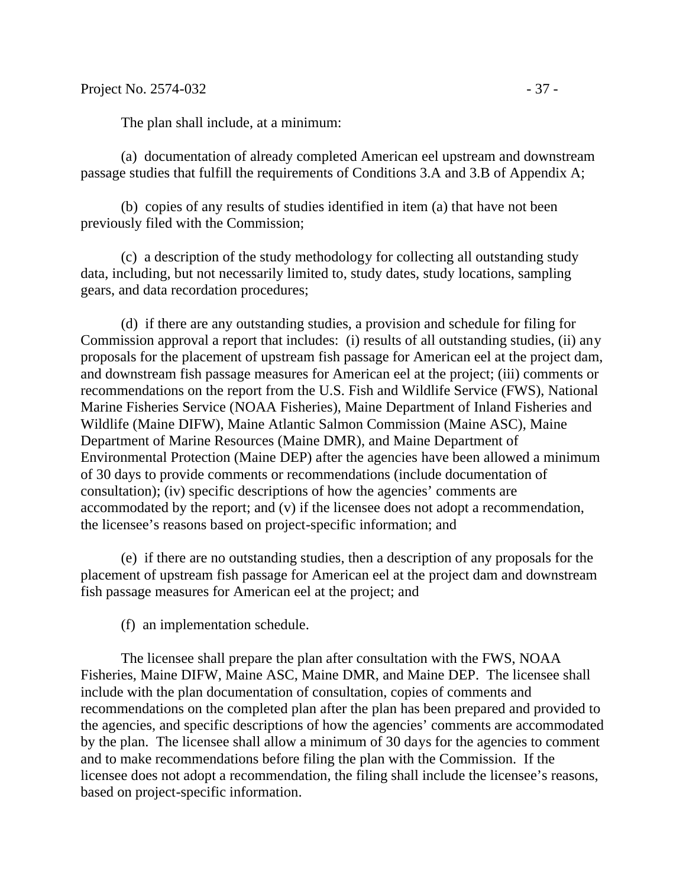(a) documentation of already completed American eel upstream and downstream passage studies that fulfill the requirements of Conditions 3.A and 3.B of Appendix A;

(b) copies of any results of studies identified in item (a) that have not been previously filed with the Commission;

(c) a description of the study methodology for collecting all outstanding study data, including, but not necessarily limited to, study dates, study locations, sampling gears, and data recordation procedures;

(d) if there are any outstanding studies, a provision and schedule for filing for Commission approval a report that includes: (i) results of all outstanding studies, (ii) any proposals for the placement of upstream fish passage for American eel at the project dam, and downstream fish passage measures for American eel at the project; (iii) comments or recommendations on the report from the U.S. Fish and Wildlife Service (FWS), National Marine Fisheries Service (NOAA Fisheries), Maine Department of Inland Fisheries and Wildlife (Maine DIFW), Maine Atlantic Salmon Commission (Maine ASC), Maine Department of Marine Resources (Maine DMR), and Maine Department of Environmental Protection (Maine DEP) after the agencies have been allowed a minimum of 30 days to provide comments or recommendations (include documentation of consultation); (iv) specific descriptions of how the agencies' comments are accommodated by the report; and (v) if the licensee does not adopt a recommendation, the licensee's reasons based on project-specific information; and

(e) if there are no outstanding studies, then a description of any proposals for the placement of upstream fish passage for American eel at the project dam and downstream fish passage measures for American eel at the project; and

(f) an implementation schedule.

The licensee shall prepare the plan after consultation with the FWS, NOAA Fisheries, Maine DIFW, Maine ASC, Maine DMR, and Maine DEP. The licensee shall include with the plan documentation of consultation, copies of comments and recommendations on the completed plan after the plan has been prepared and provided to the agencies, and specific descriptions of how the agencies' comments are accommodated by the plan. The licensee shall allow a minimum of 30 days for the agencies to comment and to make recommendations before filing the plan with the Commission. If the licensee does not adopt a recommendation, the filing shall include the licensee's reasons, based on project-specific information.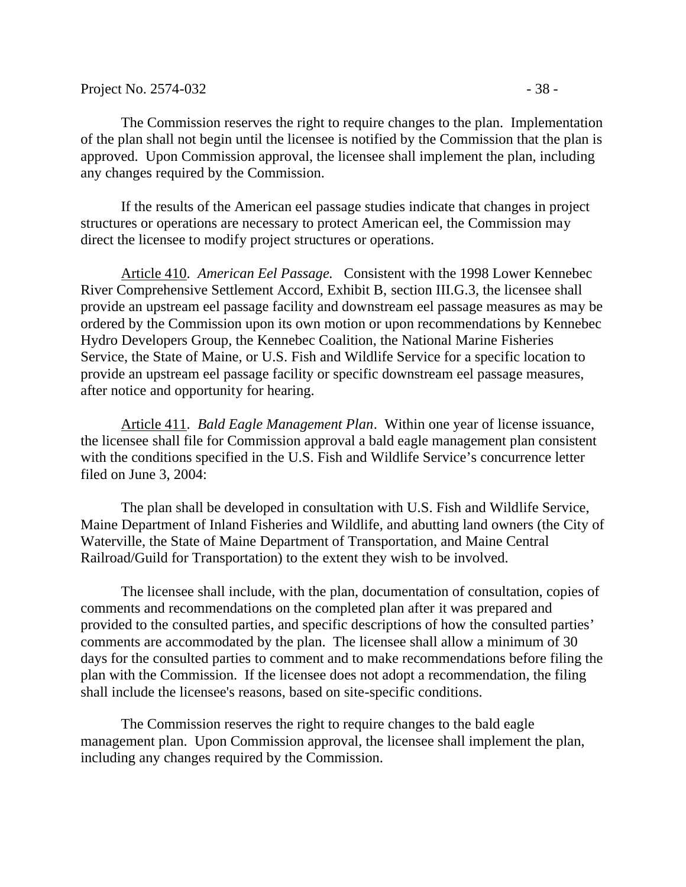The Commission reserves the right to require changes to the plan. Implementation of the plan shall not begin until the licensee is notified by the Commission that the plan is approved. Upon Commission approval, the licensee shall implement the plan, including any changes required by the Commission.

If the results of the American eel passage studies indicate that changes in project structures or operations are necessary to protect American eel, the Commission may direct the licensee to modify project structures or operations.

Article 410. *American Eel Passage.* Consistent with the 1998 Lower Kennebec River Comprehensive Settlement Accord, Exhibit B, section III.G.3, the licensee shall provide an upstream eel passage facility and downstream eel passage measures as may be ordered by the Commission upon its own motion or upon recommendations by Kennebec Hydro Developers Group, the Kennebec Coalition, the National Marine Fisheries Service, the State of Maine, or U.S. Fish and Wildlife Service for a specific location to provide an upstream eel passage facility or specific downstream eel passage measures, after notice and opportunity for hearing.

Article 411. *Bald Eagle Management Plan*. Within one year of license issuance, the licensee shall file for Commission approval a bald eagle management plan consistent with the conditions specified in the U.S. Fish and Wildlife Service's concurrence letter filed on June 3, 2004:

The plan shall be developed in consultation with U.S. Fish and Wildlife Service, Maine Department of Inland Fisheries and Wildlife, and abutting land owners (the City of Waterville, the State of Maine Department of Transportation, and Maine Central Railroad/Guild for Transportation) to the extent they wish to be involved.

The licensee shall include, with the plan, documentation of consultation, copies of comments and recommendations on the completed plan after it was prepared and provided to the consulted parties, and specific descriptions of how the consulted parties' comments are accommodated by the plan. The licensee shall allow a minimum of 30 days for the consulted parties to comment and to make recommendations before filing the plan with the Commission. If the licensee does not adopt a recommendation, the filing shall include the licensee's reasons, based on site-specific conditions.

The Commission reserves the right to require changes to the bald eagle management plan. Upon Commission approval, the licensee shall implement the plan, including any changes required by the Commission.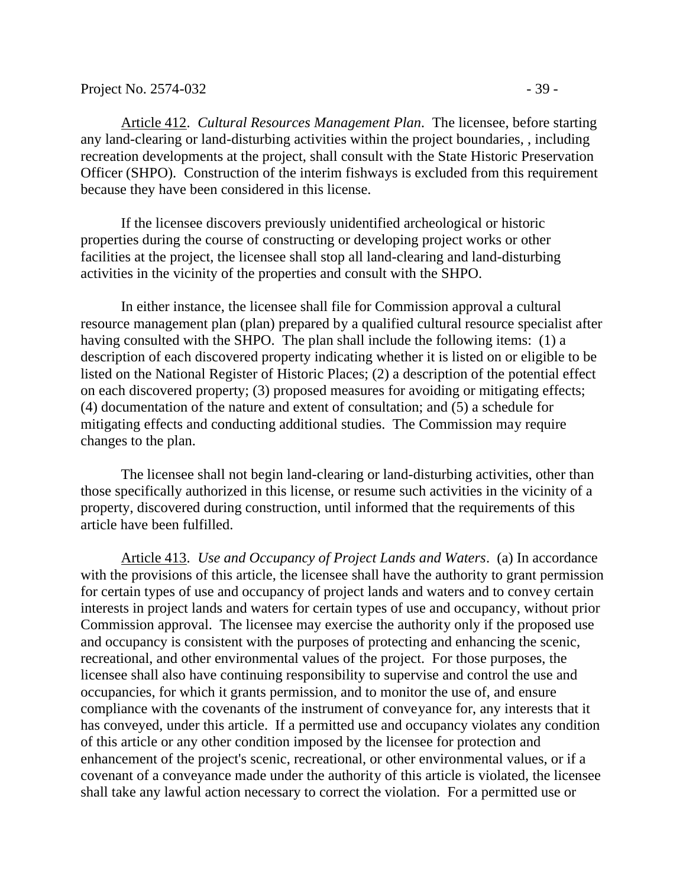Article 412. *Cultural Resources Management Plan.* The licensee, before starting any land-clearing or land-disturbing activities within the project boundaries, , including recreation developments at the project, shall consult with the State Historic Preservation Officer (SHPO). Construction of the interim fishways is excluded from this requirement because they have been considered in this license.

If the licensee discovers previously unidentified archeological or historic properties during the course of constructing or developing project works or other facilities at the project, the licensee shall stop all land-clearing and land-disturbing activities in the vicinity of the properties and consult with the SHPO.

In either instance, the licensee shall file for Commission approval a cultural resource management plan (plan) prepared by a qualified cultural resource specialist after having consulted with the SHPO. The plan shall include the following items: (1) a description of each discovered property indicating whether it is listed on or eligible to be listed on the National Register of Historic Places; (2) a description of the potential effect on each discovered property; (3) proposed measures for avoiding or mitigating effects; (4) documentation of the nature and extent of consultation; and (5) a schedule for mitigating effects and conducting additional studies. The Commission may require changes to the plan.

The licensee shall not begin land-clearing or land-disturbing activities, other than those specifically authorized in this license, or resume such activities in the vicinity of a property, discovered during construction, until informed that the requirements of this article have been fulfilled.

Article 413. *Use and Occupancy of Project Lands and Waters*. (a) In accordance with the provisions of this article, the licensee shall have the authority to grant permission for certain types of use and occupancy of project lands and waters and to convey certain interests in project lands and waters for certain types of use and occupancy, without prior Commission approval. The licensee may exercise the authority only if the proposed use and occupancy is consistent with the purposes of protecting and enhancing the scenic, recreational, and other environmental values of the project. For those purposes, the licensee shall also have continuing responsibility to supervise and control the use and occupancies, for which it grants permission, and to monitor the use of, and ensure compliance with the covenants of the instrument of conveyance for, any interests that it has conveyed, under this article. If a permitted use and occupancy violates any condition of this article or any other condition imposed by the licensee for protection and enhancement of the project's scenic, recreational, or other environmental values, or if a covenant of a conveyance made under the authority of this article is violated, the licensee shall take any lawful action necessary to correct the violation. For a permitted use or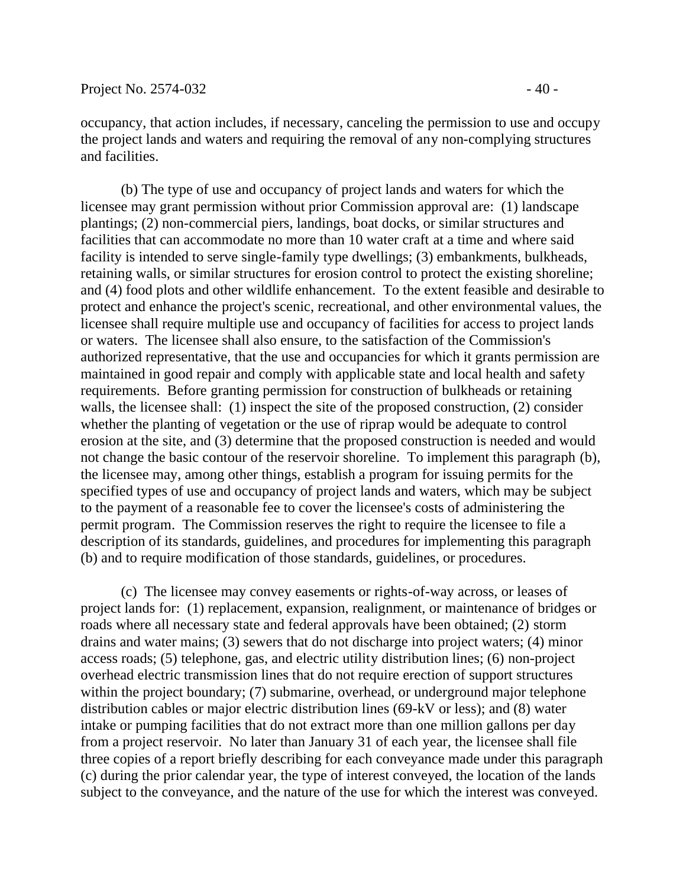occupancy, that action includes, if necessary, canceling the permission to use and occupy the project lands and waters and requiring the removal of any non-complying structures and facilities.

(b) The type of use and occupancy of project lands and waters for which the licensee may grant permission without prior Commission approval are: (1) landscape plantings; (2) non-commercial piers, landings, boat docks, or similar structures and facilities that can accommodate no more than 10 water craft at a time and where said facility is intended to serve single-family type dwellings; (3) embankments, bulkheads, retaining walls, or similar structures for erosion control to protect the existing shoreline; and (4) food plots and other wildlife enhancement. To the extent feasible and desirable to protect and enhance the project's scenic, recreational, and other environmental values, the licensee shall require multiple use and occupancy of facilities for access to project lands or waters. The licensee shall also ensure, to the satisfaction of the Commission's authorized representative, that the use and occupancies for which it grants permission are maintained in good repair and comply with applicable state and local health and safety requirements. Before granting permission for construction of bulkheads or retaining walls, the licensee shall: (1) inspect the site of the proposed construction, (2) consider whether the planting of vegetation or the use of riprap would be adequate to control erosion at the site, and (3) determine that the proposed construction is needed and would not change the basic contour of the reservoir shoreline. To implement this paragraph (b), the licensee may, among other things, establish a program for issuing permits for the specified types of use and occupancy of project lands and waters, which may be subject to the payment of a reasonable fee to cover the licensee's costs of administering the permit program. The Commission reserves the right to require the licensee to file a description of its standards, guidelines, and procedures for implementing this paragraph (b) and to require modification of those standards, guidelines, or procedures.

(c) The licensee may convey easements or rights-of-way across, or leases of project lands for: (1) replacement, expansion, realignment, or maintenance of bridges or roads where all necessary state and federal approvals have been obtained; (2) storm drains and water mains; (3) sewers that do not discharge into project waters; (4) minor access roads; (5) telephone, gas, and electric utility distribution lines; (6) non-project overhead electric transmission lines that do not require erection of support structures within the project boundary; (7) submarine, overhead, or underground major telephone distribution cables or major electric distribution lines (69-kV or less); and (8) water intake or pumping facilities that do not extract more than one million gallons per day from a project reservoir. No later than January 31 of each year, the licensee shall file three copies of a report briefly describing for each conveyance made under this paragraph (c) during the prior calendar year, the type of interest conveyed, the location of the lands subject to the conveyance, and the nature of the use for which the interest was conveyed.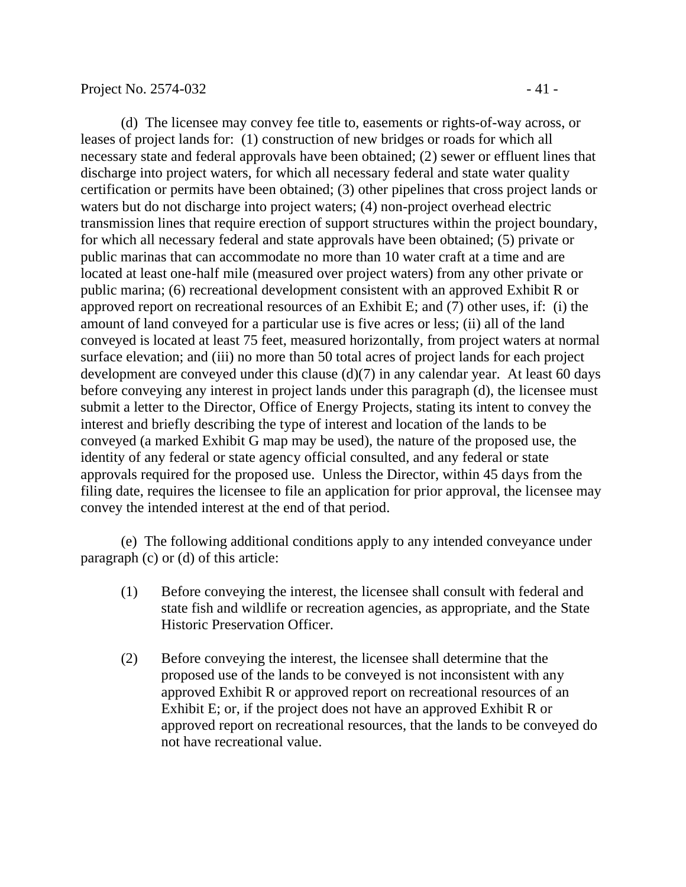(d) The licensee may convey fee title to, easements or rights-of-way across, or leases of project lands for: (1) construction of new bridges or roads for which all necessary state and federal approvals have been obtained; (2) sewer or effluent lines that discharge into project waters, for which all necessary federal and state water quality certification or permits have been obtained; (3) other pipelines that cross project lands or waters but do not discharge into project waters; (4) non-project overhead electric transmission lines that require erection of support structures within the project boundary, for which all necessary federal and state approvals have been obtained; (5) private or public marinas that can accommodate no more than 10 water craft at a time and are located at least one-half mile (measured over project waters) from any other private or public marina; (6) recreational development consistent with an approved Exhibit R or approved report on recreational resources of an Exhibit E; and (7) other uses, if: (i) the amount of land conveyed for a particular use is five acres or less; (ii) all of the land conveyed is located at least 75 feet, measured horizontally, from project waters at normal surface elevation; and (iii) no more than 50 total acres of project lands for each project development are conveyed under this clause (d)(7) in any calendar year. At least 60 days before conveying any interest in project lands under this paragraph (d), the licensee must submit a letter to the Director, Office of Energy Projects, stating its intent to convey the interest and briefly describing the type of interest and location of the lands to be conveyed (a marked Exhibit G map may be used), the nature of the proposed use, the identity of any federal or state agency official consulted, and any federal or state approvals required for the proposed use. Unless the Director, within 45 days from the filing date, requires the licensee to file an application for prior approval, the licensee may convey the intended interest at the end of that period.

(e) The following additional conditions apply to any intended conveyance under paragraph (c) or (d) of this article:

- (1) Before conveying the interest, the licensee shall consult with federal and state fish and wildlife or recreation agencies, as appropriate, and the State Historic Preservation Officer.
- (2) Before conveying the interest, the licensee shall determine that the proposed use of the lands to be conveyed is not inconsistent with any approved Exhibit R or approved report on recreational resources of an Exhibit E; or, if the project does not have an approved Exhibit R or approved report on recreational resources, that the lands to be conveyed do not have recreational value.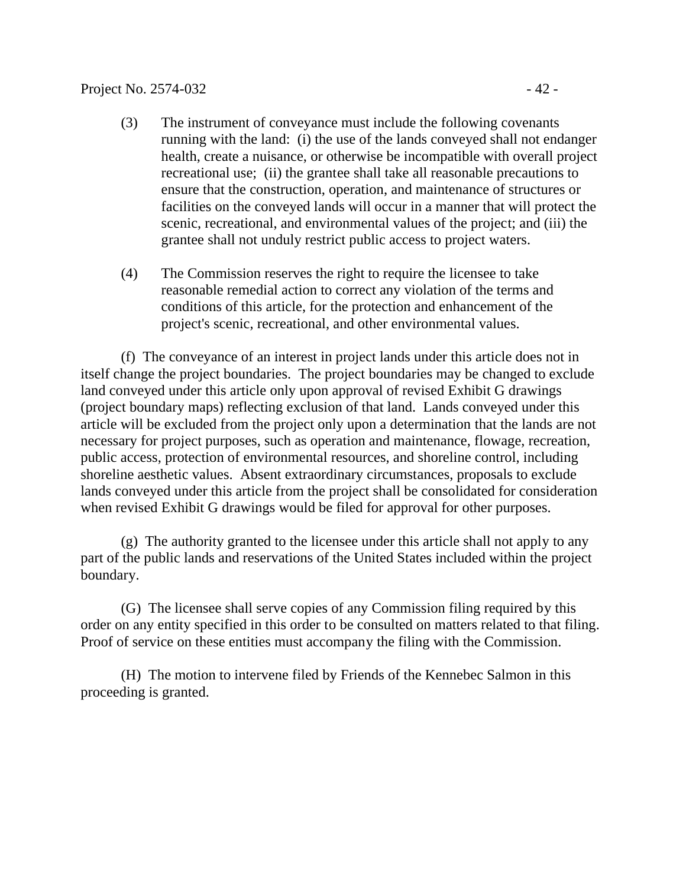- (3) The instrument of conveyance must include the following covenants running with the land: (i) the use of the lands conveyed shall not endanger health, create a nuisance, or otherwise be incompatible with overall project recreational use; (ii) the grantee shall take all reasonable precautions to ensure that the construction, operation, and maintenance of structures or facilities on the conveyed lands will occur in a manner that will protect the scenic, recreational, and environmental values of the project; and (iii) the grantee shall not unduly restrict public access to project waters.
- (4) The Commission reserves the right to require the licensee to take reasonable remedial action to correct any violation of the terms and conditions of this article, for the protection and enhancement of the project's scenic, recreational, and other environmental values.

(f) The conveyance of an interest in project lands under this article does not in itself change the project boundaries. The project boundaries may be changed to exclude land conveyed under this article only upon approval of revised Exhibit G drawings (project boundary maps) reflecting exclusion of that land. Lands conveyed under this article will be excluded from the project only upon a determination that the lands are not necessary for project purposes, such as operation and maintenance, flowage, recreation, public access, protection of environmental resources, and shoreline control, including shoreline aesthetic values. Absent extraordinary circumstances, proposals to exclude lands conveyed under this article from the project shall be consolidated for consideration when revised Exhibit G drawings would be filed for approval for other purposes.

(g) The authority granted to the licensee under this article shall not apply to any part of the public lands and reservations of the United States included within the project boundary.

(G) The licensee shall serve copies of any Commission filing required by this order on any entity specified in this order to be consulted on matters related to that filing. Proof of service on these entities must accompany the filing with the Commission.

(H) The motion to intervene filed by Friends of the Kennebec Salmon in this proceeding is granted.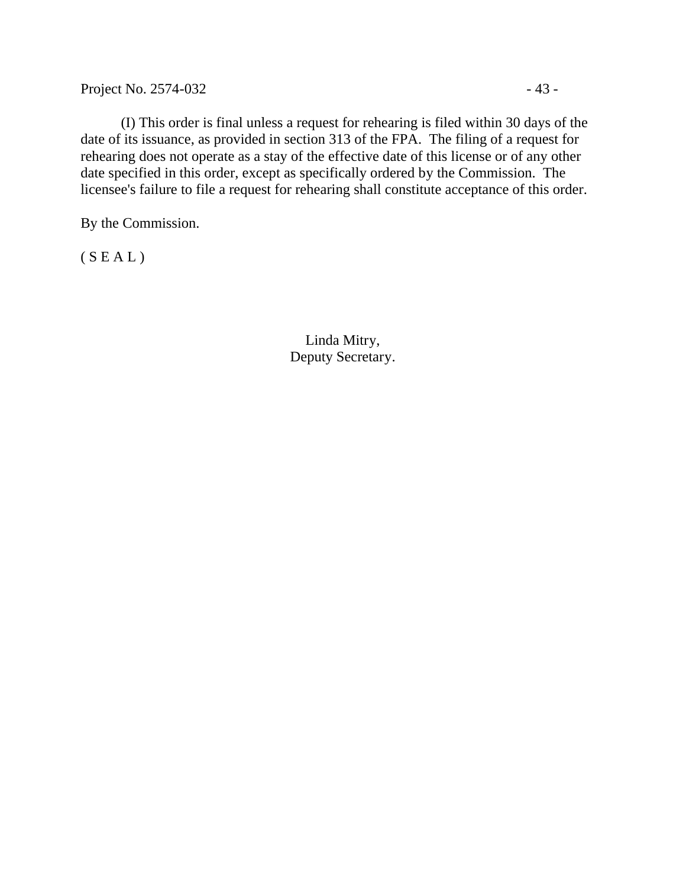Project No. 2574-032 - 43 -

(I) This order is final unless a request for rehearing is filed within 30 days of the date of its issuance, as provided in section 313 of the FPA. The filing of a request for rehearing does not operate as a stay of the effective date of this license or of any other date specified in this order, except as specifically ordered by the Commission. The licensee's failure to file a request for rehearing shall constitute acceptance of this order.

By the Commission.

 $(S E A L)$ 

Linda Mitry, Deputy Secretary.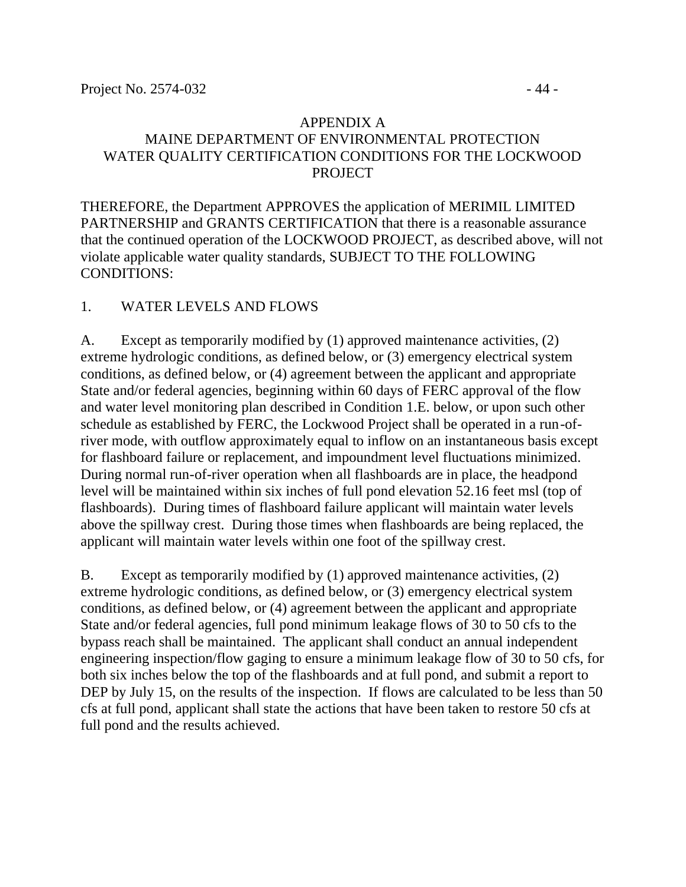### APPENDIX A MAINE DEPARTMENT OF ENVIRONMENTAL PROTECTION WATER QUALITY CERTIFICATION CONDITIONS FOR THE LOCKWOOD PROJECT

THEREFORE, the Department APPROVES the application of MERIMIL LIMITED PARTNERSHIP and GRANTS CERTIFICATION that there is a reasonable assurance that the continued operation of the LOCKWOOD PROJECT, as described above, will not violate applicable water quality standards, SUBJECT TO THE FOLLOWING CONDITIONS:

## 1. WATER LEVELS AND FLOWS

A. Except as temporarily modified by (1) approved maintenance activities, (2) extreme hydrologic conditions, as defined below, or (3) emergency electrical system conditions, as defined below, or (4) agreement between the applicant and appropriate State and/or federal agencies, beginning within 60 days of FERC approval of the flow and water level monitoring plan described in Condition 1.E. below, or upon such other schedule as established by FERC, the Lockwood Project shall be operated in a run-ofriver mode, with outflow approximately equal to inflow on an instantaneous basis except for flashboard failure or replacement, and impoundment level fluctuations minimized. During normal run-of-river operation when all flashboards are in place, the headpond level will be maintained within six inches of full pond elevation 52.16 feet msl (top of flashboards). During times of flashboard failure applicant will maintain water levels above the spillway crest. During those times when flashboards are being replaced, the applicant will maintain water levels within one foot of the spillway crest.

B. Except as temporarily modified by (1) approved maintenance activities, (2) extreme hydrologic conditions, as defined below, or (3) emergency electrical system conditions, as defined below, or (4) agreement between the applicant and appropriate State and/or federal agencies, full pond minimum leakage flows of 30 to 50 cfs to the bypass reach shall be maintained. The applicant shall conduct an annual independent engineering inspection/flow gaging to ensure a minimum leakage flow of 30 to 50 cfs, for both six inches below the top of the flashboards and at full pond, and submit a report to DEP by July 15, on the results of the inspection. If flows are calculated to be less than 50 cfs at full pond, applicant shall state the actions that have been taken to restore 50 cfs at full pond and the results achieved.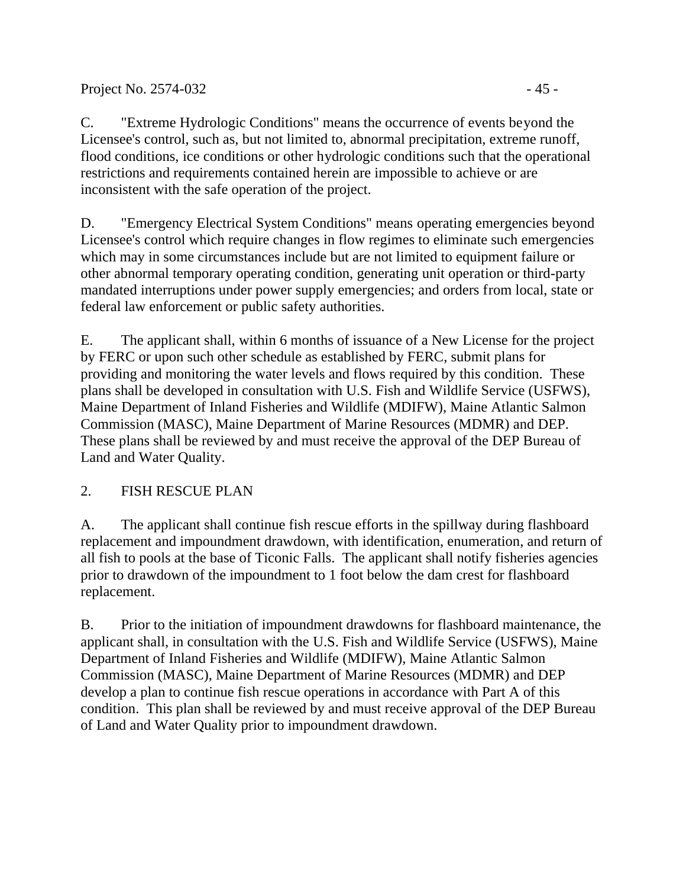inconsistent with the safe operation of the project.

D. "Emergency Electrical System Conditions" means operating emergencies beyond Licensee's control which require changes in flow regimes to eliminate such emergencies which may in some circumstances include but are not limited to equipment failure or other abnormal temporary operating condition, generating unit operation or third-party mandated interruptions under power supply emergencies; and orders from local, state or federal law enforcement or public safety authorities.

E. The applicant shall, within 6 months of issuance of a New License for the project by FERC or upon such other schedule as established by FERC, submit plans for providing and monitoring the water levels and flows required by this condition. These plans shall be developed in consultation with U.S. Fish and Wildlife Service (USFWS), Maine Department of Inland Fisheries and Wildlife (MDIFW), Maine Atlantic Salmon Commission (MASC), Maine Department of Marine Resources (MDMR) and DEP. These plans shall be reviewed by and must receive the approval of the DEP Bureau of Land and Water Quality.

## 2. FISH RESCUE PLAN

A. The applicant shall continue fish rescue efforts in the spillway during flashboard replacement and impoundment drawdown, with identification, enumeration, and return of all fish to pools at the base of Ticonic Falls. The applicant shall notify fisheries agencies prior to drawdown of the impoundment to 1 foot below the dam crest for flashboard replacement.

B. Prior to the initiation of impoundment drawdowns for flashboard maintenance, the applicant shall, in consultation with the U.S. Fish and Wildlife Service (USFWS), Maine Department of Inland Fisheries and Wildlife (MDIFW), Maine Atlantic Salmon Commission (MASC), Maine Department of Marine Resources (MDMR) and DEP develop a plan to continue fish rescue operations in accordance with Part A of this condition. This plan shall be reviewed by and must receive approval of the DEP Bureau of Land and Water Quality prior to impoundment drawdown.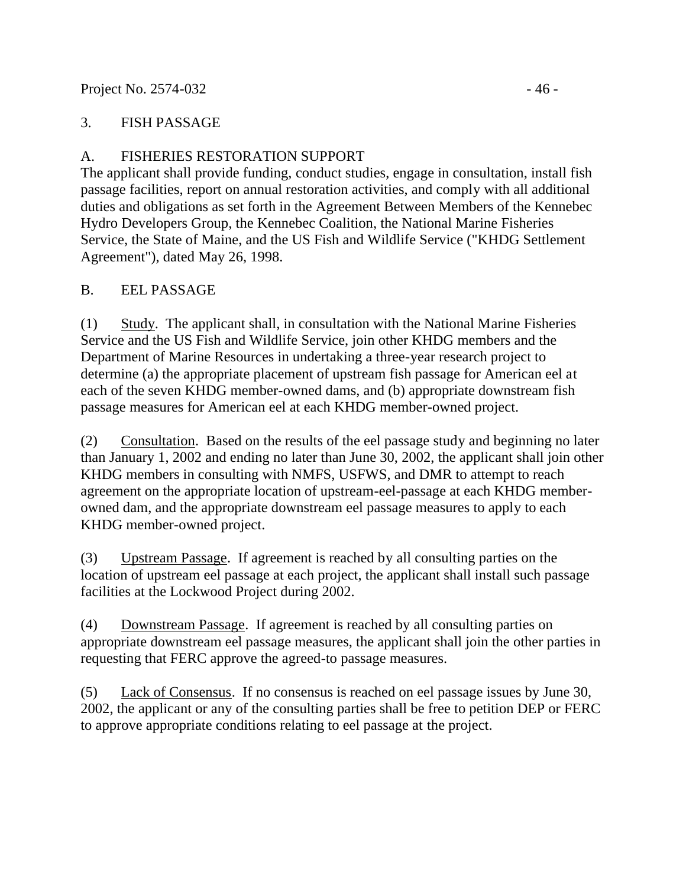#### Project No. 2574-032 - 46

### 3. FISH PASSAGE

## A. FISHERIES RESTORATION SUPPORT

The applicant shall provide funding, conduct studies, engage in consultation, install fish passage facilities, report on annual restoration activities, and comply with all additional duties and obligations as set forth in the Agreement Between Members of the Kennebec Hydro Developers Group, the Kennebec Coalition, the National Marine Fisheries Service, the State of Maine, and the US Fish and Wildlife Service ("KHDG Settlement Agreement"), dated May 26, 1998.

### B. EEL PASSAGE

(1) Study. The applicant shall, in consultation with the National Marine Fisheries Service and the US Fish and Wildlife Service, join other KHDG members and the Department of Marine Resources in undertaking a three-year research project to determine (a) the appropriate placement of upstream fish passage for American eel at each of the seven KHDG member-owned dams, and (b) appropriate downstream fish passage measures for American eel at each KHDG member-owned project.

(2) Consultation. Based on the results of the eel passage study and beginning no later than January 1, 2002 and ending no later than June 30, 2002, the applicant shall join other KHDG members in consulting with NMFS, USFWS, and DMR to attempt to reach agreement on the appropriate location of upstream-eel-passage at each KHDG memberowned dam, and the appropriate downstream eel passage measures to apply to each KHDG member-owned project.

(3) Upstream Passage. If agreement is reached by all consulting parties on the location of upstream eel passage at each project, the applicant shall install such passage facilities at the Lockwood Project during 2002.

(4) Downstream Passage. If agreement is reached by all consulting parties on appropriate downstream eel passage measures, the applicant shall join the other parties in requesting that FERC approve the agreed-to passage measures.

(5) Lack of Consensus. If no consensus is reached on eel passage issues by June 30, 2002, the applicant or any of the consulting parties shall be free to petition DEP or FERC to approve appropriate conditions relating to eel passage at the project.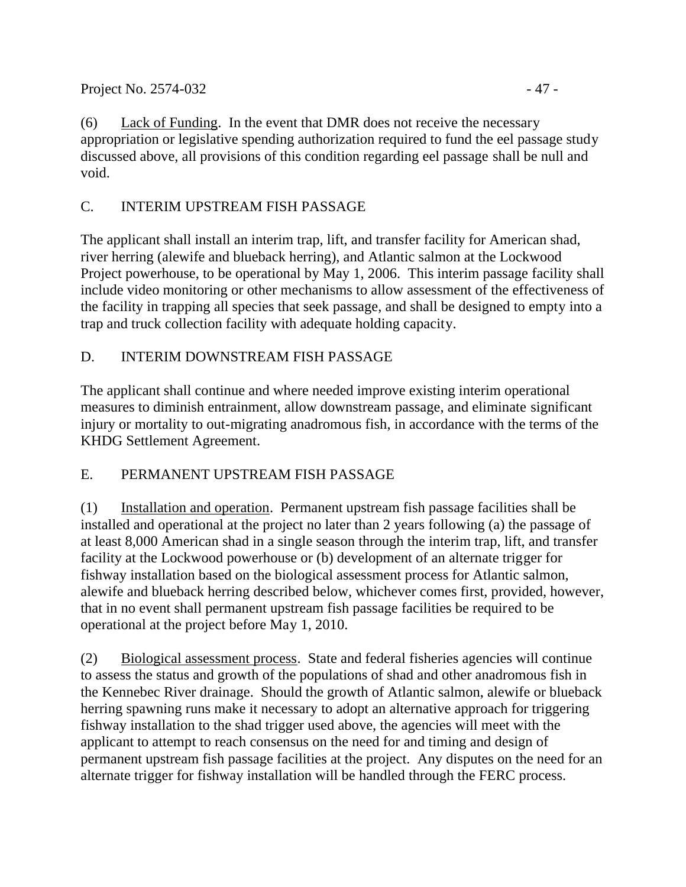Project No. 2574-032 - 47 -

(6) Lack of Funding. In the event that DMR does not receive the necessary appropriation or legislative spending authorization required to fund the eel passage study discussed above, all provisions of this condition regarding eel passage shall be null and void.

# C. INTERIM UPSTREAM FISH PASSAGE

The applicant shall install an interim trap, lift, and transfer facility for American shad, river herring (alewife and blueback herring), and Atlantic salmon at the Lockwood Project powerhouse, to be operational by May 1, 2006. This interim passage facility shall include video monitoring or other mechanisms to allow assessment of the effectiveness of the facility in trapping all species that seek passage, and shall be designed to empty into a trap and truck collection facility with adequate holding capacity.

# D. INTERIM DOWNSTREAM FISH PASSAGE

The applicant shall continue and where needed improve existing interim operational measures to diminish entrainment, allow downstream passage, and eliminate significant injury or mortality to out-migrating anadromous fish, in accordance with the terms of the KHDG Settlement Agreement.

## E. PERMANENT UPSTREAM FISH PASSAGE

(1) Installation and operation. Permanent upstream fish passage facilities shall be installed and operational at the project no later than 2 years following (a) the passage of at least 8,000 American shad in a single season through the interim trap, lift, and transfer facility at the Lockwood powerhouse or (b) development of an alternate trigger for fishway installation based on the biological assessment process for Atlantic salmon, alewife and blueback herring described below, whichever comes first, provided, however, that in no event shall permanent upstream fish passage facilities be required to be operational at the project before May 1, 2010.

(2) Biological assessment process. State and federal fisheries agencies will continue to assess the status and growth of the populations of shad and other anadromous fish in the Kennebec River drainage. Should the growth of Atlantic salmon, alewife or blueback herring spawning runs make it necessary to adopt an alternative approach for triggering fishway installation to the shad trigger used above, the agencies will meet with the applicant to attempt to reach consensus on the need for and timing and design of permanent upstream fish passage facilities at the project. Any disputes on the need for an alternate trigger for fishway installation will be handled through the FERC process.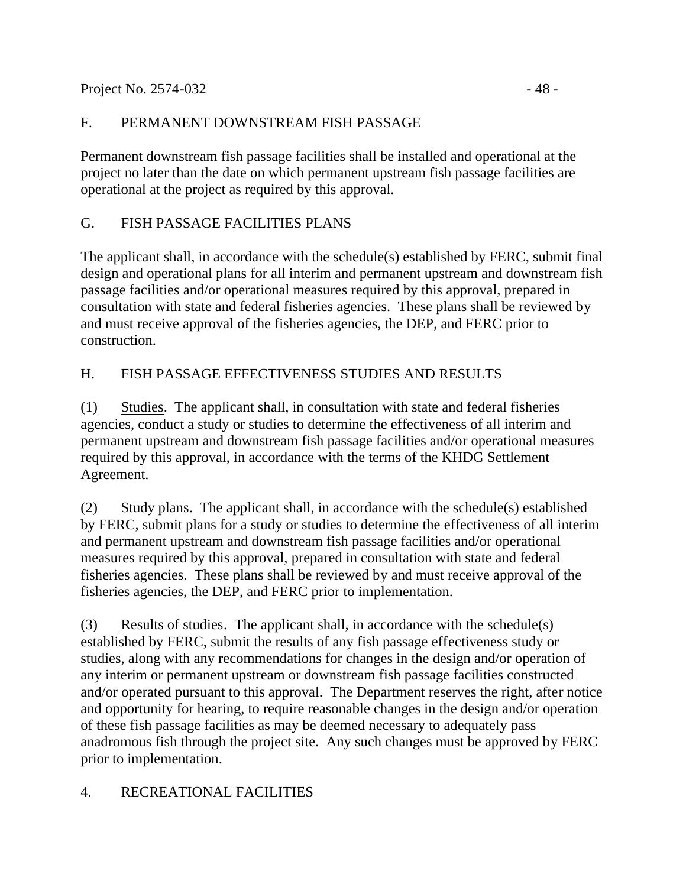Project No. 2574-032 - 48

## F. PERMANENT DOWNSTREAM FISH PASSAGE

Permanent downstream fish passage facilities shall be installed and operational at the project no later than the date on which permanent upstream fish passage facilities are operational at the project as required by this approval.

# G. FISH PASSAGE FACILITIES PLANS

The applicant shall, in accordance with the schedule(s) established by FERC, submit final design and operational plans for all interim and permanent upstream and downstream fish passage facilities and/or operational measures required by this approval, prepared in consultation with state and federal fisheries agencies. These plans shall be reviewed by and must receive approval of the fisheries agencies, the DEP, and FERC prior to construction.

# H. FISH PASSAGE EFFECTIVENESS STUDIES AND RESULTS

(1) Studies. The applicant shall, in consultation with state and federal fisheries agencies, conduct a study or studies to determine the effectiveness of all interim and permanent upstream and downstream fish passage facilities and/or operational measures required by this approval, in accordance with the terms of the KHDG Settlement Agreement.

(2) Study plans. The applicant shall, in accordance with the schedule(s) established by FERC, submit plans for a study or studies to determine the effectiveness of all interim and permanent upstream and downstream fish passage facilities and/or operational measures required by this approval, prepared in consultation with state and federal fisheries agencies. These plans shall be reviewed by and must receive approval of the fisheries agencies, the DEP, and FERC prior to implementation.

(3) Results of studies. The applicant shall, in accordance with the schedule(s) established by FERC, submit the results of any fish passage effectiveness study or studies, along with any recommendations for changes in the design and/or operation of any interim or permanent upstream or downstream fish passage facilities constructed and/or operated pursuant to this approval. The Department reserves the right, after notice and opportunity for hearing, to require reasonable changes in the design and/or operation of these fish passage facilities as may be deemed necessary to adequately pass anadromous fish through the project site. Any such changes must be approved by FERC prior to implementation.

# 4. RECREATIONAL FACILITIES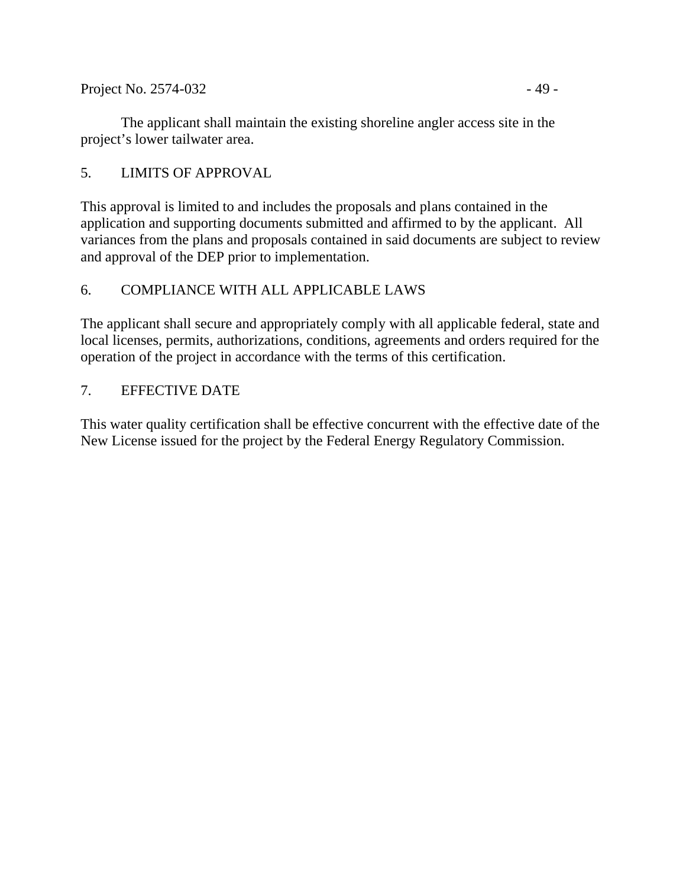Project No. 2574-032 - 49 -

The applicant shall maintain the existing shoreline angler access site in the project's lower tailwater area.

## 5. LIMITS OF APPROVAL

This approval is limited to and includes the proposals and plans contained in the application and supporting documents submitted and affirmed to by the applicant. All variances from the plans and proposals contained in said documents are subject to review and approval of the DEP prior to implementation.

## 6. COMPLIANCE WITH ALL APPLICABLE LAWS

The applicant shall secure and appropriately comply with all applicable federal, state and local licenses, permits, authorizations, conditions, agreements and orders required for the operation of the project in accordance with the terms of this certification.

### 7. EFFECTIVE DATE

This water quality certification shall be effective concurrent with the effective date of the New License issued for the project by the Federal Energy Regulatory Commission.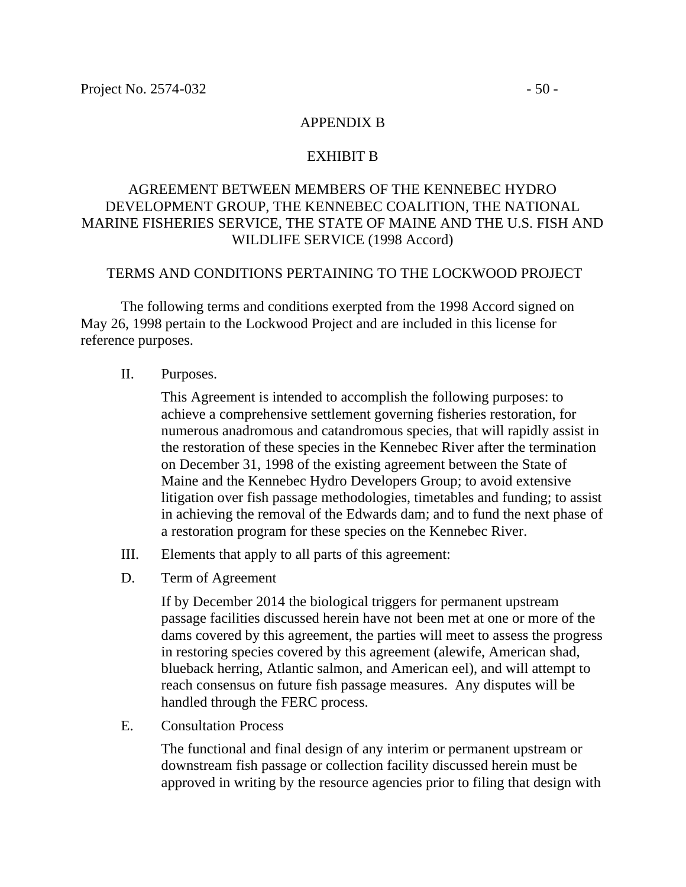#### APPENDIX B

#### EXHIBIT B

#### AGREEMENT BETWEEN MEMBERS OF THE KENNEBEC HYDRO DEVELOPMENT GROUP, THE KENNEBEC COALITION, THE NATIONAL MARINE FISHERIES SERVICE, THE STATE OF MAINE AND THE U.S. FISH AND WILDLIFE SERVICE (1998 Accord)

#### TERMS AND CONDITIONS PERTAINING TO THE LOCKWOOD PROJECT

The following terms and conditions exerpted from the 1998 Accord signed on May 26, 1998 pertain to the Lockwood Project and are included in this license for reference purposes.

II. Purposes.

This Agreement is intended to accomplish the following purposes: to achieve a comprehensive settlement governing fisheries restoration, for numerous anadromous and catandromous species, that will rapidly assist in the restoration of these species in the Kennebec River after the termination on December 31, 1998 of the existing agreement between the State of Maine and the Kennebec Hydro Developers Group; to avoid extensive litigation over fish passage methodologies, timetables and funding; to assist in achieving the removal of the Edwards dam; and to fund the next phase of a restoration program for these species on the Kennebec River.

- III. Elements that apply to all parts of this agreement:
- D. Term of Agreement

If by December 2014 the biological triggers for permanent upstream passage facilities discussed herein have not been met at one or more of the dams covered by this agreement, the parties will meet to assess the progress in restoring species covered by this agreement (alewife, American shad, blueback herring, Atlantic salmon, and American eel), and will attempt to reach consensus on future fish passage measures. Any disputes will be handled through the FERC process.

E. Consultation Process

The functional and final design of any interim or permanent upstream or downstream fish passage or collection facility discussed herein must be approved in writing by the resource agencies prior to filing that design with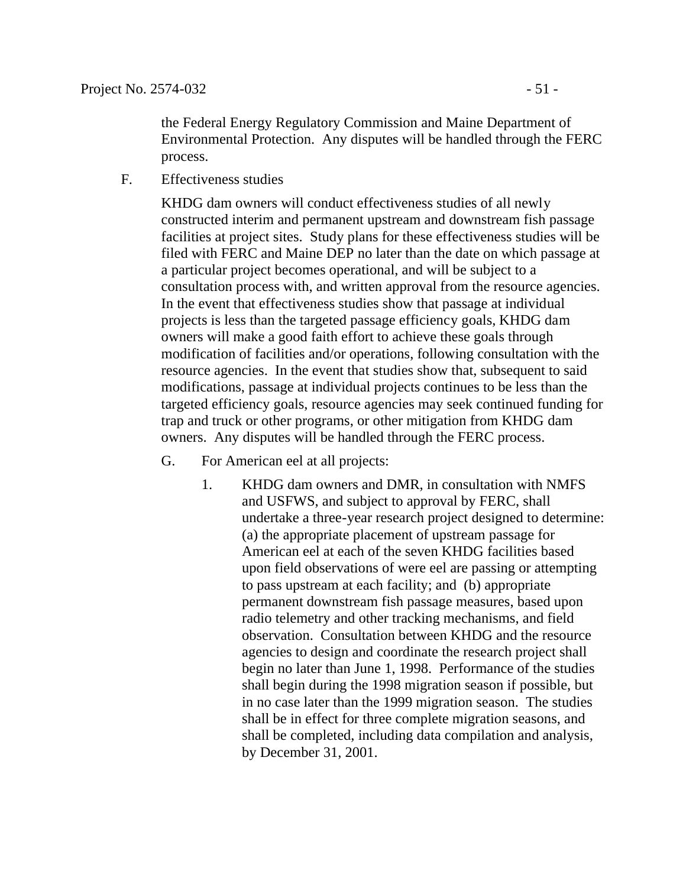the Federal Energy Regulatory Commission and Maine Department of Environmental Protection. Any disputes will be handled through the FERC process.

F. Effectiveness studies

KHDG dam owners will conduct effectiveness studies of all newly constructed interim and permanent upstream and downstream fish passage facilities at project sites. Study plans for these effectiveness studies will be filed with FERC and Maine DEP no later than the date on which passage at a particular project becomes operational, and will be subject to a consultation process with, and written approval from the resource agencies. In the event that effectiveness studies show that passage at individual projects is less than the targeted passage efficiency goals, KHDG dam owners will make a good faith effort to achieve these goals through modification of facilities and/or operations, following consultation with the resource agencies. In the event that studies show that, subsequent to said modifications, passage at individual projects continues to be less than the targeted efficiency goals, resource agencies may seek continued funding for trap and truck or other programs, or other mitigation from KHDG dam owners. Any disputes will be handled through the FERC process.

- G. For American eel at all projects:
	- 1. KHDG dam owners and DMR, in consultation with NMFS and USFWS, and subject to approval by FERC, shall undertake a three-year research project designed to determine: (a) the appropriate placement of upstream passage for American eel at each of the seven KHDG facilities based upon field observations of were eel are passing or attempting to pass upstream at each facility; and (b) appropriate permanent downstream fish passage measures, based upon radio telemetry and other tracking mechanisms, and field observation. Consultation between KHDG and the resource agencies to design and coordinate the research project shall begin no later than June 1, 1998. Performance of the studies shall begin during the 1998 migration season if possible, but in no case later than the 1999 migration season. The studies shall be in effect for three complete migration seasons, and shall be completed, including data compilation and analysis, by December 31, 2001.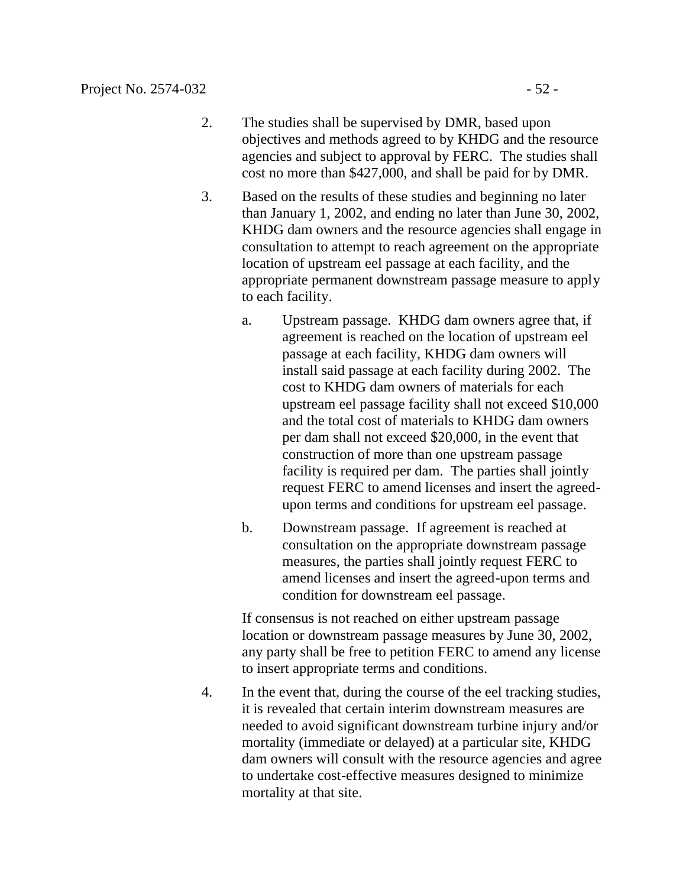- 2. The studies shall be supervised by DMR, based upon objectives and methods agreed to by KHDG and the resource agencies and subject to approval by FERC. The studies shall cost no more than \$427,000, and shall be paid for by DMR.
- 3. Based on the results of these studies and beginning no later than January 1, 2002, and ending no later than June 30, 2002, KHDG dam owners and the resource agencies shall engage in consultation to attempt to reach agreement on the appropriate location of upstream eel passage at each facility, and the appropriate permanent downstream passage measure to apply to each facility.
	- a. Upstream passage. KHDG dam owners agree that, if agreement is reached on the location of upstream eel passage at each facility, KHDG dam owners will install said passage at each facility during 2002. The cost to KHDG dam owners of materials for each upstream eel passage facility shall not exceed \$10,000 and the total cost of materials to KHDG dam owners per dam shall not exceed \$20,000, in the event that construction of more than one upstream passage facility is required per dam. The parties shall jointly request FERC to amend licenses and insert the agreedupon terms and conditions for upstream eel passage.
	- b. Downstream passage. If agreement is reached at consultation on the appropriate downstream passage measures, the parties shall jointly request FERC to amend licenses and insert the agreed-upon terms and condition for downstream eel passage.

If consensus is not reached on either upstream passage location or downstream passage measures by June 30, 2002, any party shall be free to petition FERC to amend any license to insert appropriate terms and conditions.

4. In the event that, during the course of the eel tracking studies, it is revealed that certain interim downstream measures are needed to avoid significant downstream turbine injury and/or mortality (immediate or delayed) at a particular site, KHDG dam owners will consult with the resource agencies and agree to undertake cost-effective measures designed to minimize mortality at that site.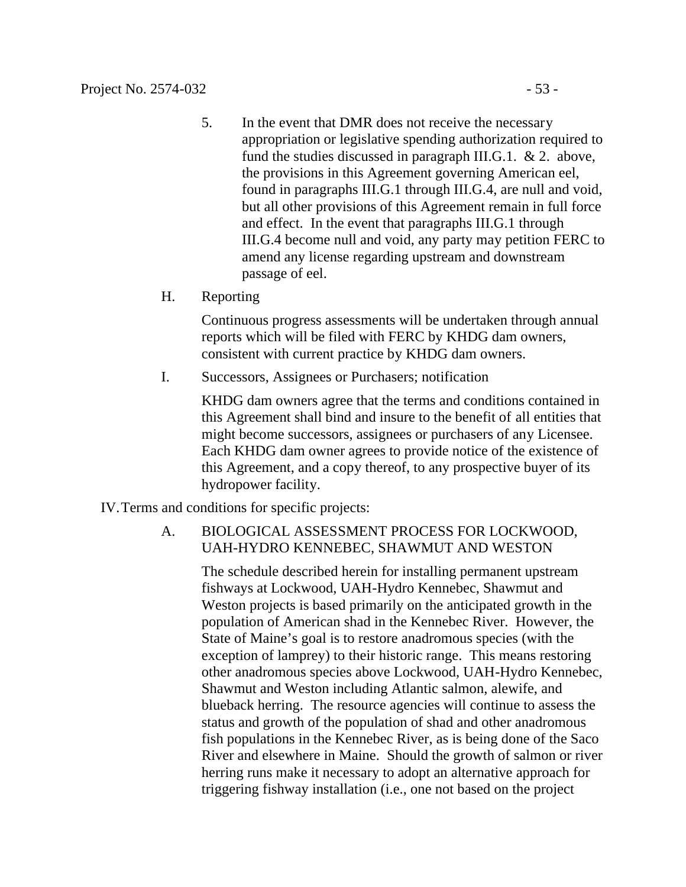- 5. In the event that DMR does not receive the necessary appropriation or legislative spending authorization required to fund the studies discussed in paragraph III.G.1. & 2. above, the provisions in this Agreement governing American eel, found in paragraphs III.G.1 through III.G.4, are null and void, but all other provisions of this Agreement remain in full force and effect. In the event that paragraphs III.G.1 through III.G.4 become null and void, any party may petition FERC to amend any license regarding upstream and downstream passage of eel.
- H. Reporting

Continuous progress assessments will be undertaken through annual reports which will be filed with FERC by KHDG dam owners, consistent with current practice by KHDG dam owners.

I. Successors, Assignees or Purchasers; notification

KHDG dam owners agree that the terms and conditions contained in this Agreement shall bind and insure to the benefit of all entities that might become successors, assignees or purchasers of any Licensee. Each KHDG dam owner agrees to provide notice of the existence of this Agreement, and a copy thereof, to any prospective buyer of its hydropower facility.

IV.Terms and conditions for specific projects:

### A. BIOLOGICAL ASSESSMENT PROCESS FOR LOCKWOOD, UAH-HYDRO KENNEBEC, SHAWMUT AND WESTON

The schedule described herein for installing permanent upstream fishways at Lockwood, UAH-Hydro Kennebec, Shawmut and Weston projects is based primarily on the anticipated growth in the population of American shad in the Kennebec River. However, the State of Maine's goal is to restore anadromous species (with the exception of lamprey) to their historic range. This means restoring other anadromous species above Lockwood, UAH-Hydro Kennebec, Shawmut and Weston including Atlantic salmon, alewife, and blueback herring. The resource agencies will continue to assess the status and growth of the population of shad and other anadromous fish populations in the Kennebec River, as is being done of the Saco River and elsewhere in Maine. Should the growth of salmon or river herring runs make it necessary to adopt an alternative approach for triggering fishway installation (i.e., one not based on the project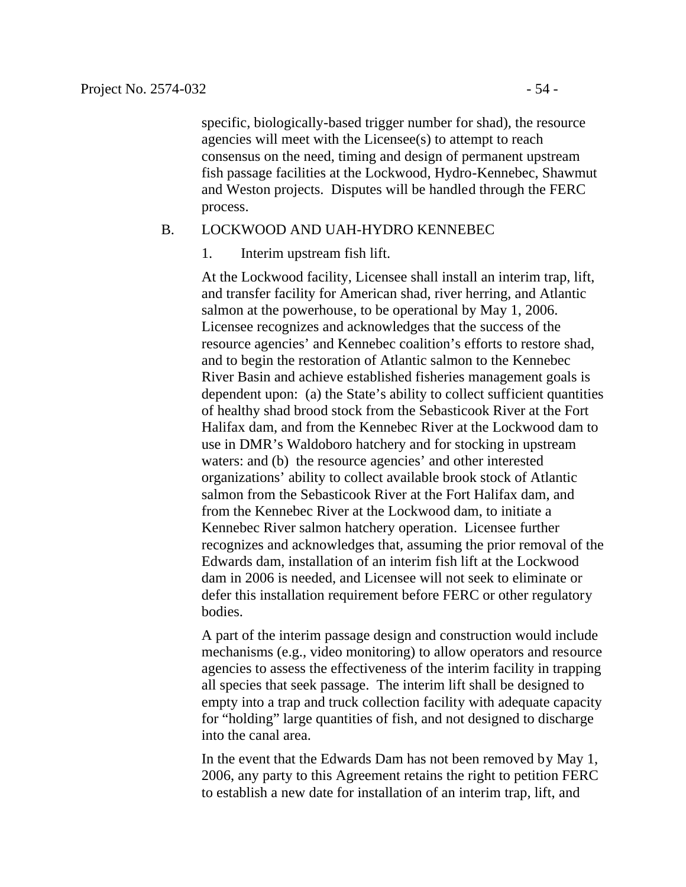specific, biologically-based trigger number for shad), the resource agencies will meet with the Licensee(s) to attempt to reach consensus on the need, timing and design of permanent upstream fish passage facilities at the Lockwood, Hydro-Kennebec, Shawmut and Weston projects. Disputes will be handled through the FERC process.

#### B. LOCKWOOD AND UAH-HYDRO KENNEBEC

1. Interim upstream fish lift.

At the Lockwood facility, Licensee shall install an interim trap, lift, and transfer facility for American shad, river herring, and Atlantic salmon at the powerhouse, to be operational by May 1, 2006. Licensee recognizes and acknowledges that the success of the resource agencies' and Kennebec coalition's efforts to restore shad, and to begin the restoration of Atlantic salmon to the Kennebec River Basin and achieve established fisheries management goals is dependent upon: (a) the State's ability to collect sufficient quantities of healthy shad brood stock from the Sebasticook River at the Fort Halifax dam, and from the Kennebec River at the Lockwood dam to use in DMR's Waldoboro hatchery and for stocking in upstream waters: and (b) the resource agencies' and other interested organizations' ability to collect available brook stock of Atlantic salmon from the Sebasticook River at the Fort Halifax dam, and from the Kennebec River at the Lockwood dam, to initiate a Kennebec River salmon hatchery operation. Licensee further recognizes and acknowledges that, assuming the prior removal of the Edwards dam, installation of an interim fish lift at the Lockwood dam in 2006 is needed, and Licensee will not seek to eliminate or defer this installation requirement before FERC or other regulatory bodies.

A part of the interim passage design and construction would include mechanisms (e.g., video monitoring) to allow operators and resource agencies to assess the effectiveness of the interim facility in trapping all species that seek passage. The interim lift shall be designed to empty into a trap and truck collection facility with adequate capacity for "holding" large quantities of fish, and not designed to discharge into the canal area.

In the event that the Edwards Dam has not been removed by May 1, 2006, any party to this Agreement retains the right to petition FERC to establish a new date for installation of an interim trap, lift, and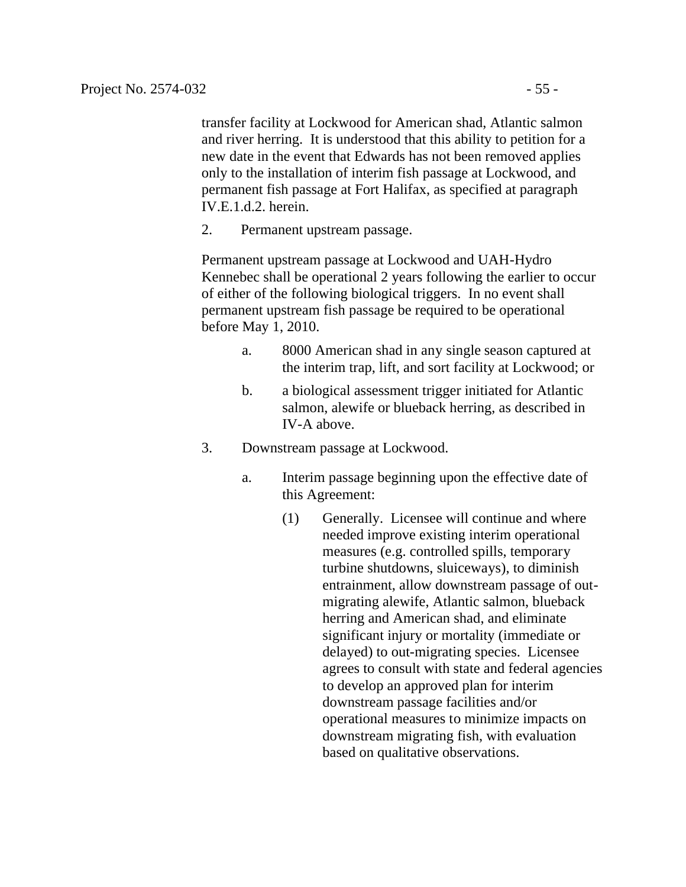transfer facility at Lockwood for American shad, Atlantic salmon and river herring. It is understood that this ability to petition for a new date in the event that Edwards has not been removed applies only to the installation of interim fish passage at Lockwood, and permanent fish passage at Fort Halifax, as specified at paragraph IV.E.1.d.2. herein.

2. Permanent upstream passage.

Permanent upstream passage at Lockwood and UAH-Hydro Kennebec shall be operational 2 years following the earlier to occur of either of the following biological triggers. In no event shall permanent upstream fish passage be required to be operational before May 1, 2010.

- a. 8000 American shad in any single season captured at the interim trap, lift, and sort facility at Lockwood; or
- b. a biological assessment trigger initiated for Atlantic salmon, alewife or blueback herring, as described in IV-A above.
- 3. Downstream passage at Lockwood.
	- a. Interim passage beginning upon the effective date of this Agreement:
		- (1) Generally. Licensee will continue and where needed improve existing interim operational measures (e.g. controlled spills, temporary turbine shutdowns, sluiceways), to diminish entrainment, allow downstream passage of outmigrating alewife, Atlantic salmon, blueback herring and American shad, and eliminate significant injury or mortality (immediate or delayed) to out-migrating species. Licensee agrees to consult with state and federal agencies to develop an approved plan for interim downstream passage facilities and/or operational measures to minimize impacts on downstream migrating fish, with evaluation based on qualitative observations.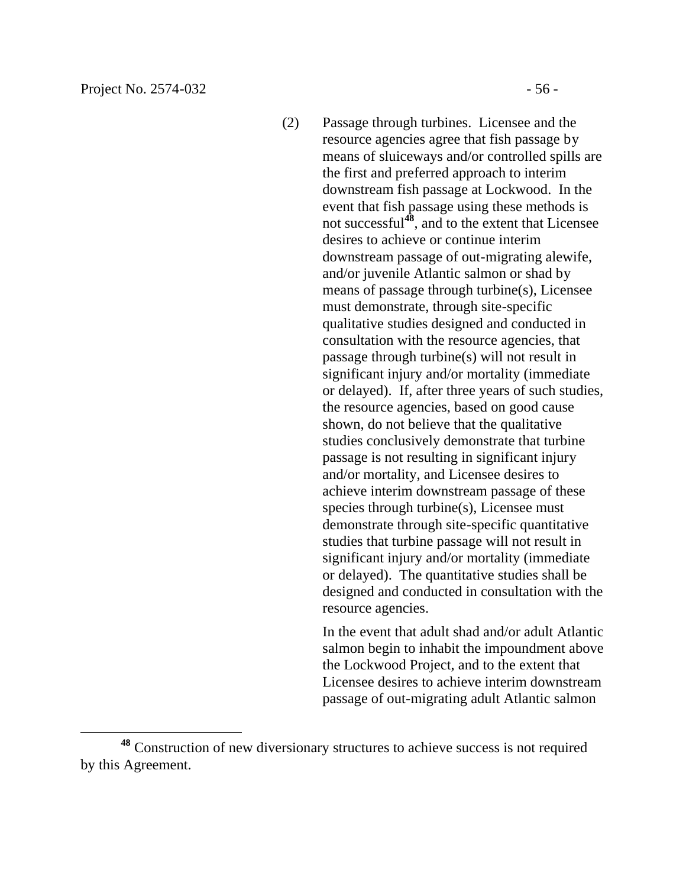$\overline{a}$ 

(2) Passage through turbines. Licensee and the resource agencies agree that fish passage by means of sluiceways and/or controlled spills are the first and preferred approach to interim downstream fish passage at Lockwood. In the event that fish passage using these methods is not successful**<sup>48</sup>**, and to the extent that Licensee desires to achieve or continue interim downstream passage of out-migrating alewife, and/or juvenile Atlantic salmon or shad by means of passage through turbine(s), Licensee must demonstrate, through site-specific qualitative studies designed and conducted in consultation with the resource agencies, that passage through turbine(s) will not result in significant injury and/or mortality (immediate or delayed). If, after three years of such studies, the resource agencies, based on good cause shown, do not believe that the qualitative studies conclusively demonstrate that turbine passage is not resulting in significant injury and/or mortality, and Licensee desires to achieve interim downstream passage of these species through turbine(s), Licensee must demonstrate through site-specific quantitative studies that turbine passage will not result in significant injury and/or mortality (immediate or delayed). The quantitative studies shall be designed and conducted in consultation with the resource agencies.

> In the event that adult shad and/or adult Atlantic salmon begin to inhabit the impoundment above the Lockwood Project, and to the extent that Licensee desires to achieve interim downstream passage of out-migrating adult Atlantic salmon

**<sup>48</sup>** Construction of new diversionary structures to achieve success is not required by this Agreement.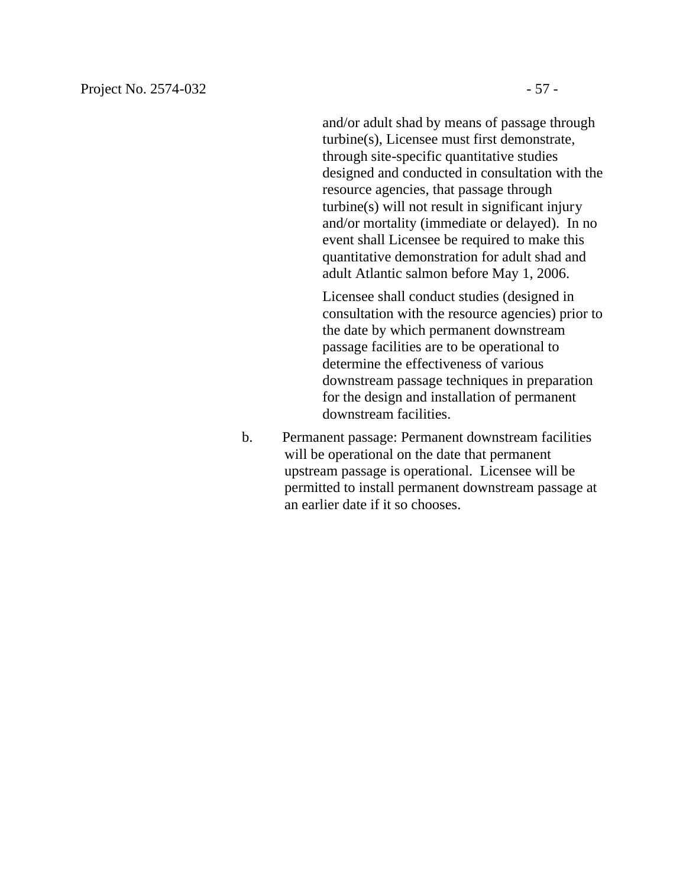and/or adult shad by means of passage through turbine(s), Licensee must first demonstrate, through site-specific quantitative studies designed and conducted in consultation with the resource agencies, that passage through turbine(s) will not result in significant injury and/or mortality (immediate or delayed). In no event shall Licensee be required to make this quantitative demonstration for adult shad and adult Atlantic salmon before May 1, 2006.

Licensee shall conduct studies (designed in consultation with the resource agencies) prior to the date by which permanent downstream passage facilities are to be operational to determine the effectiveness of various downstream passage techniques in preparation for the design and installation of permanent downstream facilities.

b. Permanent passage: Permanent downstream facilities will be operational on the date that permanent upstream passage is operational. Licensee will be permitted to install permanent downstream passage at an earlier date if it so chooses.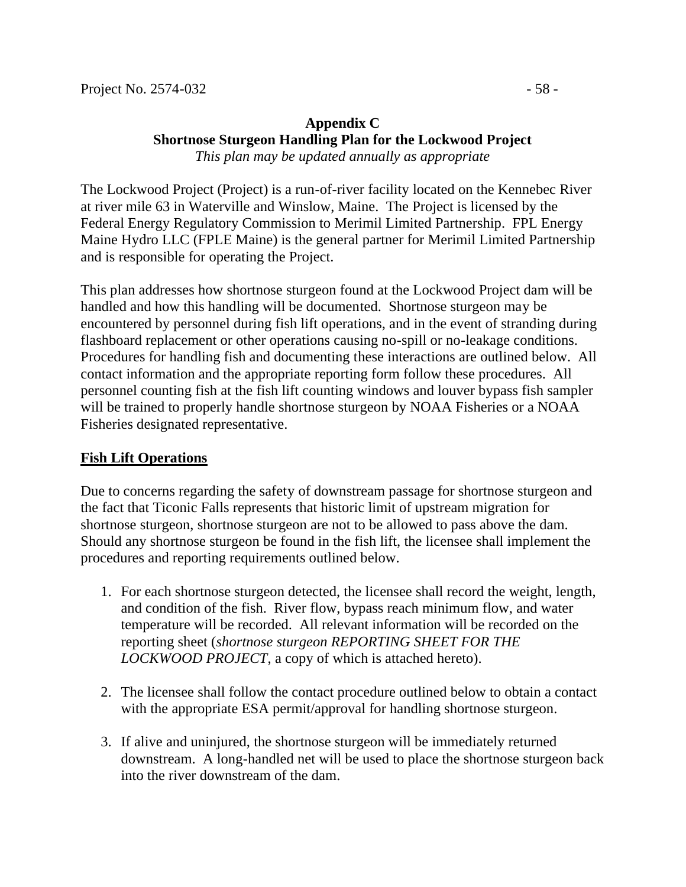#### **Appendix C Shortnose Sturgeon Handling Plan for the Lockwood Project** *This plan may be updated annually as appropriate*

The Lockwood Project (Project) is a run-of-river facility located on the Kennebec River at river mile 63 in Waterville and Winslow, Maine. The Project is licensed by the Federal Energy Regulatory Commission to Merimil Limited Partnership. FPL Energy Maine Hydro LLC (FPLE Maine) is the general partner for Merimil Limited Partnership and is responsible for operating the Project.

This plan addresses how shortnose sturgeon found at the Lockwood Project dam will be handled and how this handling will be documented. Shortnose sturgeon may be encountered by personnel during fish lift operations, and in the event of stranding during flashboard replacement or other operations causing no-spill or no-leakage conditions. Procedures for handling fish and documenting these interactions are outlined below. All contact information and the appropriate reporting form follow these procedures. All personnel counting fish at the fish lift counting windows and louver bypass fish sampler will be trained to properly handle shortnose sturgeon by NOAA Fisheries or a NOAA Fisheries designated representative.

#### **Fish Lift Operations**

Due to concerns regarding the safety of downstream passage for shortnose sturgeon and the fact that Ticonic Falls represents that historic limit of upstream migration for shortnose sturgeon, shortnose sturgeon are not to be allowed to pass above the dam. Should any shortnose sturgeon be found in the fish lift, the licensee shall implement the procedures and reporting requirements outlined below.

- 1. For each shortnose sturgeon detected, the licensee shall record the weight, length, and condition of the fish. River flow, bypass reach minimum flow, and water temperature will be recorded. All relevant information will be recorded on the reporting sheet (*shortnose sturgeon REPORTING SHEET FOR THE LOCKWOOD PROJECT*, a copy of which is attached hereto).
- 2. The licensee shall follow the contact procedure outlined below to obtain a contact with the appropriate ESA permit/approval for handling shortnose sturgeon.
- 3. If alive and uninjured, the shortnose sturgeon will be immediately returned downstream. A long-handled net will be used to place the shortnose sturgeon back into the river downstream of the dam.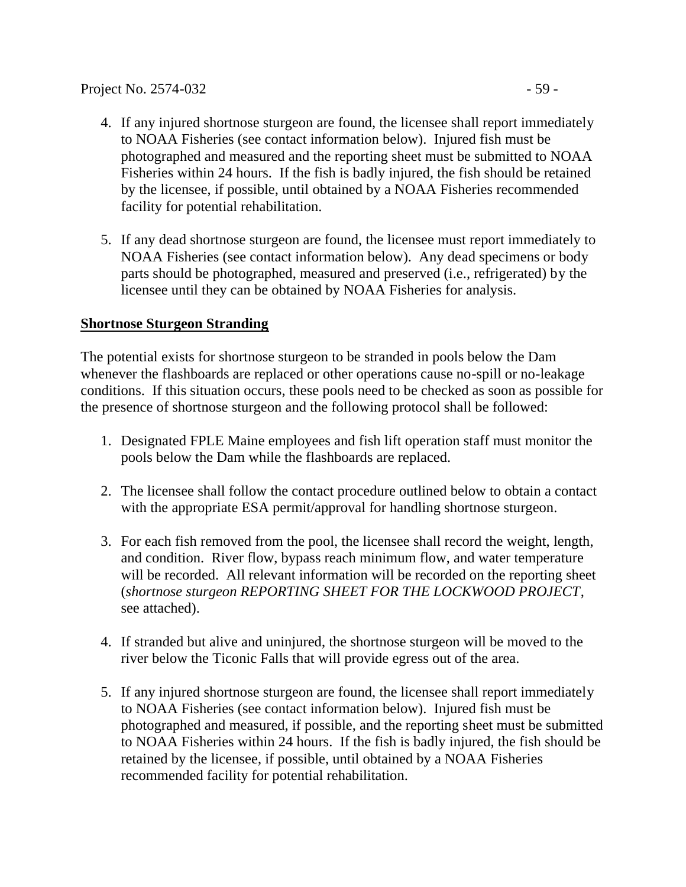- 4. If any injured shortnose sturgeon are found, the licensee shall report immediately to NOAA Fisheries (see contact information below). Injured fish must be photographed and measured and the reporting sheet must be submitted to NOAA Fisheries within 24 hours. If the fish is badly injured, the fish should be retained by the licensee, if possible, until obtained by a NOAA Fisheries recommended facility for potential rehabilitation.
- 5. If any dead shortnose sturgeon are found, the licensee must report immediately to NOAA Fisheries (see contact information below). Any dead specimens or body parts should be photographed, measured and preserved (i.e., refrigerated) by the licensee until they can be obtained by NOAA Fisheries for analysis.

#### **Shortnose Sturgeon Stranding**

The potential exists for shortnose sturgeon to be stranded in pools below the Dam whenever the flashboards are replaced or other operations cause no-spill or no-leakage conditions. If this situation occurs, these pools need to be checked as soon as possible for the presence of shortnose sturgeon and the following protocol shall be followed:

- 1. Designated FPLE Maine employees and fish lift operation staff must monitor the pools below the Dam while the flashboards are replaced.
- 2. The licensee shall follow the contact procedure outlined below to obtain a contact with the appropriate ESA permit/approval for handling shortnose sturgeon.
- 3. For each fish removed from the pool, the licensee shall record the weight, length, and condition. River flow, bypass reach minimum flow, and water temperature will be recorded. All relevant information will be recorded on the reporting sheet (*shortnose sturgeon REPORTING SHEET FOR THE LOCKWOOD PROJECT*, see attached).
- 4. If stranded but alive and uninjured, the shortnose sturgeon will be moved to the river below the Ticonic Falls that will provide egress out of the area.
- 5. If any injured shortnose sturgeon are found, the licensee shall report immediately to NOAA Fisheries (see contact information below). Injured fish must be photographed and measured, if possible, and the reporting sheet must be submitted to NOAA Fisheries within 24 hours. If the fish is badly injured, the fish should be retained by the licensee, if possible, until obtained by a NOAA Fisheries recommended facility for potential rehabilitation.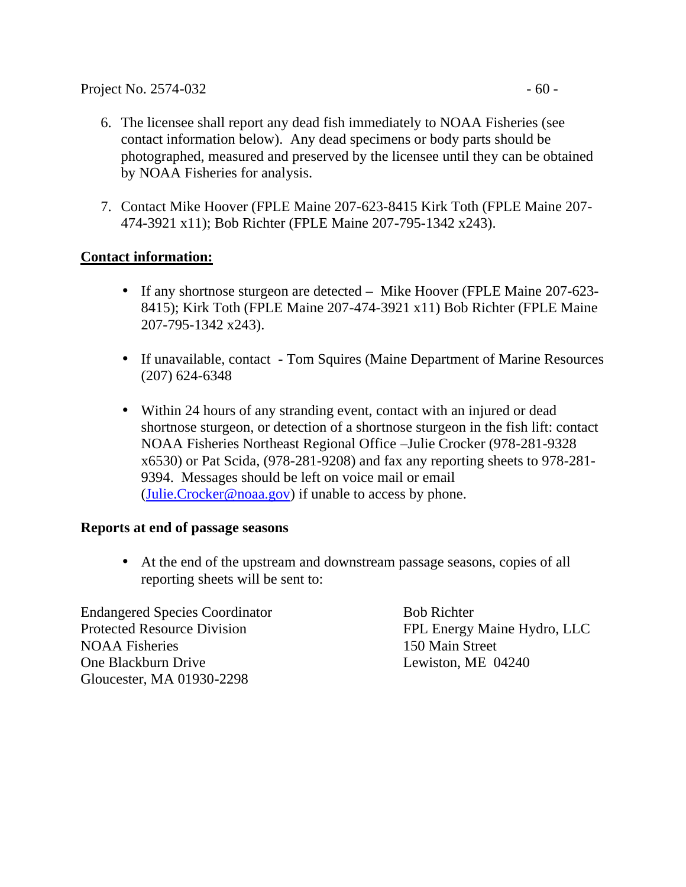- 6. The licensee shall report any dead fish immediately to NOAA Fisheries (see contact information below). Any dead specimens or body parts should be photographed, measured and preserved by the licensee until they can be obtained by NOAA Fisheries for analysis.
- 7. Contact Mike Hoover (FPLE Maine 207-623-8415 Kirk Toth (FPLE Maine 207- 474-3921 x11); Bob Richter (FPLE Maine 207-795-1342 x243).

### **Contact information:**

- If any shortnose sturgeon are detected Mike Hoover (FPLE Maine 207-623-8415); Kirk Toth (FPLE Maine 207-474-3921 x11) Bob Richter (FPLE Maine 207-795-1342 x243).
- If unavailable, contact Tom Squires (Maine Department of Marine Resources (207) 624-6348
- Within 24 hours of any stranding event, contact with an injured or dead shortnose sturgeon, or detection of a shortnose sturgeon in the fish lift: contact NOAA Fisheries Northeast Regional Office –Julie Crocker (978-281-9328 x6530) or Pat Scida, (978-281-9208) and fax any reporting sheets to 978-281- 9394. Messages should be left on voice mail or email  $(\text{Julie. Crocker@noaa.gov})$  if unable to access by phone.

#### **Reports at end of passage seasons**

• At the end of the upstream and downstream passage seasons, copies of all reporting sheets will be sent to:

Endangered Species Coordinator Bob Richter Protected Resource Division FPL Energy Maine Hydro, LLC NOAA Fisheries 150 Main Street One Blackburn Drive Lewiston, ME 04240 Gloucester, MA 01930-2298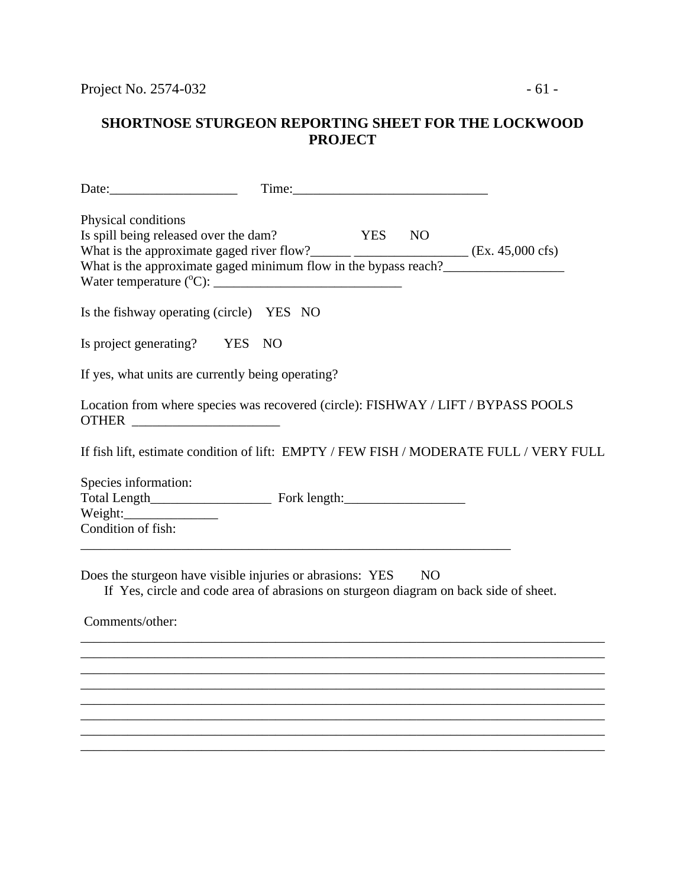| Date:                                                                                                                                                |        |                                                                                        |
|------------------------------------------------------------------------------------------------------------------------------------------------------|--------|----------------------------------------------------------------------------------------|
| Physical conditions<br>Is spill being released over the dam?                                                                                         | YES NO |                                                                                        |
| Is the fishway operating (circle) YES NO                                                                                                             |        |                                                                                        |
| Is project generating? YES NO                                                                                                                        |        |                                                                                        |
| If yes, what units are currently being operating?                                                                                                    |        |                                                                                        |
| Location from where species was recovered (circle): FISHWAY / LIFT / BYPASS POOLS<br>OTHER                                                           |        |                                                                                        |
|                                                                                                                                                      |        | If fish lift, estimate condition of lift: EMPTY / FEW FISH / MODERATE FULL / VERY FULL |
| Species information:<br>Condition of fish:                                                                                                           |        |                                                                                        |
| Does the sturgeon have visible injuries or abrasions: YES NO<br>If Yes, circle and code area of abrasions on sturgeon diagram on back side of sheet. |        |                                                                                        |
| Comments/other:                                                                                                                                      |        |                                                                                        |
|                                                                                                                                                      |        |                                                                                        |
|                                                                                                                                                      |        |                                                                                        |
|                                                                                                                                                      |        |                                                                                        |
|                                                                                                                                                      |        |                                                                                        |
|                                                                                                                                                      |        |                                                                                        |
|                                                                                                                                                      |        |                                                                                        |

\_\_\_\_\_\_\_\_\_\_\_\_\_\_\_\_\_\_\_\_\_\_\_\_\_\_\_\_\_\_\_\_\_\_\_\_\_\_\_\_\_\_\_\_\_\_\_\_\_\_\_\_\_\_\_\_\_\_\_\_\_\_\_\_\_\_\_\_\_\_\_\_\_\_\_\_\_\_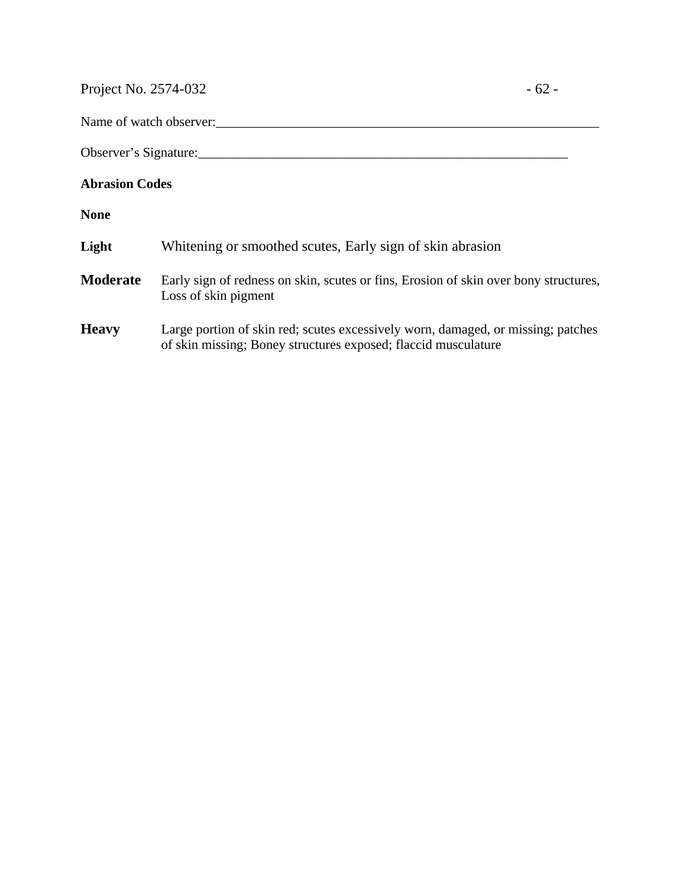Project No. 2574-032 - 62 -

Name of watch observer:

Observer's Signature:\_\_\_\_\_\_\_\_\_\_\_\_\_\_\_\_\_\_\_\_\_\_\_\_\_\_\_\_\_\_\_\_\_\_\_\_\_\_\_\_\_\_\_\_\_\_\_\_\_\_\_\_\_\_\_

#### **Abrasion Codes**

**None**

| Light | Whitening or smoothed scutes, Early sign of skin abrasion |  |  |
|-------|-----------------------------------------------------------|--|--|
|       |                                                           |  |  |

- **Moderate** Early sign of redness on skin, scutes or fins, Erosion of skin over bony structures, Loss of skin pigment
- **Heavy** Large portion of skin red; scutes excessively worn, damaged, or missing; patches of skin missing; Boney structures exposed; flaccid musculature